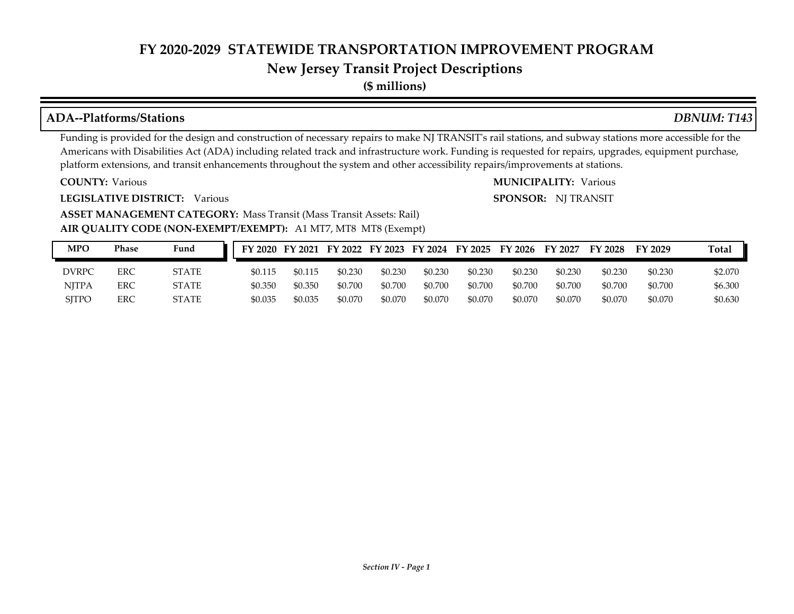### **New Jersey Transit Project Descriptions**

**(\$ millions)**

#### **ADA--Platforms/Stations** *DBNUM: T143*

Funding is provided for the design and construction of necessary repairs to make NJ TRANSIT's rail stations, and subway stations more accessible for the Americans with Disabilities Act (ADA) including related track and infrastructure work. Funding is requested for repairs, upgrades, equipment purchase, platform extensions, and transit enhancements throughout the system and other accessibility repairs/improvements at stations.

**COUNTY:**

**LEGISLATIVE DISTRICT:** Various

Various Various **MUNICIPALITY: SPONSOR:** NJ TRANSIT

**AIR QUALITY CODE (NON-EXEMPT/EXEMPT):** A1 MT7, MT8 MT8 (Exempt) **ASSET MANAGEMENT CATEGORY: Mass Transit (Mass Transit Assets: Rail)** 

| MPO          | Phase | Fund         |         |         |         |         |         | FY 2020 FY 2021 FY 2022 FY 2023 FY 2024 FY 2025 FY 2026 |         | FY 2027 | <b>FY 2028</b> | FY 2029 | Total   |
|--------------|-------|--------------|---------|---------|---------|---------|---------|---------------------------------------------------------|---------|---------|----------------|---------|---------|
| DVRPC        | ERC   | <b>STATE</b> | \$0.115 | \$0.115 | \$0.230 | \$0.230 | \$0.230 | \$0.230                                                 | \$0.230 | \$0.230 | \$0.230        | \$0.230 | \$2.070 |
| <b>NJTPA</b> | ERC   | STATE        | \$0.350 | \$0.350 | \$0.700 | \$0.700 | \$0.700 | \$0.700                                                 | \$0.700 | \$0.700 | \$0.700        | \$0.700 | \$6.300 |
| <b>SITPO</b> | ERC   | STATE        | \$0.035 | \$0.035 | \$0.070 | \$0.070 | \$0.070 | \$0.070                                                 | \$0.070 | \$0.070 | \$0.070        | \$0.070 | \$0.630 |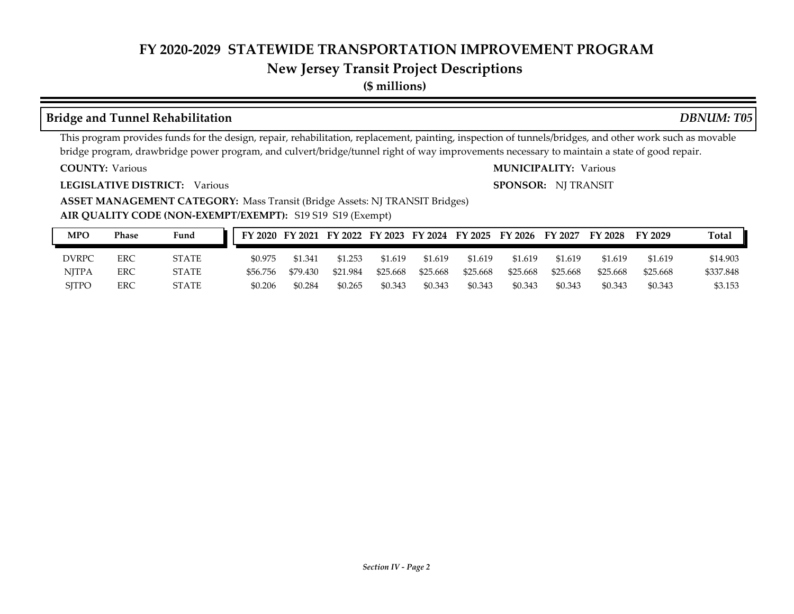### **New Jersey Transit Project Descriptions**

**(\$ millions)**

#### **Bridge and Tunnel Rehabilitation** *DBNUM: T05*

This program provides funds for the design, repair, rehabilitation, replacement, painting, inspection of tunnels/bridges, and other work such as movable bridge program, drawbridge power program, and culvert/bridge/tunnel right of way improvements necessary to maintain a state of good repair.

**COUNTY:**

**LEGISLATIVE DISTRICT:** Various

**ASSET MANAGEMENT CATEGORY:** Mass Transit (Bridge Assets: NJ TRANSIT Bridges)

**AIR QUALITY CODE (NON-EXEMPT/EXEMPT):** S19 S19 S19 (Exempt)

| MPO          | Phase | Fund         |          |          |          |          |          |          | FY 2020 FY 2021 FY 2022 FY 2023 FY 2024 FY 2025 FY 2026 FY 2027 |          | FY 2028  | FY 2029  | <b>Total</b> |
|--------------|-------|--------------|----------|----------|----------|----------|----------|----------|-----------------------------------------------------------------|----------|----------|----------|--------------|
| DVRPC        | ERC   | <b>STATE</b> | \$0.975  | \$1,341  | \$1.253  | \$1.619  | \$1.619  | \$1.619  | \$1.619                                                         | \$1.619  | \$1.619  | \$1.619  | \$14.903     |
| <b>NITPA</b> | ERC   | <b>STATE</b> | \$56.756 | \$79.430 | \$21.984 | \$25.668 | \$25.668 | \$25,668 | \$25.668                                                        | \$25.668 | \$25.668 | \$25.668 | \$337.848    |
| <b>SITPO</b> | ERC   | STATE        | \$0.206  | \$0.284  | \$0.265  | \$0.343  | \$0.343  | \$0.343  | \$0.343                                                         | \$0.343  | \$0.343  | \$0.343  | \$3.153      |

#### Various Various **MUNICIPALITY:**

**SPONSOR:** NJ TRANSIT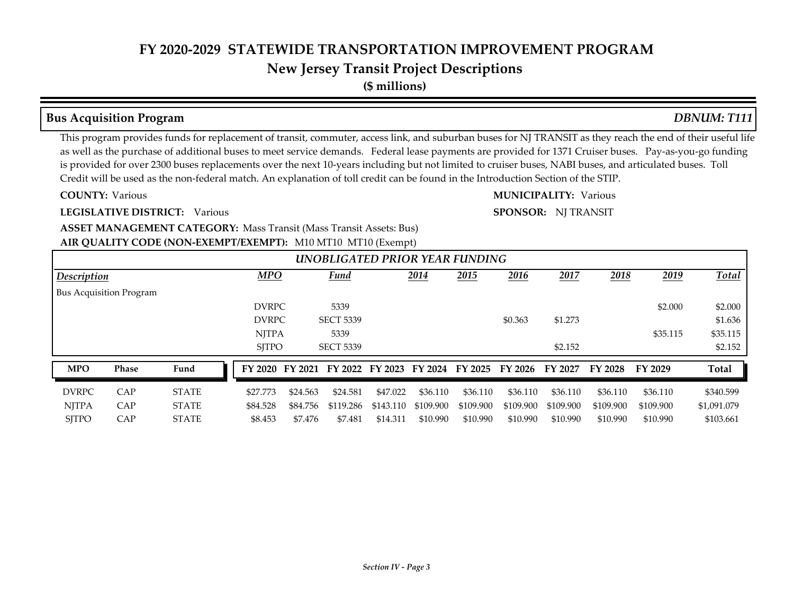## **New Jersey Transit Project Descriptions**

**(\$ millions)**

#### **Bus Acquisition Program** *DBNUM: T111*

#### This program provides funds for replacement of transit, commuter, access link, and suburban buses for NJ TRANSIT as they reach the end of their useful life as well as the purchase of additional buses to meet service demands. Federal lease payments are provided for 1371 Cruiser buses. Pay-as-you-go funding is provided for over 2300 buses replacements over the next 10-years including but not limited to cruiser buses, NABI buses, and articulated buses. Toll Credit will be used as the non-federal match. An explanation of toll credit can be found in the Introduction Section of the STIP.

**COUNTY:**

**LEGISLATIVE DISTRICT:** Various

Various Various **MUNICIPALITY: SPONSOR:** NJ TRANSIT

**ASSET MANAGEMENT CATEGORY: Mass Transit (Mass Transit Assets: Bus)** 

#### **AIR QUALITY CODE (NON-EXEMPT/EXEMPT):** M10 MT10 MT10 (Exempt)

|                                |       |              |              |          |                                         |           | $\mathbf{r}$ | UNOBLIGATED PRIOR YEAR FUNDING |           |           |                |           |              |
|--------------------------------|-------|--------------|--------------|----------|-----------------------------------------|-----------|--------------|--------------------------------|-----------|-----------|----------------|-----------|--------------|
| <i>Description</i>             |       |              | <b>MPO</b>   |          | Fund                                    |           | 2014         | 2015                           | 2016      | 2017      | 2018           | 2019      | <b>Total</b> |
| <b>Bus Acquisition Program</b> |       |              |              |          |                                         |           |              |                                |           |           |                |           |              |
|                                |       |              | <b>DVRPC</b> |          | 5339                                    |           |              |                                |           |           |                | \$2.000   | \$2.000      |
|                                |       |              | <b>DVRPC</b> |          | <b>SECT 5339</b>                        |           |              |                                | \$0.363   | \$1.273   |                |           | \$1.636      |
|                                |       |              | <b>NITPA</b> |          | 5339                                    |           |              |                                |           |           |                | \$35.115  | \$35.115     |
|                                |       |              | <b>SITPO</b> |          | <b>SECT 5339</b>                        |           |              |                                |           | \$2.152   |                |           | \$2.152      |
| <b>MPO</b>                     | Phase | Fund         |              |          | FY 2020 FY 2021 FY 2022 FY 2023 FY 2024 |           |              | FY 2025                        | FY 2026   | FY 2027   | <b>FY 2028</b> | FY 2029   | Total        |
| <b>DVRPC</b>                   | CAP   | <b>STATE</b> | \$27,773     | \$24.563 | \$24.581                                | \$47.022  | \$36.110     | \$36.110                       | \$36.110  | \$36.110  | \$36.110       | \$36.110  | \$340.599    |
| <b>NJTPA</b>                   | CAP   | <b>STATE</b> | \$84.528     | \$84.756 | \$119.286                               | \$143.110 | \$109.900    | \$109.900                      | \$109.900 | \$109.900 | \$109.900      | \$109.900 | \$1,091.079  |
| <b>SITPO</b>                   | CAP   | <b>STATE</b> | \$8.453      | \$7.476  | \$7.481                                 | \$14.311  | \$10.990     | \$10.990                       | \$10.990  | \$10.990  | \$10.990       | \$10.990  | \$103.661    |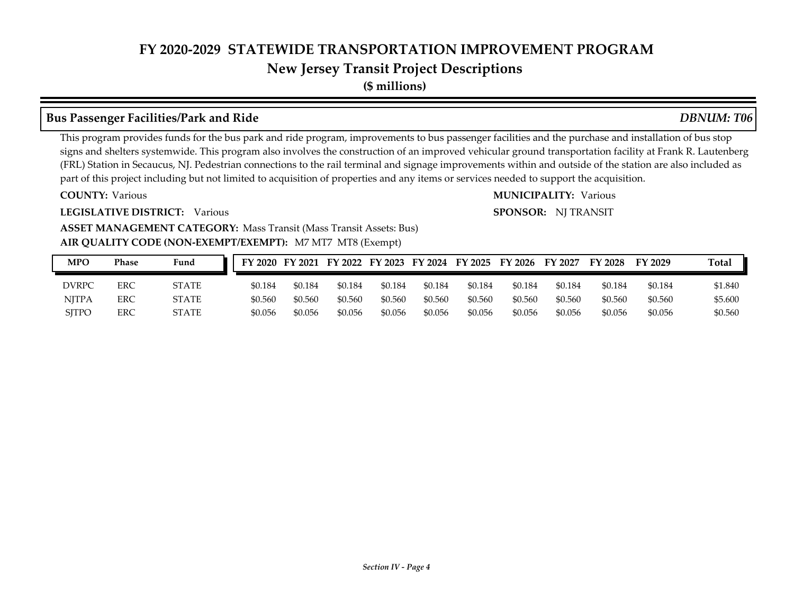## **New Jersey Transit Project Descriptions**

**(\$ millions)**

### **Bus Passenger Facilities/Park and Ride** *DBNUM: T06*

This program provides funds for the bus park and ride program, improvements to bus passenger facilities and the purchase and installation of bus stop signs and shelters systemwide. This program also involves the construction of an improved vehicular ground transportation facility at Frank R. Lautenberg (FRL) Station in Secaucus, NJ. Pedestrian connections to the rail terminal and signage improvements within and outside of the station are also included as part of this project including but not limited to acquisition of properties and any items or services needed to support the acquisition.

**COUNTY:**

**LEGISLATIVE DISTRICT:** Various

Various Various **MUNICIPALITY: SPONSOR:** NJ TRANSIT

#### **AIR QUALITY CODE (NON-EXEMPT/EXEMPT):** M7 MT7 MT8 (Exempt) **ASSET MANAGEMENT CATEGORY: Mass Transit (Mass Transit Assets: Bus)**

| MPO          | Phase | Fund         |         |         |         |         |         |         | FY 2020 FY 2021 FY 2022 FY 2023 FY 2024 FY 2025 FY 2026 FY 2027 |         | FY 2028 | FY 2029 | Total   |
|--------------|-------|--------------|---------|---------|---------|---------|---------|---------|-----------------------------------------------------------------|---------|---------|---------|---------|
| <b>DVRPC</b> | ERC   | <b>STATE</b> | \$0.184 | \$0.184 | \$0.184 | \$0.184 | \$0.184 | \$0.184 | \$0.184                                                         | \$0.184 | \$0.184 | \$0.184 | \$1.840 |
| NITPA        | ERC   | <b>STATE</b> | \$0.560 | \$0.560 | \$0.560 | \$0.560 | \$0.560 | \$0.560 | \$0.560                                                         | \$0.560 | \$0.560 | \$0.560 | \$5.600 |
| <b>SITPO</b> | ERC   | <b>STATE</b> | \$0.056 | \$0.056 | \$0.056 | \$0.056 | \$0.056 | \$0.056 | \$0.056                                                         | \$0.056 | \$0.056 | \$0.056 | \$0.560 |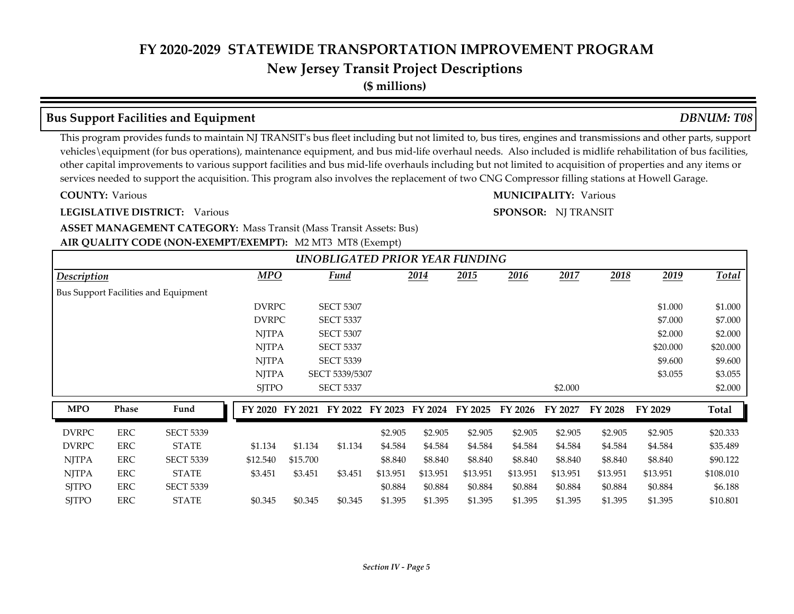## **New Jersey Transit Project Descriptions**

**(\$ millions)**

### **Bus Support Facilities and Equipment** *DBNUM: T08*

This program provides funds to maintain NJ TRANSIT's bus fleet including but not limited to, bus tires, engines and transmissions and other parts, support vehicles\equipment (for bus operations), maintenance equipment, and bus mid-life overhaul needs. Also included is midlife rehabilitation of bus facilities, other capital improvements to various support facilities and bus mid-life overhauls including but not limited to acquisition of properties and any items or services needed to support the acquisition. This program also involves the replacement of two CNG Compressor filling stations at Howell Garage.

**COUNTY:**

**LEGISLATIVE DISTRICT:** Various

Various Various **MUNICIPALITY:**

**SPONSOR:** NJ TRANSIT

#### **AIR QUALITY CODE (NON-EXEMPT/EXEMPT):** M2 MT3 MT8 (Exempt) **ASSET MANAGEMENT CATEGORY: Mass Transit (Mass Transit Assets: Bus)**

|              |            |                                      |                |              |          |                  |          |          | <b>UNOBLIGATED PRIOR YEAR FUNDING</b> |          |          |          |          |           |
|--------------|------------|--------------------------------------|----------------|--------------|----------|------------------|----------|----------|---------------------------------------|----------|----------|----------|----------|-----------|
| Description  |            |                                      |                | <b>MPO</b>   |          | <b>Fund</b>      |          | 2014     | 2015                                  | 2016     | 2017     | 2018     | 2019     | Total     |
|              |            | Bus Support Facilities and Equipment |                |              |          |                  |          |          |                                       |          |          |          |          |           |
|              |            |                                      |                | <b>DVRPC</b> |          | <b>SECT 5307</b> |          |          |                                       |          |          |          | \$1.000  | \$1.000   |
|              |            |                                      |                | <b>DVRPC</b> |          | <b>SECT 5337</b> |          |          |                                       |          |          |          | \$7.000  | \$7.000   |
|              |            |                                      |                | <b>NJTPA</b> |          | <b>SECT 5307</b> |          |          |                                       |          |          |          | \$2,000  | \$2.000   |
|              |            |                                      |                | <b>NJTPA</b> |          | <b>SECT 5337</b> |          |          |                                       |          |          |          | \$20,000 | \$20.000  |
|              |            |                                      |                | <b>NJTPA</b> |          | <b>SECT 5339</b> |          |          |                                       |          |          |          | \$9.600  | \$9.600   |
|              |            |                                      |                | <b>NJTPA</b> |          | SECT 5339/5307   |          |          |                                       |          |          |          | \$3.055  | \$3.055   |
|              |            |                                      |                | <b>SJTPO</b> |          | <b>SECT 5337</b> |          |          |                                       |          | \$2.000  |          |          | \$2.000   |
| <b>MPO</b>   | Phase      | Fund                                 | <b>FY 2020</b> |              | FY 2021  | FY 2022          | FY 2023  | FY 2024  | FY 2025                               | FY 2026  | FY 2027  | FY 2028  | FY 2029  | Total     |
| <b>DVRPC</b> | <b>ERC</b> | <b>SECT 5339</b>                     |                |              |          |                  | \$2.905  | \$2.905  | \$2.905                               | \$2.905  | \$2.905  | \$2.905  | \$2.905  | \$20.333  |
| <b>DVRPC</b> | ERC        | <b>STATE</b>                         | \$1.134        |              | \$1.134  | \$1.134          | \$4.584  | \$4.584  | \$4.584                               | \$4.584  | \$4.584  | \$4.584  | \$4.584  | \$35.489  |
| <b>NJTPA</b> | ERC        | <b>SECT 5339</b>                     | \$12.540       |              | \$15.700 |                  | \$8.840  | \$8.840  | \$8.840                               | \$8.840  | \$8.840  | \$8.840  | \$8.840  | \$90.122  |
| <b>NJTPA</b> | ERC        | <b>STATE</b>                         | \$3.451        |              | \$3.451  | \$3.451          | \$13.951 | \$13.951 | \$13.951                              | \$13.951 | \$13.951 | \$13.951 | \$13.951 | \$108.010 |
| <b>SJTPO</b> | ERC        | <b>SECT 5339</b>                     |                |              |          |                  | \$0.884  | \$0.884  | \$0.884                               | \$0.884  | \$0.884  | \$0.884  | \$0.884  | \$6.188   |
| <b>SJTPO</b> | ERC        | <b>STATE</b>                         | \$0.345        |              | \$0.345  | \$0.345          | \$1.395  | \$1.395  | \$1.395                               | \$1.395  | \$1.395  | \$1.395  | \$1.395  | \$10.801  |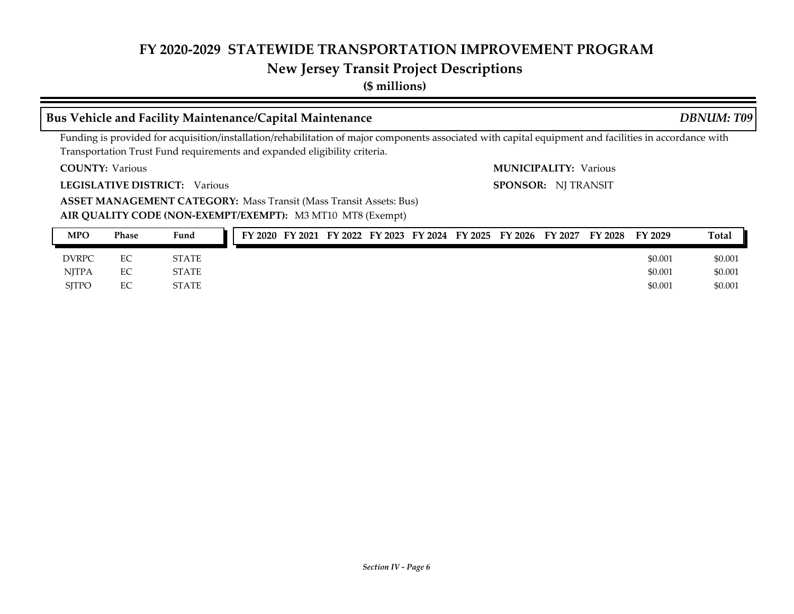#### **New Jersey Transit Project Descriptions**

**(\$ millions)**

#### **Bus Vehicle and Facility Maintenance/Capital Maintenance** *DBNUM: T09*

Funding is provided for acquisition/installation/rehabilitation of major components associated with capital equipment and facilities in accordance with Transportation Trust Fund requirements and expanded eligibility criteria.

**COUNTY:** Various Various **MUNICIPALITY:**

**LEGISLATIVE DISTRICT:** Various

**ASSET MANAGEMENT CATEGORY: Mass Transit (Mass Transit Assets: Bus)** 

**AIR QUALITY CODE (NON-EXEMPT/EXEMPT):** M3 MT10 MT8 (Exempt)

| <b>MPO</b>   | Phase | Fund         |  |  |  | FY 2020 FY 2021 FY 2022 FY 2023 FY 2024 FY 2025 FY 2026 FY 2027 | FY 2028 | FY 2029 | Total   |
|--------------|-------|--------------|--|--|--|-----------------------------------------------------------------|---------|---------|---------|
| <b>DVRPC</b> | EС    | <b>STATE</b> |  |  |  |                                                                 |         | \$0.001 | \$0.001 |
| <b>NITPA</b> | EС    | <b>STATE</b> |  |  |  |                                                                 |         | \$0.001 | \$0.001 |
| <b>SITPO</b> | EC    | <b>STATE</b> |  |  |  |                                                                 |         | \$0.001 | \$0.001 |

**SPONSOR:** NJ TRANSIT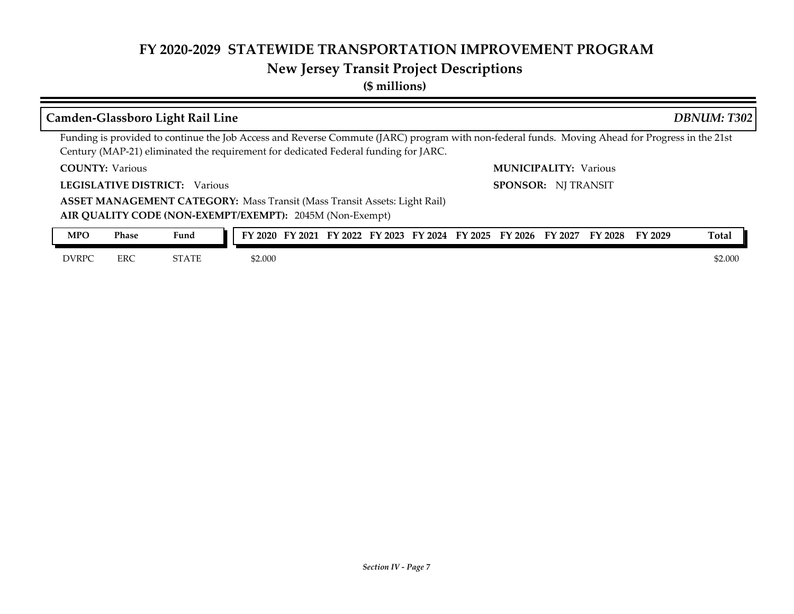# **New Jersey Transit Project Descriptions**

**(\$ millions)**

|                        |            | Camden-Glassboro Light Rail Line                                                                                                                                                                                                       |                                                                         |  |  |                              |  |                | DBNUM: T302  |
|------------------------|------------|----------------------------------------------------------------------------------------------------------------------------------------------------------------------------------------------------------------------------------------|-------------------------------------------------------------------------|--|--|------------------------------|--|----------------|--------------|
|                        |            | Funding is provided to continue the Job Access and Reverse Commute (JARC) program with non-federal funds. Moving Ahead for Progress in the 21st<br>Century (MAP-21) eliminated the requirement for dedicated Federal funding for JARC. |                                                                         |  |  |                              |  |                |              |
| <b>COUNTY: Various</b> |            |                                                                                                                                                                                                                                        |                                                                         |  |  | <b>MUNICIPALITY: Various</b> |  |                |              |
|                        |            | <b>LEGISLATIVE DISTRICT:</b> Various                                                                                                                                                                                                   |                                                                         |  |  | <b>SPONSOR: NJ TRANSIT</b>   |  |                |              |
|                        |            | <b>ASSET MANAGEMENT CATEGORY: Mass Transit (Mass Transit Assets: Light Rail)</b><br>AIR QUALITY CODE (NON-EXEMPT/EXEMPT): 2045M (Non-Exempt)                                                                                           |                                                                         |  |  |                              |  |                |              |
| <b>MPO</b>             | Phase      | Fund                                                                                                                                                                                                                                   | FY 2020 FY 2021 FY 2022 FY 2023 FY 2024 FY 2025 FY 2026 FY 2027 FY 2028 |  |  |                              |  | <b>FY 2029</b> | <b>Total</b> |
|                        |            |                                                                                                                                                                                                                                        |                                                                         |  |  |                              |  |                |              |
| <b>DVRPC</b>           | <b>ERC</b> | STATE                                                                                                                                                                                                                                  | \$2.000                                                                 |  |  |                              |  |                | \$2.000      |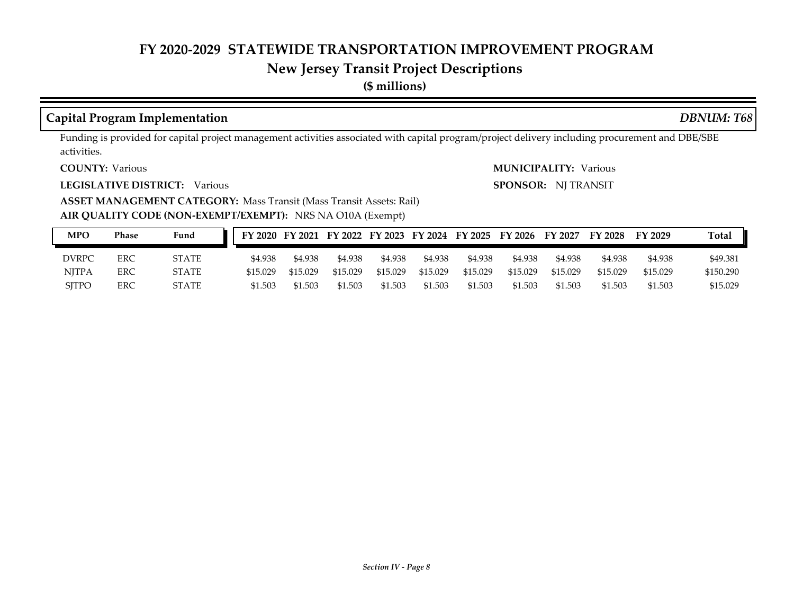# **New Jersey Transit Project Descriptions**

**(\$ millions)**

#### **Capital Program Implementation** *DBNUM: T68*

Funding is provided for capital project management activities associated with capital program/project delivery including procurement and DBE/SBE activities.

**COUNTY:**

**LEGISLATIVE DISTRICT:** Various

Various Various **MUNICIPALITY: SPONSOR:** NJ TRANSIT

**ASSET MANAGEMENT CATEGORY: Mass Transit (Mass Transit Assets: Rail)** 

**AIR QUALITY CODE (NON-EXEMPT/EXEMPT):** NRS NA O10A (Exempt)

| MPO          | Phase | Fund         |          |          |          |          |          |          | FY 2020 FY 2021 FY 2022 FY 2023 FY 2024 FY 2025 FY 2026 FY 2027 |          | FY 2028  | FY 2029  | <b>Total</b> |
|--------------|-------|--------------|----------|----------|----------|----------|----------|----------|-----------------------------------------------------------------|----------|----------|----------|--------------|
| <b>DVRPC</b> | ERC   | STATE        | \$4.938  | \$4.938  | \$4.938  | \$4.938  | \$4.938  | \$4.938  | \$4.938                                                         | \$4.938  | \$4.938  | \$4.938  | \$49.381     |
| <b>NITPA</b> | ERC   | <b>STATE</b> | \$15.029 | \$15.029 | \$15.029 | \$15.029 | \$15.029 | \$15.029 | \$15.029                                                        | \$15.029 | \$15.029 | \$15.029 | \$150.290    |
| <b>SITPO</b> | ERC   | <b>STATE</b> | \$1.503  | \$1.503  | \$1.503  | \$1.503  | \$1.503  | \$1.503  | \$1.503                                                         | \$1.503  | \$1.503  | \$1.503  | \$15.029     |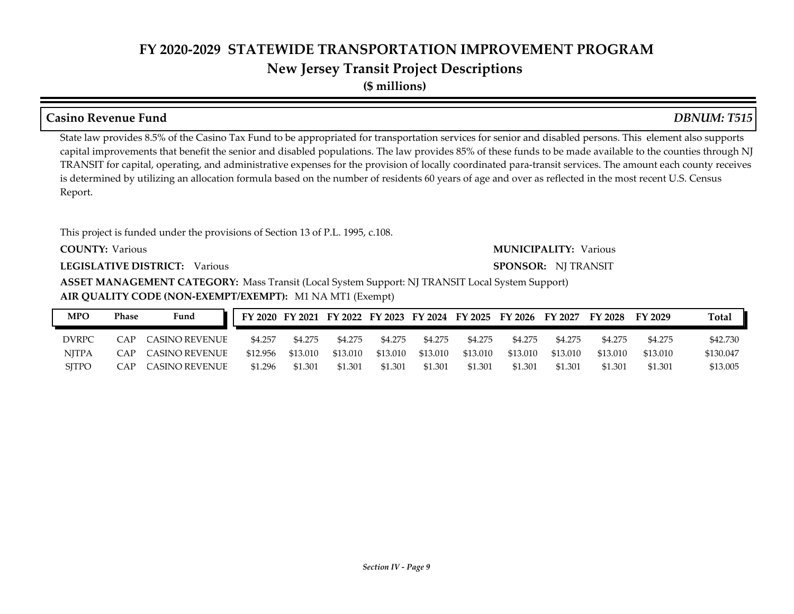**(\$ millions)**

### **COUNTY: LEGISLATIVE DISTRICT:** Various **AIR QUALITY CODE (NON-EXEMPT/EXEMPT):** M1 NA MT1 (Exempt) Various Various **MUNICIPALITY: ASSET MANAGEMENT CATEGORY:** Mass Transit (Local System Support: NJ TRANSIT Local System Support) State law provides 8.5% of the Casino Tax Fund to be appropriated for transportation services for senior and disabled persons. This element also supports capital improvements that benefit the senior and disabled populations. The law provides 85% of these funds to be made available to the counties through NJ TRANSIT for capital, operating, and administrative expenses for the provision of locally coordinated para-transit services. The amount each county receives is determined by utilizing an allocation formula based on the number of residents 60 years of age and over as reflected in the most recent U.S. Census Report. This project is funded under the provisions of Section 13 of P.L. 1995, c.108. **SPONSOR:** NJ TRANSIT **Casino Revenue Fund** *DBNUM: T515* **MPO Phase Fund FY 2020 FY 2021 FY 2022 FY 2023 FY 2024 FY 2025 FY 2026 FY 2027 FY 2028 FY 2029 Total**

| MPO          | Phase          | Fund               | FY 2020 FY 2021 FY 2022 FY 2023 FY 2024 FY 2025 FY 2026 FY 2027 FY 2028 FY 2029 |          |          |          |          |          |          |          |          |          | Total     |
|--------------|----------------|--------------------|---------------------------------------------------------------------------------|----------|----------|----------|----------|----------|----------|----------|----------|----------|-----------|
| DVRPC        | $\bigcap$ AP . | CASINO REVENUE     | \$4.257                                                                         | \$4.275  | \$4.275  | \$4.275  | \$4.275  | \$4.275  | \$4.275  | \$4.275  | \$4.275  | \$4.275  | \$42.730  |
| <b>NITPA</b> |                | CAP CASINO REVENUE | \$12.956                                                                        | \$13.010 | \$13.010 | \$13.010 | \$13.010 | \$13.010 | \$13.010 | \$13.010 | \$13.010 | \$13.010 | \$130.047 |
| <b>SITPO</b> | CAP            | CASINO REVENUE     | \$1.296                                                                         | \$1.301  | \$1.301  | \$1.301  | \$1.301  | \$1.301  | \$1.301  | \$1.301  | \$1.301  | \$1.301  | \$13.005  |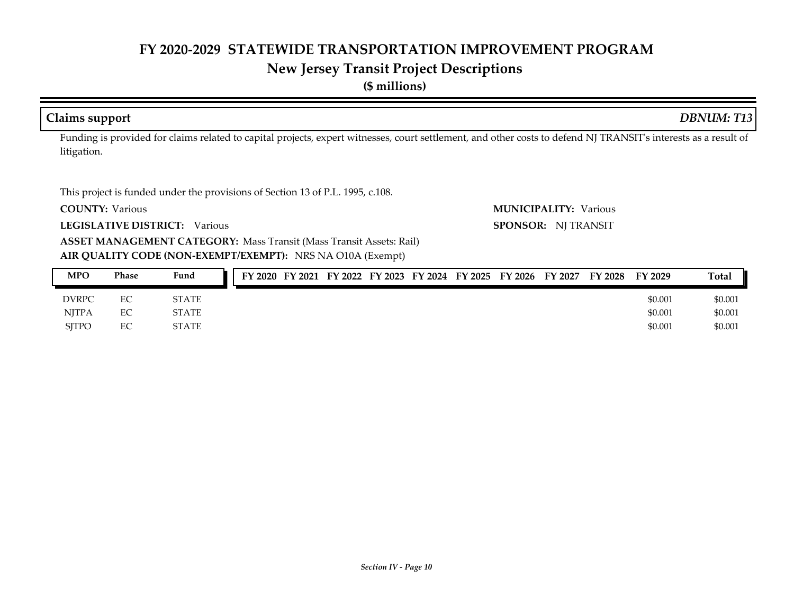# **New Jersey Transit Project Descriptions**

**(\$ millions)**

#### **Claims support** *DBNUM: T13*

Funding is provided for claims related to capital projects, expert witnesses, court settlement, and other costs to defend NJ TRANSIT's interests as a result of litigation.

This project is funded under the provisions of Section 13 of P.L. 1995, c.108.

**COUNTY:**

**LEGISLATIVE DISTRICT:** Various

Various Various **MUNICIPALITY: SPONSOR:** NJ TRANSIT

**AIR QUALITY CODE (NON-EXEMPT/EXEMPT):** NRS NA O10A (Exempt) **ASSET MANAGEMENT CATEGORY: Mass Transit (Mass Transit Assets: Rail)** 

| <b>MPO</b>   | Phase | Fund         | FY 2020 |  |  | FY 2021 FY 2022 FY 2023 FY 2024 FY 2025 FY 2026 | <b>FY 2027</b> | FY 2028 | FY 2029 | <b>Total</b> |
|--------------|-------|--------------|---------|--|--|-------------------------------------------------|----------------|---------|---------|--------------|
| <b>DVRPC</b> | EC    | <b>STATE</b> |         |  |  |                                                 |                |         | \$0.001 | \$0.001      |
| <b>NITPA</b> | EC    | <b>STATE</b> |         |  |  |                                                 |                |         | \$0.001 | \$0.001      |
| <b>SITPO</b> | EC    | STATE        |         |  |  |                                                 |                |         | \$0.001 | \$0.001      |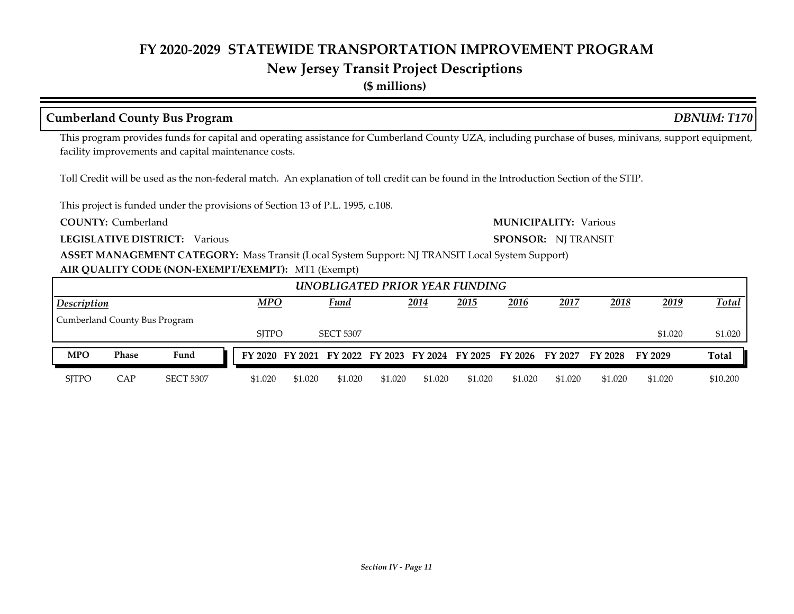## **New Jersey Transit Project Descriptions**

**(\$ millions)**

### **Cumberland County Bus Program** *DBNUM: T170*

This program provides funds for capital and operating assistance for Cumberland County UZA, including purchase of buses, minivans, support equipment, facility improvements and capital maintenance costs.

Toll Credit will be used as the non-federal match. An explanation of toll credit can be found in the Introduction Section of the STIP.

This project is funded under the provisions of Section 13 of P.L. 1995, c.108.

**COUNTY:**

**LEGISLATIVE DISTRICT:** Various

**Cumberland Communication Communication Communication Cumberland MUNICIPALITY:** Various

**SPONSOR:** NJ TRANSIT

**ASSET MANAGEMENT CATEGORY:** Mass Transit (Local System Support: NJ TRANSIT Local System Support)

#### **AIR QUALITY CODE (NON-EXEMPT/EXEMPT):** MT1 (Exempt)

|                                                                                                 |                                                                              |                  |  |         |         |         |         |         | UNOBLIGATED PRIOR YEAR FUNDING |         |         |                                                                                 |              |          |
|-------------------------------------------------------------------------------------------------|------------------------------------------------------------------------------|------------------|--|---------|---------|---------|---------|---------|--------------------------------|---------|---------|---------------------------------------------------------------------------------|--------------|----------|
| <b>MPO</b><br><b>Fund</b><br>2017<br>2018<br>2019<br>2014<br>2015<br>2016<br><b>Description</b> |                                                                              |                  |  |         |         |         |         |         |                                |         |         |                                                                                 | <b>Total</b> |          |
|                                                                                                 |                                                                              |                  |  |         |         |         |         |         |                                |         |         |                                                                                 |              |          |
|                                                                                                 | Cumberland County Bus Program<br><b>SITPO</b><br><b>SECT 5307</b><br>\$1.020 |                  |  |         |         |         |         |         |                                |         |         |                                                                                 | \$1.020      |          |
| <b>MPO</b>                                                                                      | Phase                                                                        | Fund             |  |         |         |         |         |         |                                |         |         | FY 2020 FY 2021 FY 2022 FY 2023 FY 2024 FY 2025 FY 2026 FY 2027 FY 2028 FY 2029 |              | Total    |
| <b>SITPO</b>                                                                                    | CAP                                                                          | <b>SECT 5307</b> |  | \$1.020 | \$1.020 | \$1.020 | \$1.020 | \$1.020 | \$1.020                        | \$1.020 | \$1.020 | \$1.020                                                                         | \$1.020      | \$10.200 |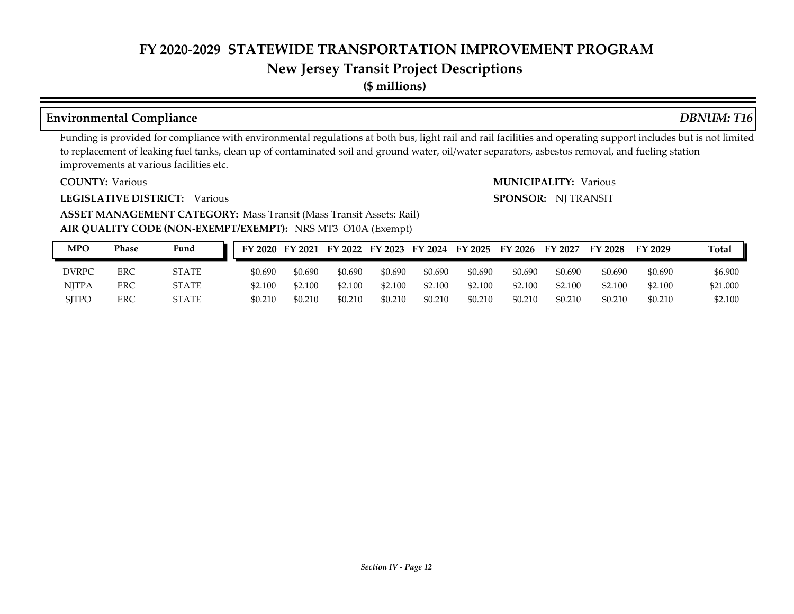#### **New Jersey Transit Project Descriptions**

**(\$ millions)**

#### **Environmental Compliance** *DBNUM: T16*

Funding is provided for compliance with environmental regulations at both bus, light rail and rail facilities and operating support includes but is not limited to replacement of leaking fuel tanks, clean up of contaminated soil and ground water, oil/water separators, asbestos removal, and fueling station improvements at various facilities etc.

**COUNTY:**

**LEGISLATIVE DISTRICT:** Various

Various Various **MUNICIPALITY: SPONSOR:** NJ TRANSIT

**AIR QUALITY CODE (NON-EXEMPT/EXEMPT):** NRS MT3 O10A (Exempt) **ASSET MANAGEMENT CATEGORY: Mass Transit (Mass Transit Assets: Rail)** 

| <b>MPO</b>   | <b>Phase</b> | Fund         |         |         |         |         |         |         | FY 2020 FY 2021 FY 2022 FY 2023 FY 2024 FY 2025 FY 2026 | FY 2027 | <b>FY 2028</b> | FY 2029 | Total    |
|--------------|--------------|--------------|---------|---------|---------|---------|---------|---------|---------------------------------------------------------|---------|----------------|---------|----------|
| DVRPC        | ERC          | STATE        | \$0.690 | \$0.690 | \$0.690 | \$0.690 | \$0.690 | \$0.690 | \$0.690                                                 | \$0.690 | \$0.690        | \$0.690 | \$6.900  |
| NITPA        | <b>ERC</b>   | <b>STATE</b> | \$2.100 | \$2.100 | \$2.100 | \$2.100 | \$2.100 | \$2.100 | \$2.100                                                 | \$2.100 | \$2.100        | \$2.100 | \$21.000 |
| <b>SITPO</b> | ERC          | STATE        | \$0.210 | \$0.210 | \$0.210 | \$0.210 | \$0.210 | \$0.210 | \$0.210                                                 | \$0.210 | \$0.210        | \$0.210 | \$2,100  |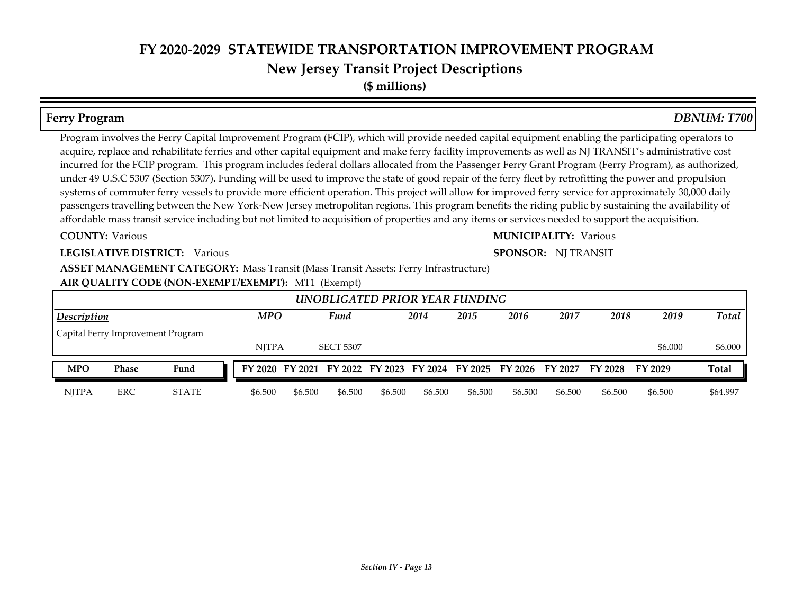**(\$ millions)**

#### **COUNTY: LEGISLATIVE DISTRICT:** Various **AIR QUALITY CODE (NON-EXEMPT/EXEMPT):** MT1 (Exempt) Various Various **MUNICIPALITY: ASSET MANAGEMENT CATEGORY: Mass Transit (Mass Transit Assets: Ferry Infrastructure)** Program involves the Ferry Capital Improvement Program (FCIP), which will provide needed capital equipment enabling the participating operators to acquire, replace and rehabilitate ferries and other capital equipment and make ferry facility improvements as well as NJ TRANSIT's administrative cost incurred for the FCIP program. This program includes federal dollars allocated from the Passenger Ferry Grant Program (Ferry Program), as authorized, under 49 U.S.C 5307 (Section 5307). Funding will be used to improve the state of good repair of the ferry fleet by retrofitting the power and propulsion systems of commuter ferry vessels to provide more efficient operation. This project will allow for improved ferry service for approximately 30,000 daily passengers travelling between the New York-New Jersey metropolitan regions. This program benefits the riding public by sustaining the availability of affordable mass transit service including but not limited to acquisition of properties and any items or services needed to support the acquisition. **SPONSOR:** NJ TRANSIT **Ferry Program** *DBNUM: T700 2014 2015 2016 2017 2018 2019* NJTPA SECT 5307 \$6.000 \$6.000 \$6.000  *UNOBLIGATED PRIOR YEAR FUNDING Description MPO Fund Total* Capital Ferry Improvement Program NJTPA ERC STATE \$6.500 \$6.500 \$6.500 \$6.500 \$6.500 \$6.500 \$6.500 \$6.500 \$6.500 \$6.500 \$64.997 **MPO Phase Fund FY 2020 FY 2021 FY 2022 FY 2023 FY 2024 FY 2025 FY 2026 FY 2027 FY 2028 FY 2029 Total**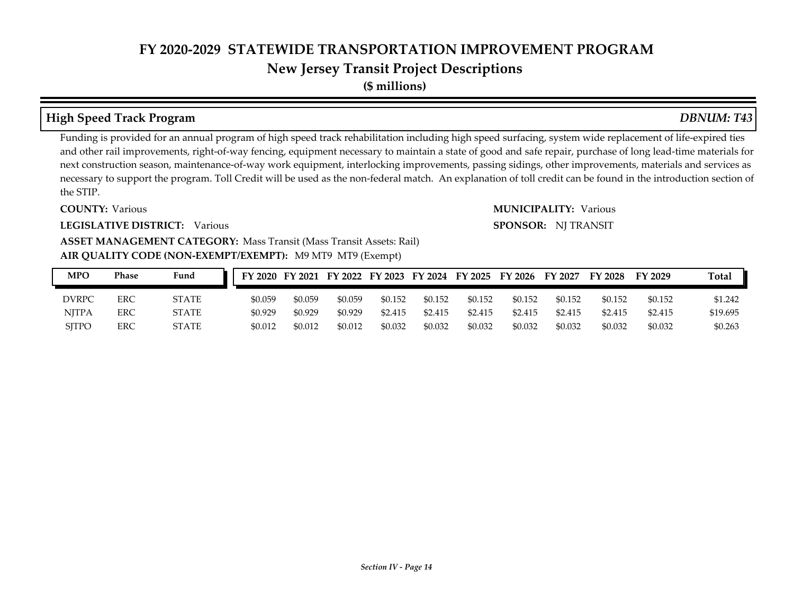# **New Jersey Transit Project Descriptions**

**(\$ millions)**

### **High Speed Track Program** *DBNUM: T43*

#### Funding is provided for an annual program of high speed track rehabilitation including high speed surfacing, system wide replacement of life-expired ties and other rail improvements, right-of-way fencing, equipment necessary to maintain a state of good and safe repair, purchase of long lead-time materials for next construction season, maintenance-of-way work equipment, interlocking improvements, passing sidings, other improvements, materials and services as necessary to support the program. Toll Credit will be used as the non-federal match. An explanation of toll credit can be found in the introduction section of the STIP.

#### **COUNTY:**

#### **LEGISLATIVE DISTRICT:** Various

#### Various Various **MUNICIPALITY: SPONSOR:** NJ TRANSIT

#### **AIR QUALITY CODE (NON-EXEMPT/EXEMPT):** M9 MT9 MT9 (Exempt) **ASSET MANAGEMENT CATEGORY: Mass Transit (Mass Transit Assets: Rail)**

| <b>MPO</b>   | Phase | Fund         |         |         |         |         |         |         | FY 2020 FY 2021 FY 2022 FY 2023 FY 2024 FY 2025 FY 2026 FY 2027 |         | FY 2028 | FY 2029 | <b>Total</b> |
|--------------|-------|--------------|---------|---------|---------|---------|---------|---------|-----------------------------------------------------------------|---------|---------|---------|--------------|
| <b>DVRPC</b> | ERC   | <b>STATE</b> | \$0.059 | \$0.059 | \$0.059 | \$0.152 | \$0.152 | \$0.152 | \$0.152                                                         | \$0.152 | \$0.152 | \$0.152 | \$1.242      |
| <b>NITPA</b> | ERC   | <b>STATE</b> | \$0.929 | \$0.929 | \$0.929 | \$2.415 | \$2.415 | \$2.415 | \$2.415                                                         | \$2.415 | \$2.415 | \$2.415 | \$19.695     |
| <b>SITPO</b> | ERC   | <b>STATE</b> | \$0.012 | \$0.012 | \$0.012 | \$0.032 | \$0.032 | \$0.032 | \$0.032                                                         | \$0.032 | \$0.032 | \$0.032 | \$0.263      |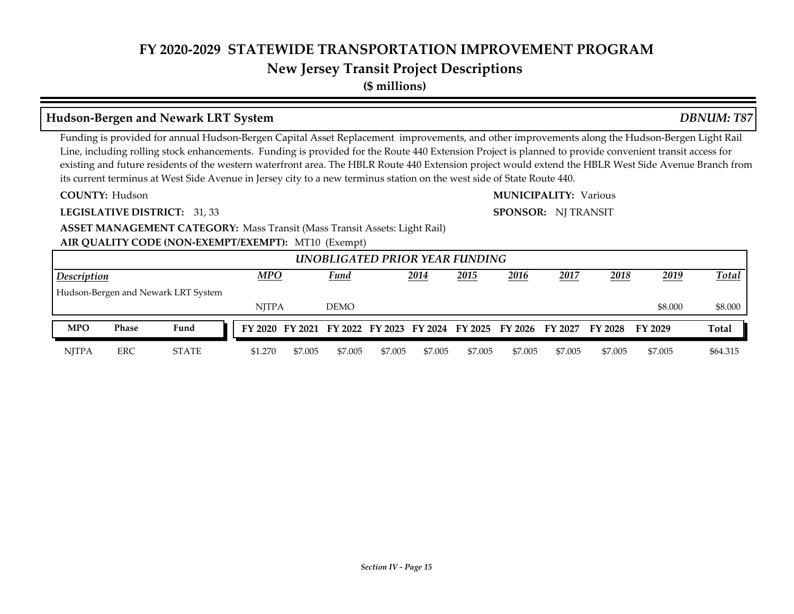## **New Jersey Transit Project Descriptions**

**(\$ millions)**

#### **Hudson-Bergen and Newark LRT System** *DBNUM: T87*

Funding is provided for annual Hudson-Bergen Capital Asset Replacement improvements, and other improvements along the Hudson-Bergen Light Rail Line, including rolling stock enhancements. Funding is provided for the Route 440 Extension Project is planned to provide convenient transit access for existing and future residents of the western waterfront area. The HBLR Route 440 Extension project would extend the HBLR West Side Avenue Branch from its current terminus at West Side Avenue in Jersey city to a new terminus station on the west side of State Route 440.

**COUNTY:**

**LEGISLATIVE DISTRICT:** 31, 33

Hudson Various **MUNICIPALITY:**

**SPONSOR:** NJ TRANSIT

**AIR QUALITY CODE (NON-EXEMPT/EXEMPT):** MT10 (Exempt) **ASSET MANAGEMENT CATEGORY: Mass Transit (Mass Transit Assets: Light Rail)** 

|                                                                                   |       |                                     |              |         |             |         |         | UNOBLIGATED PRIOR YEAR FUNDING |                                                                 |         |                 |         |              |
|-----------------------------------------------------------------------------------|-------|-------------------------------------|--------------|---------|-------------|---------|---------|--------------------------------|-----------------------------------------------------------------|---------|-----------------|---------|--------------|
| MPO<br>2016<br>2018<br>Fund<br>2014<br>2015<br>2019<br>2017<br><b>Description</b> |       |                                     |              |         |             |         |         |                                |                                                                 |         |                 |         | Total        |
|                                                                                   |       | Hudson-Bergen and Newark LRT System |              |         |             |         |         |                                |                                                                 |         |                 |         |              |
|                                                                                   |       |                                     | <b>NITPA</b> |         | <b>DEMO</b> |         |         |                                |                                                                 |         |                 | \$8,000 | \$8.000      |
| <b>MPO</b>                                                                        | Phase | Fund                                |              |         |             |         |         |                                | FY 2020 FY 2021 FY 2022 FY 2023 FY 2024 FY 2025 FY 2026 FY 2027 |         | FY 2028 FY 2029 |         | <b>Total</b> |
| <b>NJTPA</b>                                                                      | ERC   | <b>STATE</b>                        | \$1.270      | \$7,005 | \$7,005     | \$7,005 | \$7,005 | \$7.005                        | \$7,005                                                         | \$7,005 | \$7,005         | \$7,005 | \$64.315     |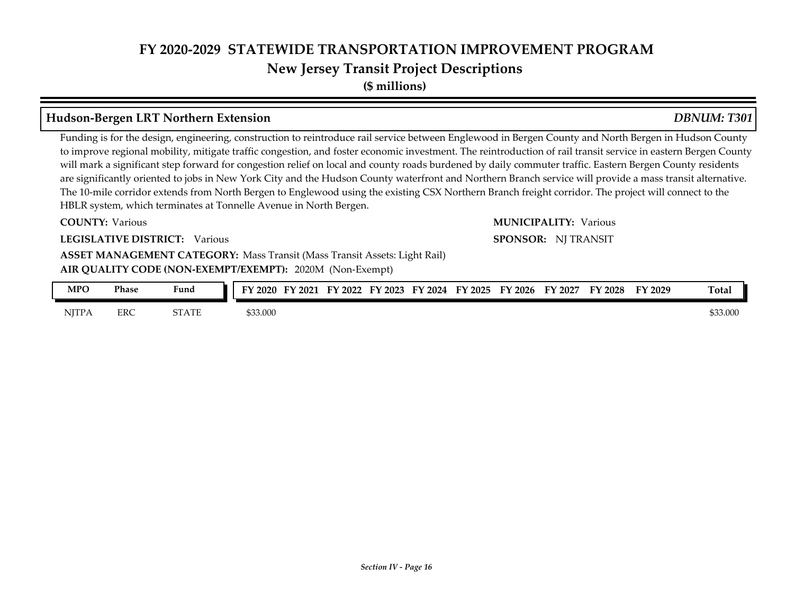**(\$ millions)**

#### **Hudson-Bergen LRT Northern Extension** *DBNUM: T301*

Funding is for the design, engineering, construction to reintroduce rail service between Englewood in Bergen County and North Bergen in Hudson County to improve regional mobility, mitigate traffic congestion, and foster economic investment. The reintroduction of rail transit service in eastern Bergen County will mark a significant step forward for congestion relief on local and county roads burdened by daily commuter traffic. Eastern Bergen County residents are significantly oriented to jobs in New York City and the Hudson County waterfront and Northern Branch service will provide a mass transit alternative. The 10-mile corridor extends from North Bergen to Englewood using the existing CSX Northern Branch freight corridor. The project will connect to the HBLR system, which terminates at Tonnelle Avenue in North Bergen.

#### **COUNTY:**

**LEGISLATIVE DISTRICT:** Various

**AIR QUALITY CODE (NON-EXEMPT/EXEMPT):** 2020M (Non-Exempt) **ASSET MANAGEMENT CATEGORY: Mass Transit (Mass Transit Assets: Light Rail)** 

| MPO          | <b>Phase</b> | Fund  | 2020     | $\nabla$ 2021 | FY 2022 | 2023<br>EV. | FY 2024 | FY 2025 | $\nabla$ 2026 | FY 2027 | FY 2028 | FY 2029 | Total    |
|--------------|--------------|-------|----------|---------------|---------|-------------|---------|---------|---------------|---------|---------|---------|----------|
| <b>NJTPA</b> | ERC          | STATE | \$33.000 |               |         |             |         |         |               |         |         |         | \$33.000 |

# Various Various **MUNICIPALITY:**

**SPONSOR:** NJ TRANSIT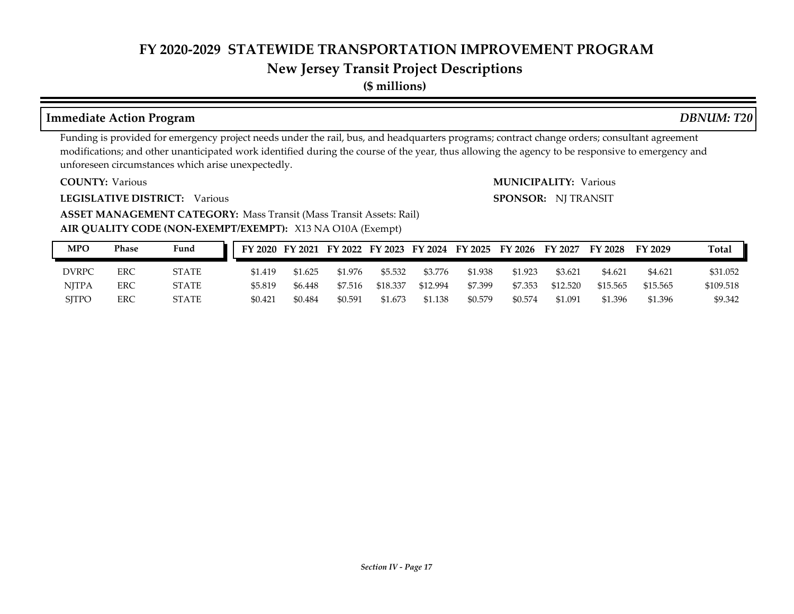## **New Jersey Transit Project Descriptions**

**(\$ millions)**

#### **Immediate Action Program** *DBNUM: T20*

Funding is provided for emergency project needs under the rail, bus, and headquarters programs; contract change orders; consultant agreement modifications; and other unanticipated work identified during the course of the year, thus allowing the agency to be responsive to emergency and unforeseen circumstances which arise unexpectedly.

**COUNTY:**

**LEGISLATIVE DISTRICT:** Various

Various Various **MUNICIPALITY: SPONSOR:** NJ TRANSIT

**AIR QUALITY CODE (NON-EXEMPT/EXEMPT):** X13 NA O10A (Exempt) **ASSET MANAGEMENT CATEGORY: Mass Transit (Mass Transit Assets: Rail)** 

| MPO          | Phase | Fund  |         |         | FY 2020 FY 2021 FY 2022 FY 2023 FY 2024 FY 2025 |          |          |         | FY 2026 FY 2027 |          | <b>FY 2028</b> | FY 2029  | <b>Total</b> |
|--------------|-------|-------|---------|---------|-------------------------------------------------|----------|----------|---------|-----------------|----------|----------------|----------|--------------|
| <b>DVRPC</b> | ERC   | STATE | \$1.419 | \$1.625 | \$1.976                                         | \$5.532  | \$3.776  | \$1.938 | \$1.923         | \$3.621  | \$4.621        | \$4.621  | \$31.052     |
| <b>NJTPA</b> | ERC   | STATE | \$5.819 | \$6.448 | \$7.516                                         | \$18,337 | \$12.994 | \$7.399 | \$7.353         | \$12.520 | \$15.565       | \$15.565 | \$109.518    |
| <b>SITPO</b> | ERC   | STATE | \$0.421 | \$0.484 | \$0.591                                         | \$1.673  | \$1.138  | \$0.579 | \$0.574         | \$1.091  | \$1.396        | \$1.396  | \$9.342      |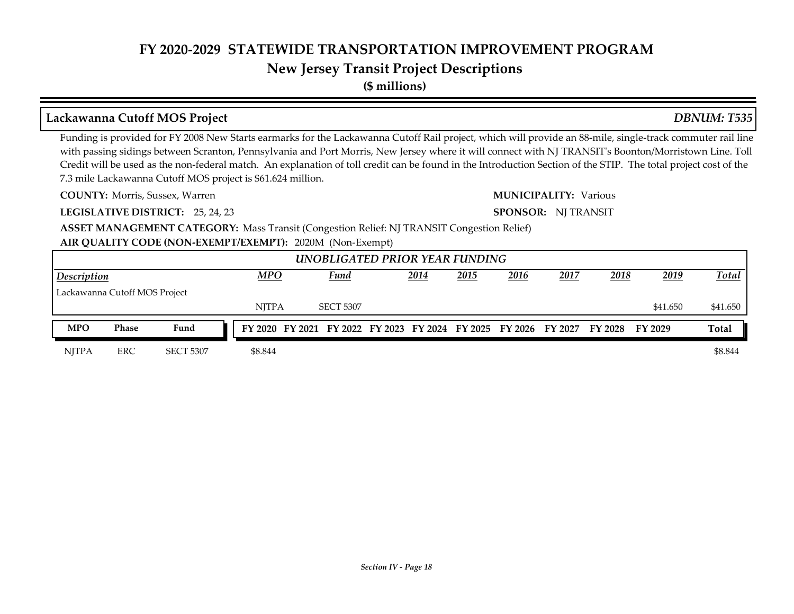## **New Jersey Transit Project Descriptions**

**(\$ millions)**

#### **Lackawanna Cutoff MOS Project** *DBNUM: T535*

Funding is provided for FY 2008 New Starts earmarks for the Lackawanna Cutoff Rail project, which will provide an 88-mile, single-track commuter rail line with passing sidings between Scranton, Pennsylvania and Port Morris, New Jersey where it will connect with NJ TRANSIT's Boonton/Morristown Line. Toll Credit will be used as the non-federal match. An explanation of toll credit can be found in the Introduction Section of the STIP. The total project cost of the 7.3 mile Lackawanna Cutoff MOS project is \$61.624 million.

**COUNTY:**

**LEGISLATIVE DISTRICT:** 25, 24, 23

Morris, Sussex, Warren **Various Communication Communication** Communication Communication Communication Communication

**SPONSOR:** NJ TRANSIT

**ASSET MANAGEMENT CATEGORY:** Mass Transit (Congestion Relief: NJ TRANSIT Congestion Relief)

**AIR QUALITY CODE (NON-EXEMPT/EXEMPT):** 2020M (Non-Exempt)

|                                                                                                                                  |       |                  |  |              |  | UNOBLIGATED PRIOR YEAR FUNDING |  |  |  |  |  |                                                                                 |          |              |
|----------------------------------------------------------------------------------------------------------------------------------|-------|------------------|--|--------------|--|--------------------------------|--|--|--|--|--|---------------------------------------------------------------------------------|----------|--------------|
| <b>MPO</b><br>2016<br>2018<br>2014<br>2015<br>2017<br><u>2019</u><br>Fund<br><b>Description</b><br>Lackawanna Cutoff MOS Project |       |                  |  |              |  |                                |  |  |  |  |  |                                                                                 |          | Total        |
|                                                                                                                                  |       |                  |  |              |  |                                |  |  |  |  |  |                                                                                 |          |              |
|                                                                                                                                  |       |                  |  | <b>NITPA</b> |  | <b>SECT 5307</b>               |  |  |  |  |  |                                                                                 | \$41.650 | \$41.650     |
| <b>MPO</b>                                                                                                                       | Phase | Fund             |  |              |  |                                |  |  |  |  |  | FY 2020 FY 2021 FY 2022 FY 2023 FY 2024 FY 2025 FY 2026 FY 2027 FY 2028 FY 2029 |          | <b>Total</b> |
| <b>NITPA</b>                                                                                                                     | ERC   | <b>SECT 5307</b> |  | \$8.844      |  |                                |  |  |  |  |  |                                                                                 |          | \$8.844      |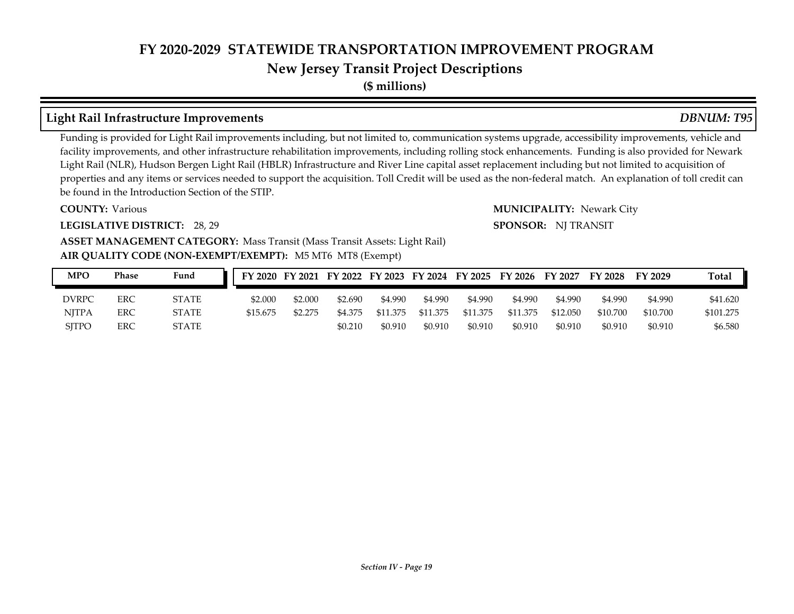# **New Jersey Transit Project Descriptions**

**(\$ millions)**

### **Light Rail Infrastructure Improvements** *DBNUM: T95*

Funding is provided for Light Rail improvements including, but not limited to, communication systems upgrade, accessibility improvements, vehicle and facility improvements, and other infrastructure rehabilitation improvements, including rolling stock enhancements. Funding is also provided for Newark Light Rail (NLR), Hudson Bergen Light Rail (HBLR) Infrastructure and River Line capital asset replacement including but not limited to acquisition of properties and any items or services needed to support the acquisition. Toll Credit will be used as the non-federal match. An explanation of toll credit can be found in the Introduction Section of the STIP.

#### **COUNTY:**

#### **LEGISLATIVE DISTRICT:** 28, 29

#### **Various** MUNICIPALITY: Newark City **SPONSOR:** NJ TRANSIT

#### **AIR QUALITY CODE (NON-EXEMPT/EXEMPT):** M5 MT6 MT8 (Exempt) **ASSET MANAGEMENT CATEGORY: Mass Transit (Mass Transit Assets: Light Rail)**

| <b>MPO</b>   | Phase | Fund         | FY 2020 FY 2021 FY 2022 FY 2023 FY 2024 FY 2025 FY 2026 FY 2027 |         |         |          |          |          |          |          | FY 2028  | FY 2029  | <b>Total</b> |
|--------------|-------|--------------|-----------------------------------------------------------------|---------|---------|----------|----------|----------|----------|----------|----------|----------|--------------|
| <b>DVRPC</b> | ERC   | <b>STATE</b> | \$2.000                                                         | \$2,000 | \$2.690 | \$4.990  | \$4.990  | \$4.990  | \$4.990  | \$4.990  | \$4.990  | \$4,990  | \$41.620     |
| <b>NITPA</b> | ERC   | <b>STATE</b> | \$15.675                                                        | \$2.275 | \$4.375 | \$11.375 | \$11.375 | \$11.375 | \$11.375 | \$12.050 | \$10.700 | \$10.700 | \$101.275    |
| <b>SITPO</b> | ERC   | <b>STATE</b> |                                                                 |         | \$0.210 | \$0.910  | \$0.910  | \$0.910  | \$0.910  | \$0.910  | \$0.910  | \$0.910  | \$6.580      |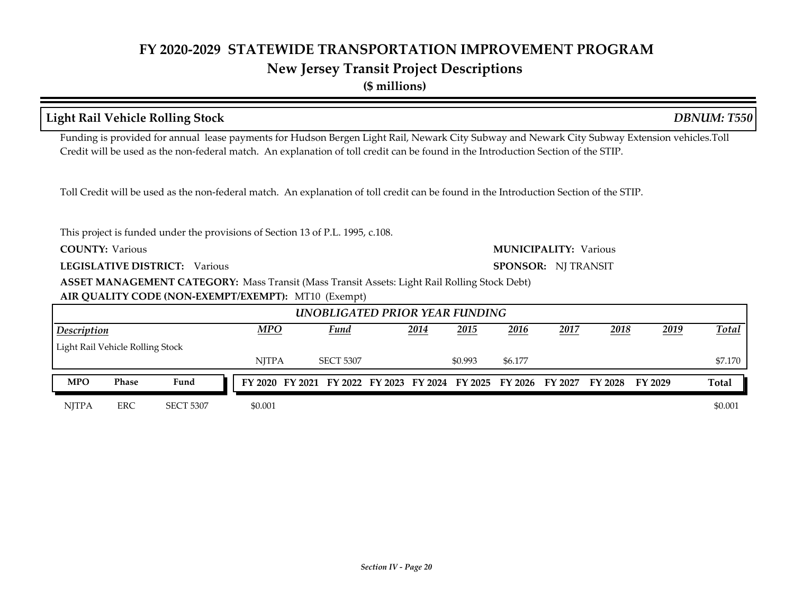**(\$ millions)**

|                                                                                                                                          |                                  | <b>Light Rail Vehicle Rolling Stock</b>                                                                                                                                                                                                                                             |  |              |  |                  |  |      |                                                         |         |                     |                |         | <b>DBNUM: T550</b> |
|------------------------------------------------------------------------------------------------------------------------------------------|----------------------------------|-------------------------------------------------------------------------------------------------------------------------------------------------------------------------------------------------------------------------------------------------------------------------------------|--|--------------|--|------------------|--|------|---------------------------------------------------------|---------|---------------------|----------------|---------|--------------------|
|                                                                                                                                          |                                  | Funding is provided for annual lease payments for Hudson Bergen Light Rail, Newark City Subway and Newark City Subway Extension vehicles. Toll<br>Credit will be used as the non-federal match. An explanation of toll credit can be found in the Introduction Section of the STIP. |  |              |  |                  |  |      |                                                         |         |                     |                |         |                    |
|                                                                                                                                          |                                  | Toll Credit will be used as the non-federal match. An explanation of toll credit can be found in the Introduction Section of the STIP.                                                                                                                                              |  |              |  |                  |  |      |                                                         |         |                     |                |         |                    |
|                                                                                                                                          |                                  |                                                                                                                                                                                                                                                                                     |  |              |  |                  |  |      |                                                         |         |                     |                |         |                    |
| This project is funded under the provisions of Section 13 of P.L. 1995, c.108.<br><b>COUNTY: Various</b><br><b>MUNICIPALITY: Various</b> |                                  |                                                                                                                                                                                                                                                                                     |  |              |  |                  |  |      |                                                         |         |                     |                |         |                    |
|                                                                                                                                          |                                  | LEGISLATIVE DISTRICT: Various                                                                                                                                                                                                                                                       |  |              |  |                  |  |      |                                                         |         | SPONSOR: NJ TRANSIT |                |         |                    |
|                                                                                                                                          |                                  | <b>ASSET MANAGEMENT CATEGORY:</b> Mass Transit (Mass Transit Assets: Light Rail Rolling Stock Debt)                                                                                                                                                                                 |  |              |  |                  |  |      |                                                         |         |                     |                |         |                    |
|                                                                                                                                          |                                  | AIR QUALITY CODE (NON-EXEMPT/EXEMPT): MT10 (Exempt)                                                                                                                                                                                                                                 |  |              |  |                  |  |      |                                                         |         |                     |                |         |                    |
|                                                                                                                                          |                                  |                                                                                                                                                                                                                                                                                     |  |              |  |                  |  |      | UNOBLIGATED PRIOR YEAR FUNDING                          |         |                     |                |         |                    |
| Description                                                                                                                              |                                  |                                                                                                                                                                                                                                                                                     |  | <b>MPO</b>   |  | Fund             |  | 2014 | 2015                                                    | 2016    | 2017                | 2018           | 2019    | <b>Total</b>       |
|                                                                                                                                          | Light Rail Vehicle Rolling Stock |                                                                                                                                                                                                                                                                                     |  |              |  |                  |  |      |                                                         |         |                     |                |         |                    |
|                                                                                                                                          |                                  |                                                                                                                                                                                                                                                                                     |  | <b>NJTPA</b> |  | <b>SECT 5307</b> |  |      | \$0.993                                                 | \$6.177 |                     |                |         | \$7.170            |
| <b>MPO</b>                                                                                                                               | Phase                            | Fund                                                                                                                                                                                                                                                                                |  |              |  |                  |  |      | FY 2020 FY 2021 FY 2022 FY 2023 FY 2024 FY 2025 FY 2026 |         | FY 2027             | <b>FY 2028</b> | FY 2029 | Total              |
| <b>NJTPA</b>                                                                                                                             | <b>ERC</b>                       | <b>SECT 5307</b>                                                                                                                                                                                                                                                                    |  | \$0.001      |  |                  |  |      |                                                         |         |                     |                |         | \$0.001            |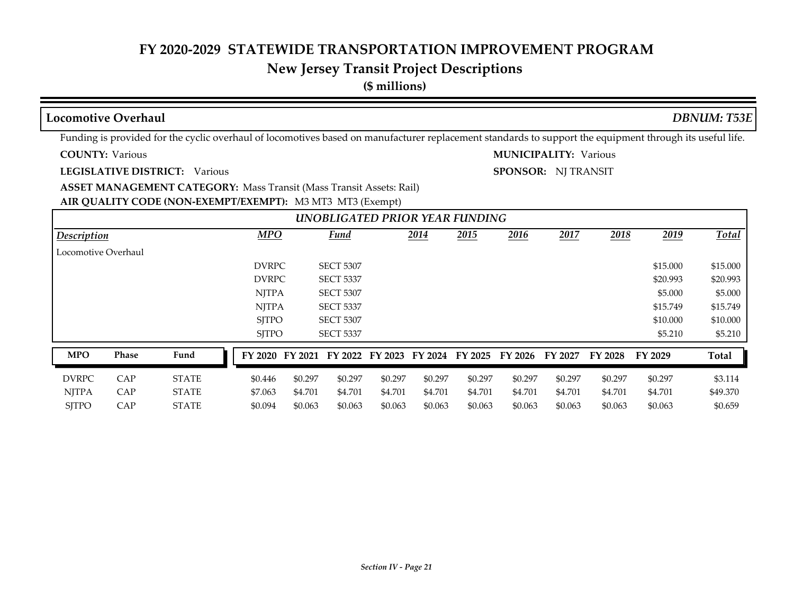#### **New Jersey Transit Project Descriptions**

**(\$ millions)**

#### **COUNTY: LEGISLATIVE DISTRICT:** Various **AIR QUALITY CODE (NON-EXEMPT/EXEMPT):** M3 MT3 MT3 (Exempt) Various Various **MUNICIPALITY: ASSET MANAGEMENT CATEGORY: Mass Transit (Mass Transit Assets: Rail)** Funding is provided for the cyclic overhaul of locomotives based on manufacturer replacement standards to support the equipment through its useful life. **SPONSOR:** NJ TRANSIT **Locomotive Overhaul** *DBNUM: T53E 2014 2015 2016 2017 2018 2019* PURPC SECT 5307 \$15.000 \$15.000 \$15.000 \$15.000 \$15.000 \$15.000 \$15.000 \$15.000 \$15.000 \$15.000 \$15.000 \$15.000 PURPC SECT 5337 \$20.993 \$20.993 \$20.993 NJTPA SECT 5307 \$5.000 \$5.000 \$5.000 \$5.000 \$5.000 \$5.000 \$5.000 \$5.000 \$5.000 \$5.000 \$5.000 \$5.000 \$5.000 \$5. NJTPA SECT 5337 \$15.749 \$15.749 \$15.749 SITPO SECT 5307 \$10.000 \$10.000 \$10.000 \$10.000 \$10.000 \$10.000 \$10.000 \$10.000 \$10.000 \$10.000 \$10.000 \$10.000 SJTPO SECT 5337 \$5.210 \$5.210 \$5.210  *UNOBLIGATED PRIOR YEAR FUNDING Description MPO Fund Total* Locomotive Overhaul DVRPC CAP STATE \$0.446 \$0.297 \$0.297 \$0.297 \$0.297 \$0.297 \$0.297 \$0.297 \$0.297 \$0.297 \$3.114 NJTPA CAP STATE \$7.063 \$4.701 \$4.701 \$4.701 \$4.701 \$4.701 \$4.701 \$4.701 \$4.701 \$4.701 \$49.370 SJTPO CAP STATE \$0.094 \$0.063 \$0.063 \$0.063 \$0.063 \$0.063 \$0.063 \$0.063 \$0.063 \$0.063 \$0.659 **MPO Phase Fund FY 2020 FY 2021 FY 2022 FY 2023 FY 2024 FY 2025 FY 2026 FY 2027 FY 2028 FY 2029 Total**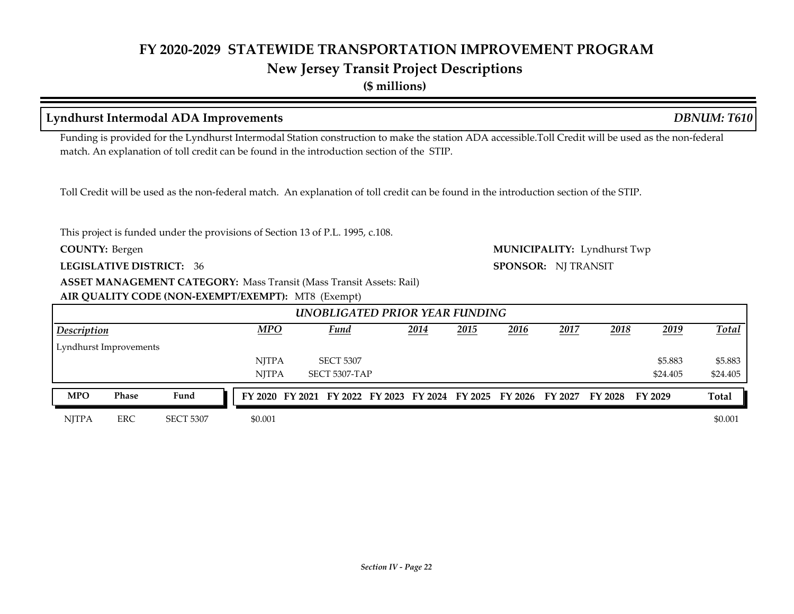#### **Lyndhurst Intermodal ADA Improvements** *DBNUM: T610*

Funding is provided for the Lyndhurst Intermodal Station construction to make the station ADA accessible.Toll Credit will be used as the non-federal match. An explanation of toll credit can be found in the introduction section of the STIP.

 *UNOBLIGATED PRIOR YEAR FUNDING Description MPO Fund Total*

**MPO Phase Fund FY 2020 FY 2021 FY 2022 FY 2023 FY 2024 FY 2025 FY 2026 FY 2027 FY 2028 FY 2029 Total**

Toll Credit will be used as the non-federal match. An explanation of toll credit can be found in the introduction section of the STIP.

This project is funded under the provisions of Section 13 of P.L. 1995, c.108.

**COUNTY:**

Lyndhurst Improvements

**LEGISLATIVE DISTRICT:** 36

**ASSET MANAGEMENT CATEGORY: Mass Transit (Mass Transit Assets: Rail)** 

**AIR QUALITY CODE (NON-EXEMPT/EXEMPT):** MT8 (Exempt)

Bergen Lyndhurst Twp **MUNICIPALITY: SPONSOR:** NJ TRANSIT

*2014 2015 2016 2017 2018 2019*

NJTPA SECT 5307 \$5.883 \$5.883 \$5.883 NJTPA SECT 5307-TAP \$24.405 \$24.405

NJTPA ERC SECT 5307 \$0.001 \$0.001

# **(\$ millions)**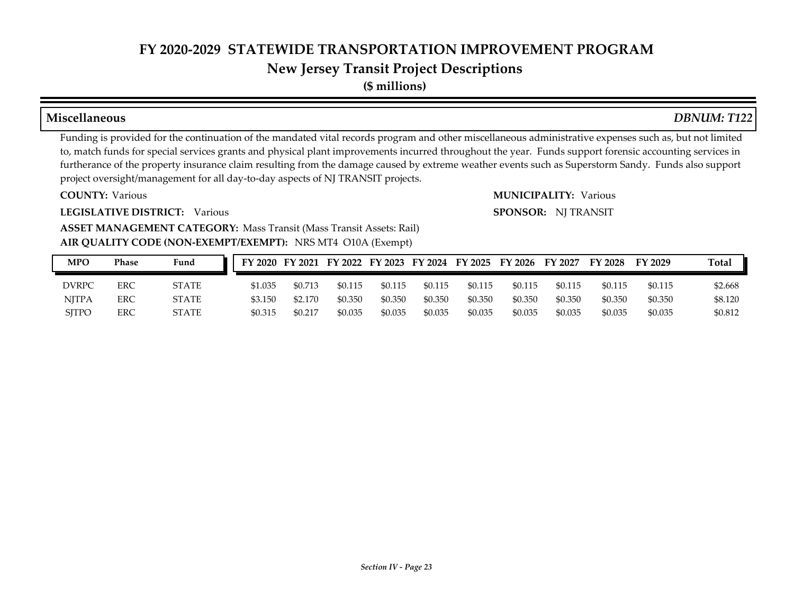# **New Jersey Transit Project Descriptions**

**(\$ millions)**

#### **Miscellaneous** *DBNUM: T122*

Funding is provided for the continuation of the mandated vital records program and other miscellaneous administrative expenses such as, but not limited to, match funds for special services grants and physical plant improvements incurred throughout the year. Funds support forensic accounting services in furtherance of the property insurance claim resulting from the damage caused by extreme weather events such as Superstorm Sandy. Funds also support project oversight/management for all day-to-day aspects of NJ TRANSIT projects.

**COUNTY:**

**LEGISLATIVE DISTRICT:** Various

Various Various **MUNICIPALITY: SPONSOR:** NJ TRANSIT

#### **AIR QUALITY CODE (NON-EXEMPT/EXEMPT):** NRS MT4 O10A (Exempt) **ASSET MANAGEMENT CATEGORY: Mass Transit (Mass Transit Assets: Rail)**

| <b>MPO</b>   | Phase | Fund         |         |         |         |         |         |         | FY 2020 FY 2021 FY 2022 FY 2023 FY 2024 FY 2025 FY 2026 FY 2027 |         | FY 2028 | <b>FY 2029</b> | <b>Total</b> |
|--------------|-------|--------------|---------|---------|---------|---------|---------|---------|-----------------------------------------------------------------|---------|---------|----------------|--------------|
| <b>DVRPC</b> | ERC   | <b>STATE</b> | \$1.035 | \$0.713 | \$0.115 | \$0.115 | \$0.115 | \$0.115 | \$0.115                                                         | \$0.115 | \$0.115 | \$0.115        | \$2.668      |
| <b>NITPA</b> | ERC   | <b>STATE</b> | \$3.150 | \$2.170 | \$0.350 | \$0.350 | \$0.350 | \$0.350 | \$0.350                                                         | \$0.350 | \$0.350 | \$0.350        | \$8.120      |
| <b>SITPO</b> | ERC   | <b>STATE</b> | \$0.315 | \$0.217 | \$0.035 | \$0.035 | \$0.035 | \$0.035 | \$0.035                                                         | \$0.035 | \$0.035 | \$0.035        | \$0.812      |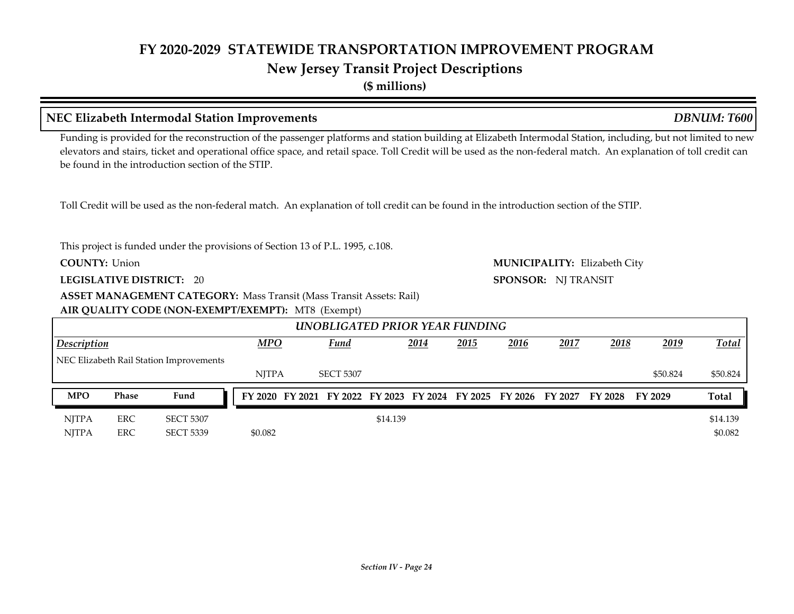**(\$ millions)**

|                                     |                                                                                                        | NEC Elizabeth Intermodal Station Improvements                                                                                                                                                                                                                                                                                                                                           |  |              |  |                                                 |          |      |      |         |                     |                |          | <b>DBNUM: T600</b> |  |
|-------------------------------------|--------------------------------------------------------------------------------------------------------|-----------------------------------------------------------------------------------------------------------------------------------------------------------------------------------------------------------------------------------------------------------------------------------------------------------------------------------------------------------------------------------------|--|--------------|--|-------------------------------------------------|----------|------|------|---------|---------------------|----------------|----------|--------------------|--|
|                                     |                                                                                                        | Funding is provided for the reconstruction of the passenger platforms and station building at Elizabeth Intermodal Station, including, but not limited to new<br>elevators and stairs, ticket and operational office space, and retail space. Toll Credit will be used as the non-federal match. An explanation of toll credit can<br>be found in the introduction section of the STIP. |  |              |  |                                                 |          |      |      |         |                     |                |          |                    |  |
|                                     |                                                                                                        | Toll Credit will be used as the non-federal match. An explanation of toll credit can be found in the introduction section of the STIP.                                                                                                                                                                                                                                                  |  |              |  |                                                 |          |      |      |         |                     |                |          |                    |  |
|                                     | This project is funded under the provisions of Section 13 of P.L. 1995, c.108.<br><b>COUNTY: Union</b> |                                                                                                                                                                                                                                                                                                                                                                                         |  |              |  |                                                 |          |      |      |         |                     |                |          |                    |  |
| <b>MUNICIPALITY: Elizabeth City</b> |                                                                                                        |                                                                                                                                                                                                                                                                                                                                                                                         |  |              |  |                                                 |          |      |      |         |                     |                |          |                    |  |
|                                     |                                                                                                        | <b>LEGISLATIVE DISTRICT: 20</b>                                                                                                                                                                                                                                                                                                                                                         |  |              |  |                                                 |          |      |      |         | SPONSOR: NJ TRANSIT |                |          |                    |  |
|                                     |                                                                                                        | <b>ASSET MANAGEMENT CATEGORY: Mass Transit (Mass Transit Assets: Rail)</b>                                                                                                                                                                                                                                                                                                              |  |              |  |                                                 |          |      |      |         |                     |                |          |                    |  |
|                                     |                                                                                                        | AIR QUALITY CODE (NON-EXEMPT/EXEMPT): MT8 (Exempt)                                                                                                                                                                                                                                                                                                                                      |  |              |  |                                                 |          |      |      |         |                     |                |          |                    |  |
|                                     |                                                                                                        |                                                                                                                                                                                                                                                                                                                                                                                         |  |              |  | UNOBLIGATED PRIOR YEAR FUNDING                  |          |      |      |         |                     |                |          |                    |  |
| Description                         |                                                                                                        |                                                                                                                                                                                                                                                                                                                                                                                         |  | <b>MPO</b>   |  | Fund                                            |          | 2014 | 2015 | 2016    | 2017                | 2018           | 2019     | Total              |  |
|                                     |                                                                                                        | NEC Elizabeth Rail Station Improvements                                                                                                                                                                                                                                                                                                                                                 |  |              |  |                                                 |          |      |      |         |                     |                |          |                    |  |
|                                     |                                                                                                        |                                                                                                                                                                                                                                                                                                                                                                                         |  | <b>NITPA</b> |  | <b>SECT 5307</b>                                |          |      |      |         |                     |                | \$50.824 | \$50.824           |  |
| <b>MPO</b>                          | Phase                                                                                                  | Fund                                                                                                                                                                                                                                                                                                                                                                                    |  |              |  | FY 2020 FY 2021 FY 2022 FY 2023 FY 2024 FY 2025 |          |      |      | FY 2026 | FY 2027             | <b>FY 2028</b> | FY 2029  | Total              |  |
| <b>NJTPA</b>                        | <b>ERC</b>                                                                                             | <b>SECT 5307</b>                                                                                                                                                                                                                                                                                                                                                                        |  |              |  |                                                 | \$14.139 |      |      |         |                     |                |          | \$14.139           |  |
| <b>NJTPA</b>                        | <b>ERC</b>                                                                                             | <b>SECT 5339</b>                                                                                                                                                                                                                                                                                                                                                                        |  | \$0.082      |  |                                                 |          |      |      |         |                     |                |          | \$0.082            |  |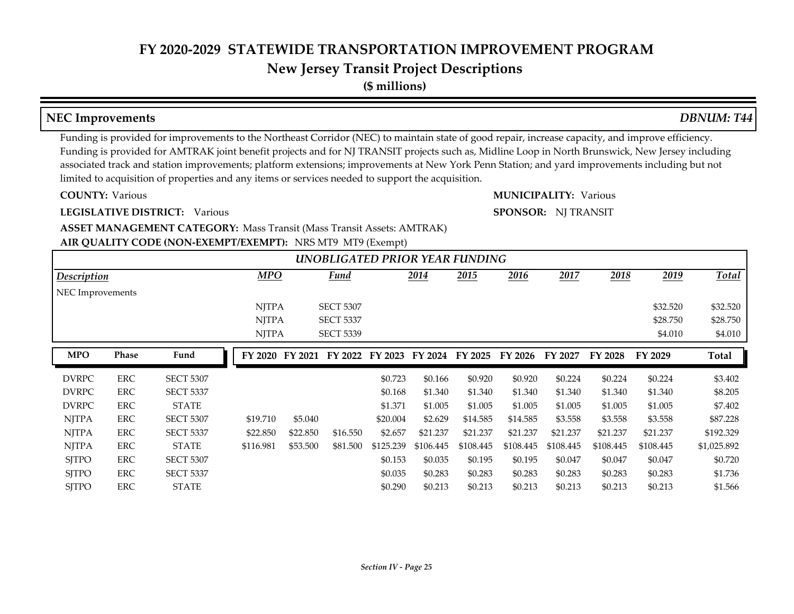## **New Jersey Transit Project Descriptions**

**(\$ millions)**

#### **NEC Improvements** *DBNUM: T44*

Funding is provided for improvements to the Northeast Corridor (NEC) to maintain state of good repair, increase capacity, and improve efficiency. Funding is provided for AMTRAK joint benefit projects and for NJ TRANSIT projects such as, Midline Loop in North Brunswick, New Jersey including associated track and station improvements; platform extensions; improvements at New York Penn Station; and yard improvements including but not limited to acquisition of properties and any items or services needed to support the acquisition.

**COUNTY:**

**LEGISLATIVE DISTRICT:** Various

Various Various **MUNICIPALITY:**

**SPONSOR:** NJ TRANSIT

#### **AIR QUALITY CODE (NON-EXEMPT/EXEMPT):** NRS MT9 MT9 (Exempt) **ASSET MANAGEMENT CATEGORY: Mass Transit (Mass Transit Assets: AMTRAK)**

|                  |              |                  |              |          | UNOBLIGATED PRIOR YEAR FUNDING |           |           |           |           |           |           |           |             |
|------------------|--------------|------------------|--------------|----------|--------------------------------|-----------|-----------|-----------|-----------|-----------|-----------|-----------|-------------|
| Description      |              |                  | <b>MPO</b>   |          | <b>Fund</b>                    |           | 2014      | 2015      | 2016      | 2017      | 2018      | 2019      | Total       |
| NEC Improvements |              |                  |              |          |                                |           |           |           |           |           |           |           |             |
|                  |              |                  | <b>NJTPA</b> |          | <b>SECT 5307</b>               |           |           |           |           |           |           | \$32.520  | \$32.520    |
|                  |              |                  | <b>NJTPA</b> |          | <b>SECT 5337</b>               |           |           |           |           |           |           | \$28.750  | \$28.750    |
|                  |              |                  | <b>NJTPA</b> |          | <b>SECT 5339</b>               |           |           |           |           |           |           | \$4.010   | \$4.010     |
| <b>MPO</b>       | <b>Phase</b> | Fund             | FY 2020      | FY 2021  | FY 2022                        | FY 2023   | FY 2024   | FY 2025   | FY 2026   | FY 2027   | FY 2028   | FY 2029   | Total       |
| <b>DVRPC</b>     | <b>ERC</b>   | <b>SECT 5307</b> |              |          |                                | \$0.723   | \$0.166   | \$0.920   | \$0.920   | \$0.224   | \$0.224   | \$0.224   | \$3.402     |
| <b>DVRPC</b>     | <b>ERC</b>   | <b>SECT 5337</b> |              |          |                                | \$0.168   | \$1.340   | \$1.340   | \$1.340   | \$1.340   | \$1.340   | \$1.340   | \$8.205     |
| <b>DVRPC</b>     | <b>ERC</b>   | <b>STATE</b>     |              |          |                                | \$1.371   | \$1.005   | \$1.005   | \$1.005   | \$1.005   | \$1.005   | \$1.005   | \$7.402     |
| <b>NJTPA</b>     | ERC          | <b>SECT 5307</b> | \$19.710     | \$5.040  |                                | \$20.004  | \$2.629   | \$14.585  | \$14.585  | \$3.558   | \$3.558   | \$3.558   | \$87.228    |
| <b>NJTPA</b>     | <b>ERC</b>   | <b>SECT 5337</b> | \$22.850     | \$22,850 | \$16.550                       | \$2.657   | \$21.237  | \$21.237  | \$21.237  | \$21.237  | \$21.237  | \$21.237  | \$192.329   |
| <b>NJTPA</b>     | ERC          | <b>STATE</b>     | \$116.981    | \$53.500 | \$81.500                       | \$125.239 | \$106.445 | \$108.445 | \$108.445 | \$108.445 | \$108.445 | \$108.445 | \$1,025.892 |
| <b>SJTPO</b>     | <b>ERC</b>   | <b>SECT 5307</b> |              |          |                                | \$0.153   | \$0.035   | \$0.195   | \$0.195   | \$0.047   | \$0.047   | \$0.047   | \$0.720     |
| <b>SJTPO</b>     | <b>ERC</b>   | <b>SECT 5337</b> |              |          |                                | \$0.035   | \$0.283   | \$0.283   | \$0.283   | \$0.283   | \$0.283   | \$0.283   | \$1.736     |
| <b>SJTPO</b>     | <b>ERC</b>   | <b>STATE</b>     |              |          |                                | \$0.290   | \$0.213   | \$0.213   | \$0.213   | \$0.213   | \$0.213   | \$0.213   | \$1.566     |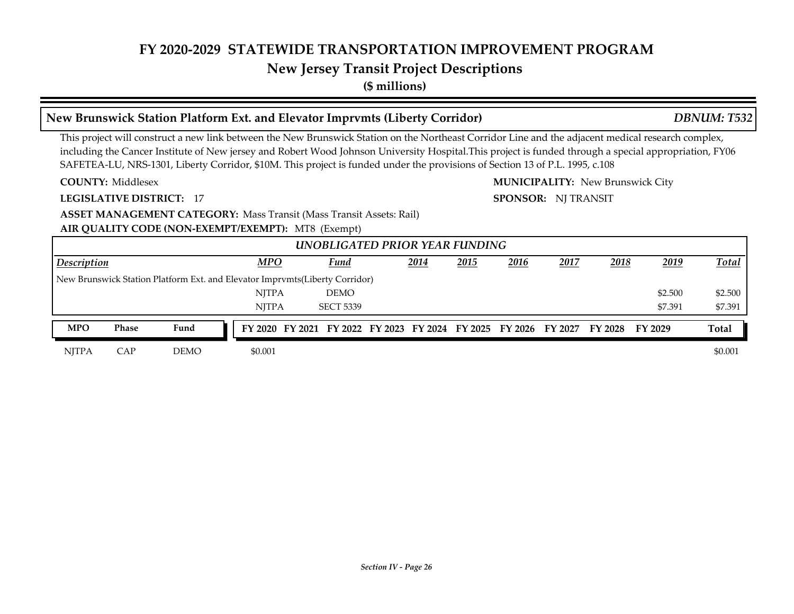#### **New Jersey Transit Project Descriptions**

**(\$ millions)**

#### **COUNTY: LEGISLATIVE DISTRICT:** 17 Middlesex **MUNICIPALITY:** New Brunswick City This project will construct a new link between the New Brunswick Station on the Northeast Corridor Line and the adjacent medical research complex, including the Cancer Institute of New jersey and Robert Wood Johnson University Hospital.This project is funded through a special appropriation, FY06 SAFETEA-LU, NRS-1301, Liberty Corridor, \$10M. This project is funded under the provisions of Section 13 of P.L. 1995, c.108 **SPONSOR:** NJ TRANSIT **New Brunswick Station Platform Ext. and Elevator Imprvmts (Liberty Corridor)** *DBNUM: T532*

**ASSET MANAGEMENT CATEGORY: Mass Transit (Mass Transit Assets: Rail)** 

**AIR QUALITY CODE (NON-EXEMPT/EXEMPT):** MT8 (Exempt)

|                    |            |                                                                              |              |                                                                         | UNOBLIGATED PRIOR YEAR FUNDING |      |      |      |      |      |         |              |
|--------------------|------------|------------------------------------------------------------------------------|--------------|-------------------------------------------------------------------------|--------------------------------|------|------|------|------|------|---------|--------------|
| <b>Description</b> |            |                                                                              | <b>MPO</b>   |                                                                         | <b>Fund</b>                    | 2014 | 2015 | 2016 | 2017 | 2018 | 2019    | <b>Total</b> |
|                    |            | New Brunswick Station Platform Ext. and Elevator Imprymts (Liberty Corridor) |              |                                                                         |                                |      |      |      |      |      |         |              |
|                    |            |                                                                              | <b>NITPA</b> |                                                                         | <b>DEMO</b>                    |      |      |      |      |      | \$2.500 | \$2.500      |
|                    |            |                                                                              | <b>NITPA</b> |                                                                         | <b>SECT 5339</b>               |      |      |      |      |      | \$7.391 | \$7.391      |
| <b>MPO</b>         | Phase      | Fund                                                                         |              | FY 2020 FY 2021 FY 2022 FY 2023 FY 2024 FY 2025 FY 2026 FY 2027 FY 2028 |                                |      |      |      |      |      | FY 2029 | <b>Total</b> |
| <b>NITPA</b>       | <b>CAP</b> | <b>DEMO</b>                                                                  | \$0.001      |                                                                         |                                |      |      |      |      |      |         | \$0.001      |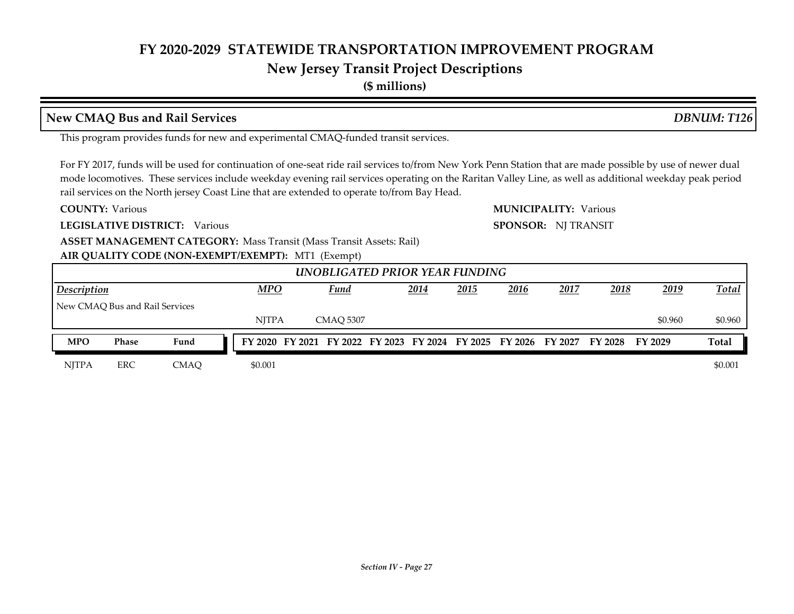### **New Jersey Transit Project Descriptions**

**(\$ millions)**

#### **New CMAQ Bus and Rail Services** *DBNUM: T126*

This program provides funds for new and experimental CMAQ-funded transit services.

For FY 2017, funds will be used for continuation of one-seat ride rail services to/from New York Penn Station that are made possible by use of newer dual mode locomotives. These services include weekday evening rail services operating on the Raritan Valley Line, as well as additional weekday peak period rail services on the North jersey Coast Line that are extended to operate to/from Bay Head.

**SPONSOR:** NJ TRANSIT

#### **COUNTY:** Various Various **MUNICIPALITY:**

**LEGISLATIVE DISTRICT:** Various

**AIR QUALITY CODE (NON-EXEMPT/EXEMPT):** MT1 (Exempt) **ASSET MANAGEMENT CATEGORY: Mass Transit (Mass Transit Assets: Rail)** 

## *2014 2015 2016 2017 2018 2019* NJTPA CMAQ 5307 \$0.960 \$0.960 \$0.960 \$0.960  *UNOBLIGATED PRIOR YEAR FUNDING Description MPO Fund Total* New CMAQ Bus and Rail Services NJTPA ERC CMAQ \$0.001 \$0.000 \$0.000 \$0.001 \$0.001 \$0.001 \$1.00 \$1.00 \$1.00 \$1.00 \$1.00 \$1.00 \$1.00 \$1.00 \$1.00 **MPO Phase Fund FY 2020 FY 2021 FY 2022 FY 2023 FY 2024 FY 2025 FY 2026 FY 2027 FY 2028 FY 2029 Total**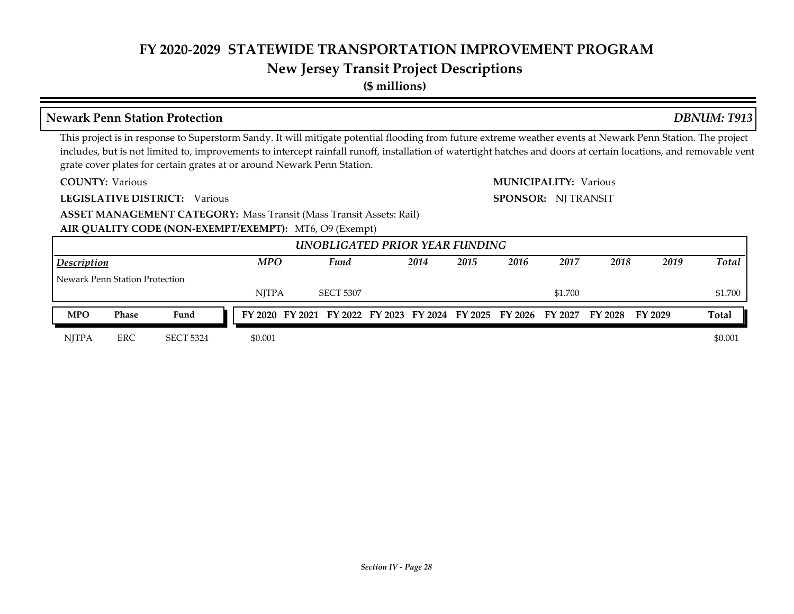### **New Jersey Transit Project Descriptions**

**(\$ millions)**

#### **COUNTY: LEGISLATIVE DISTRICT:** Various **AIR QUALITY CODE (NON-EXEMPT/EXEMPT):** MT6, O9 (Exempt) Various Various **MUNICIPALITY: ASSET MANAGEMENT CATEGORY: Mass Transit (Mass Transit Assets: Rail)** This project is in response to Superstorm Sandy. It will mitigate potential flooding from future extreme weather events at Newark Penn Station. The project includes, but is not limited to, improvements to intercept rainfall runoff, installation of watertight hatches and doors at certain locations, and removable vent grate cover plates for certain grates at or around Newark Penn Station. **SPONSOR:** NJ TRANSIT **Newark Penn Station Protection** *DBNUM: T913 2014 2015 2016 2017 2018 2019* NJTPA SECT 5307 \$1.700 \$1.700 \$1.700  *UNOBLIGATED PRIOR YEAR FUNDING Description MPO Fund Total* Newark Penn Station Protection NJTPA ERC SECT 5324 \$0.001 \$0.000 \$0.001 **MPO Phase Fund FY 2020 FY 2021 FY 2022 FY 2023 FY 2024 FY 2025 FY 2026 FY 2027 FY 2028 FY 2029 Total**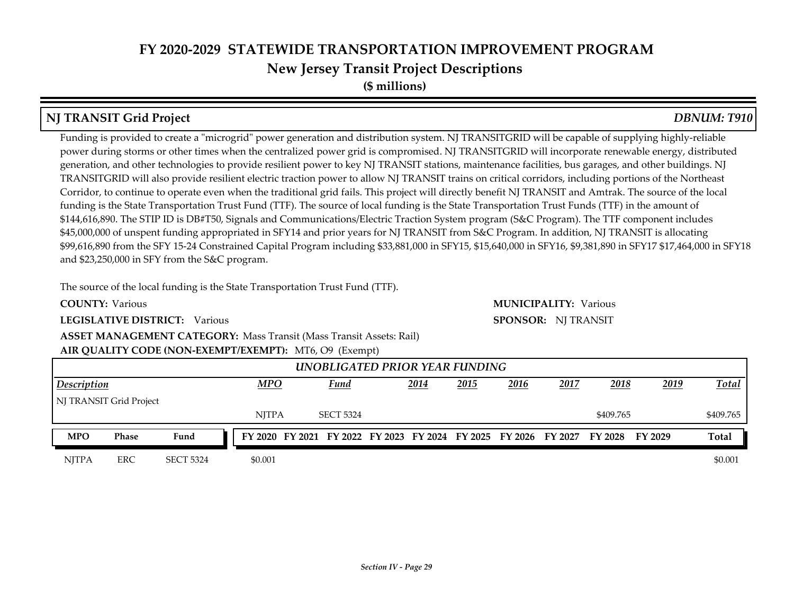**(\$ millions)**

### **NJ TRANSIT Grid Project** *DBNUM: T910*

Funding is provided to create a "microgrid" power generation and distribution system. NJ TRANSITGRID will be capable of supplying highly-reliable power during storms or other times when the centralized power grid is compromised. NJ TRANSITGRID will incorporate renewable energy, distributed generation, and other technologies to provide resilient power to key NJ TRANSIT stations, maintenance facilities, bus garages, and other buildings. NJ TRANSITGRID will also provide resilient electric traction power to allow NJ TRANSIT trains on critical corridors, including portions of the Northeast Corridor, to continue to operate even when the traditional grid fails. This project will directly benefit NJ TRANSIT and Amtrak. The source of the local funding is the State Transportation Trust Fund (TTF). The source of local funding is the State Transportation Trust Funds (TTF) in the amount of \$144,616,890. The STIP ID is DB#T50, Signals and Communications/Electric Traction System program (S&C Program). The TTF component includes \$45,000,000 of unspent funding appropriated in SFY14 and prior years for NJ TRANSIT from S&C Program. In addition, NJ TRANSIT is allocating \$99,616,890 from the SFY 15-24 Constrained Capital Program including \$33,881,000 in SFY15, \$15,640,000 in SFY16, \$9,381,890 in SFY17 \$17,464,000 in SFY18 and \$23,250,000 in SFY from the S&C program.

The source of the local funding is the State Transportation Trust Fund (TTF).

**COUNTY:**

**LEGISLATIVE DISTRICT:** Various

**ASSET MANAGEMENT CATEGORY: Mass Transit (Mass Transit Assets: Rail)** 

#### **AIR QUALITY CODE (NON-EXEMPT/EXEMPT):** MT6, O9 (Exempt)

|                                                                                                  |                                               |                  |  |         |  | UNOBLIGATED PRIOR YEAR FUNDING |  |  |  |  |           |                                                                                 |  |              |
|--------------------------------------------------------------------------------------------------|-----------------------------------------------|------------------|--|---------|--|--------------------------------|--|--|--|--|-----------|---------------------------------------------------------------------------------|--|--------------|
| <b>MPO</b><br>2018<br>2019<br>2014<br><u> 2015</u><br>2016<br>2017<br><b>Fund</b><br>Description |                                               |                  |  |         |  |                                |  |  |  |  |           |                                                                                 |  | <b>Total</b> |
| NJ TRANSIT Grid Project                                                                          |                                               |                  |  |         |  |                                |  |  |  |  |           |                                                                                 |  |              |
|                                                                                                  | <b>NITPA</b><br><b>SECT 5324</b><br>\$409.765 |                  |  |         |  |                                |  |  |  |  | \$409.765 |                                                                                 |  |              |
| <b>MPO</b>                                                                                       | Phase                                         | Fund             |  |         |  |                                |  |  |  |  |           | FY 2020 FY 2021 FY 2022 FY 2023 FY 2024 FY 2025 FY 2026 FY 2027 FY 2028 FY 2029 |  | <b>Total</b> |
| <b>NITPA</b>                                                                                     | <b>ERC</b>                                    | <b>SECT 5324</b> |  | \$0.001 |  |                                |  |  |  |  |           |                                                                                 |  | \$0.001      |

Various Various **MUNICIPALITY: SPONSOR:** NJ TRANSIT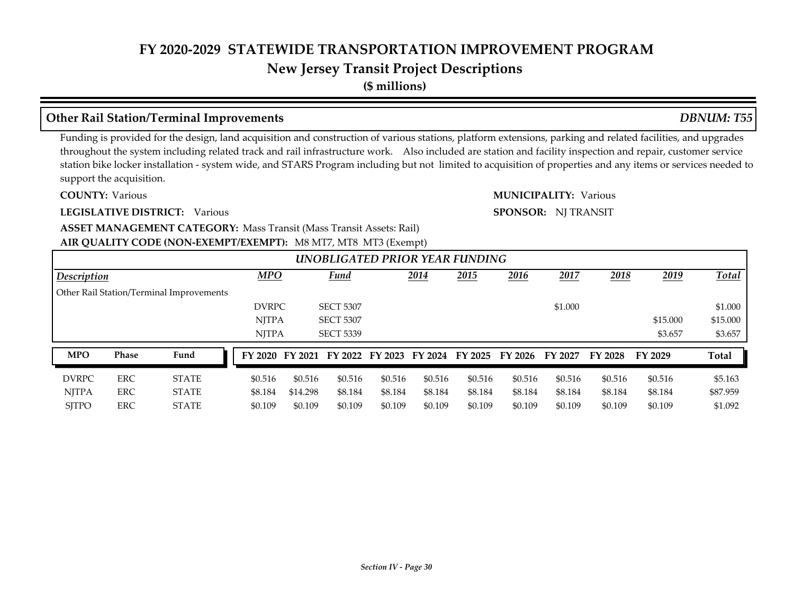## **New Jersey Transit Project Descriptions**

**(\$ millions)**

#### **Other Rail Station/Terminal Improvements** *DBNUM: T55*

Funding is provided for the design, land acquisition and construction of various stations, platform extensions, parking and related facilities, and upgrades throughout the system including related track and rail infrastructure work. Also included are station and facility inspection and repair, customer service station bike locker installation - system wide, and STARS Program including but not limited to acquisition of properties and any items or services needed to support the acquisition.

**COUNTY:**

**LEGISLATIVE DISTRICT:** Various

Various Various **MUNICIPALITY:**

**SPONSOR:** NJ TRANSIT

**AIR QUALITY CODE (NON-EXEMPT/EXEMPT):** M8 MT7, MT8 MT3 (Exempt) **ASSET MANAGEMENT CATEGORY: Mass Transit (Mass Transit Assets: Rail)** 

|              |            |                                          |              |          | $\frac{1}{2}$ , $\frac{1}{2}$ , $\frac{1}{2}$ , $\frac{1}{2}$ , $\frac{1}{2}$ , $\frac{1}{2}$ , $\frac{1}{2}$ , $\frac{1}{2}$ , $\frac{1}{2}$ , $\frac{1}{2}$ , $\frac{1}{2}$ |         |         |         |         |         |              |             |              |
|--------------|------------|------------------------------------------|--------------|----------|-------------------------------------------------------------------------------------------------------------------------------------------------------------------------------|---------|---------|---------|---------|---------|--------------|-------------|--------------|
|              |            |                                          |              |          | UNOBLIGATED PRIOR YEAR FUNDING                                                                                                                                                |         |         |         |         |         |              |             |              |
| Description  |            |                                          | <b>MPO</b>   |          | <b>Fund</b>                                                                                                                                                                   |         | 2014    | 2015    | 2016    | 2017    | <u> 2018</u> | <u>2019</u> | Total        |
|              |            | Other Rail Station/Terminal Improvements |              |          |                                                                                                                                                                               |         |         |         |         |         |              |             |              |
|              |            |                                          | <b>DVRPC</b> |          | <b>SECT 5307</b>                                                                                                                                                              |         |         |         |         | \$1.000 |              |             | \$1.000      |
|              |            |                                          | <b>NITPA</b> |          | <b>SECT 5307</b>                                                                                                                                                              |         |         |         |         |         |              | \$15.000    | \$15.000     |
|              |            |                                          | <b>NITPA</b> |          | <b>SECT 5339</b>                                                                                                                                                              |         |         |         |         |         |              | \$3.657     | \$3.657      |
| <b>MPO</b>   | Phase      | Fund                                     |              |          | FY 2020 FY 2021 FY 2022 FY 2023 FY 2024 FY 2025                                                                                                                               |         |         |         | FY 2026 | FY 2027 | FY 2028      | FY 2029     | <b>Total</b> |
| <b>DVRPC</b> | <b>ERC</b> | <b>STATE</b>                             | \$0.516      | \$0.516  | \$0.516                                                                                                                                                                       | \$0.516 | \$0.516 | \$0.516 | \$0.516 | \$0.516 | \$0.516      | \$0.516     | \$5.163      |
| <b>NJTPA</b> | <b>ERC</b> | <b>STATE</b>                             | \$8.184      | \$14,298 | \$8.184                                                                                                                                                                       | \$8.184 | \$8.184 | \$8.184 | \$8.184 | \$8.184 | \$8.184      | \$8.184     | \$87.959     |
| <b>SITPO</b> | ERC        | <b>STATE</b>                             | \$0.109      | \$0.109  | \$0.109                                                                                                                                                                       | \$0.109 | \$0.109 | \$0.109 | \$0.109 | \$0.109 | \$0.109      | \$0.109     | \$1.092      |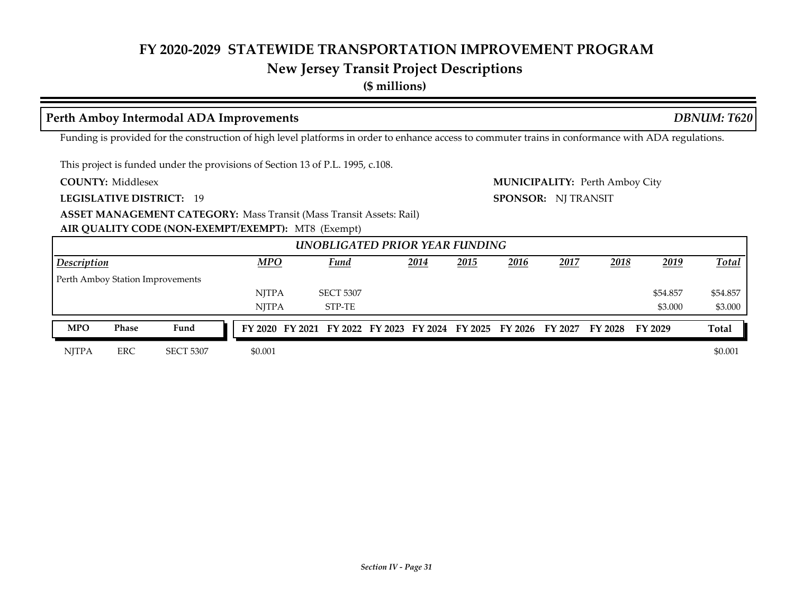# **New Jersey Transit Project Descriptions**

**(\$ millions)**

#### **Perth Amboy Intermodal ADA Improvements** *DBNUM: T620*

Funding is provided for the construction of high level platforms in order to enhance access to commuter trains in conformance with ADA regulations.

This project is funded under the provisions of Section 13 of P.L. 1995, c.108.

**COUNTY:**

**LEGISLATIVE DISTRICT:** 19

Middlesex Perth Amboy City **MUNICIPALITY: SPONSOR:** NJ TRANSIT

**ASSET MANAGEMENT CATEGORY: Mass Transit (Mass Transit Assets: Rail)** 

**AIR QUALITY CODE (NON-EXEMPT/EXEMPT):** MT8 (Exempt)

|                    |            |                                  |              | UNOBLIGATED PRIOR YEAR FUNDING |             |              |      |             |                                                                                 |             |              |
|--------------------|------------|----------------------------------|--------------|--------------------------------|-------------|--------------|------|-------------|---------------------------------------------------------------------------------|-------------|--------------|
| <b>Description</b> |            |                                  | $MPO$        | <b>Fund</b>                    | <u>2014</u> | <u> 2015</u> | 2016 | <u>2017</u> | 2018                                                                            | <u>2019</u> | <b>Total</b> |
|                    |            | Perth Amboy Station Improvements |              |                                |             |              |      |             |                                                                                 |             |              |
|                    |            |                                  | <b>NITPA</b> | <b>SECT 5307</b>               |             |              |      |             |                                                                                 | \$54.857    | \$54.857     |
|                    |            |                                  | <b>NITPA</b> | STP-TE                         |             |              |      |             |                                                                                 | \$3.000     | \$3.000      |
| <b>MPO</b>         | Phase      | Fund                             |              |                                |             |              |      |             | FY 2020 FY 2021 FY 2022 FY 2023 FY 2024 FY 2025 FY 2026 FY 2027 FY 2028 FY 2029 |             | <b>Total</b> |
| <b>NITPA</b>       | <b>ERC</b> | <b>SECT 5307</b>                 | \$0.001      |                                |             |              |      |             |                                                                                 |             | \$0.001      |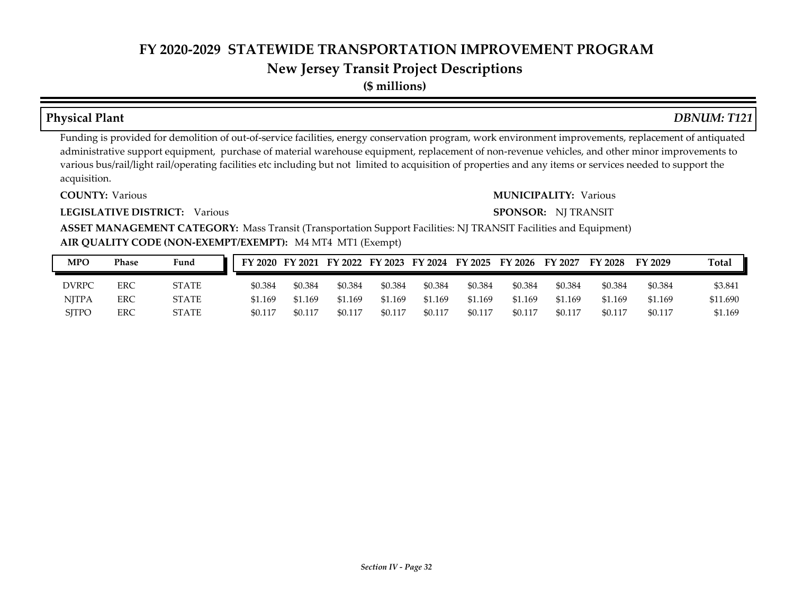**(\$ millions)**

# Funding is provided for demolition of out-of-service facilities, energy conservation program, work environment improvements, replacement of antiquated administrative support equipment, purchase of material warehouse equipment, replacement of non-revenue vehicles, and other minor improvements to various bus/rail/light rail/operating facilities etc including but not limited to acquisition of properties and any items or services needed to support the **Physical Plant** *DBNUM: T121*

acquisition.

**COUNTY:**

**LEGISLATIVE DISTRICT:** Various

#### Various Various **MUNICIPALITY:**

#### **SPONSOR:** NJ TRANSIT

**AIR QUALITY CODE (NON-EXEMPT/EXEMPT):** M4 MT4 MT1 (Exempt) **ASSET MANAGEMENT CATEGORY:** Mass Transit (Transportation Support Facilities: NJ TRANSIT Facilities and Equipment)

| <b>MPO</b>   | Phase | Fund         |         |         |         |         |         |         | FY 2020 FY 2021 FY 2022 FY 2023 FY 2024 FY 2025 FY 2026 FY 2027 |         | FY 2028 | FY 2029 | <b>Total</b> |
|--------------|-------|--------------|---------|---------|---------|---------|---------|---------|-----------------------------------------------------------------|---------|---------|---------|--------------|
| <b>DVRPC</b> | ERC   | <b>STATE</b> | \$0.384 | \$0.384 | \$0.384 | \$0.384 | \$0.384 | \$0.384 | \$0.384                                                         | \$0.384 | \$0.384 | \$0.384 | \$3.841      |
| <b>NITPA</b> | ERC   | <b>STATE</b> | \$1.169 | \$1.169 | \$1.169 | \$1.169 | \$1.169 | \$1.169 | \$1.169                                                         | \$1.169 | \$1.169 | \$1.169 | \$11.690     |
| <b>SITPO</b> | ERC   | <b>STATE</b> | \$0.117 | \$0.117 | \$0.117 | \$0.117 | \$0.117 | \$0.117 | \$0.117                                                         | \$0.117 | \$0.117 | \$0.117 | \$1.169      |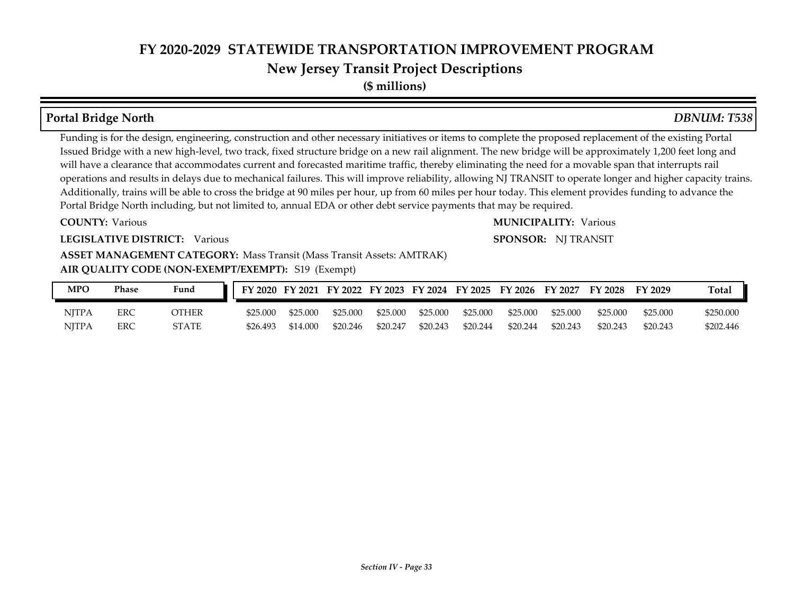**(\$ millions)**

#### **Portal Bridge North** *DBNUM: T538*

Funding is for the design, engineering, construction and other necessary initiatives or items to complete the proposed replacement of the existing Portal Issued Bridge with a new high-level, two track, fixed structure bridge on a new rail alignment. The new bridge will be approximately 1,200 feet long and will have a clearance that accommodates current and forecasted maritime traffic, thereby eliminating the need for a movable span that interrupts rail operations and results in delays due to mechanical failures. This will improve reliability, allowing NJ TRANSIT to operate longer and higher capacity trains. Additionally, trains will be able to cross the bridge at 90 miles per hour, up from 60 miles per hour today. This element provides funding to advance the Portal Bridge North including, but not limited to, annual EDA or other debt service payments that may be required.

#### **COUNTY:**

#### Various Various **MUNICIPALITY:**

#### **LEGISLATIVE DISTRICT:** Various

#### **SPONSOR:** NJ TRANSIT

#### **AIR QUALITY CODE (NON-EXEMPT/EXEMPT):** S19 (Exempt) **ASSET MANAGEMENT CATEGORY: Mass Transit (Mass Transit Assets: AMTRAK)**

| MPO          | Phase | Fund  |          |          |          |          |          |          |          | FY 2020 FY 2021 FY 2022 FY 2023 FY 2024 FY 2025 FY 2026 FY 2027 | <b>FY 2028</b> | FY 2029  | <b>Total</b> |
|--------------|-------|-------|----------|----------|----------|----------|----------|----------|----------|-----------------------------------------------------------------|----------------|----------|--------------|
| <b>NITPA</b> | ERC   | OTHER | \$25.000 | \$25.000 | \$25,000 | \$25,000 | \$25,000 | \$25,000 | \$25,000 | \$25,000                                                        | \$25,000       | \$25.000 | \$250.000    |
| <b>NITPA</b> | ERC   | STATE | \$26.493 | \$14.000 | \$20.246 | \$20.247 | \$20.243 | \$20.244 | \$20.244 | \$20.243                                                        | \$20.243       | \$20.243 | \$202.446    |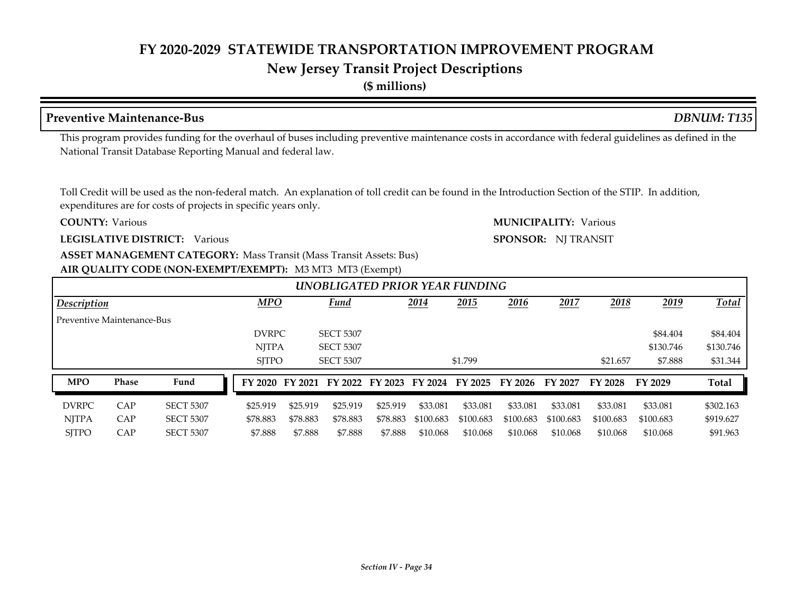## **New Jersey Transit Project Descriptions**

**(\$ millions)**

#### **Preventive Maintenance-Bus** *DBNUM: T135*

This program provides funding for the overhaul of buses including preventive maintenance costs in accordance with federal guidelines as defined in the National Transit Database Reporting Manual and federal law.

Toll Credit will be used as the non-federal match. An explanation of toll credit can be found in the Introduction Section of the STIP. In addition, expenditures are for costs of projects in specific years only.

#### **COUNTY:**

**LEGISLATIVE DISTRICT:** Various

## **ASSET MANAGEMENT CATEGORY: Mass Transit (Mass Transit Assets: Bus)**

#### **AIR QUALITY CODE (NON-EXEMPT/EXEMPT):** M3 MT3 MT3 (Exempt)

|                            |       |                  |              |          | UNOBLIGATED PRIOR YEAR FUNDING          |          |           |           |           |           |           |           |              |
|----------------------------|-------|------------------|--------------|----------|-----------------------------------------|----------|-----------|-----------|-----------|-----------|-----------|-----------|--------------|
| Description                |       |                  | <b>MPO</b>   |          | <b>Fund</b>                             |          | 2014      | 2015      | 2016      | 2017      | 2018      | 2019      | <b>Total</b> |
| Preventive Maintenance-Bus |       |                  |              |          |                                         |          |           |           |           |           |           |           |              |
|                            |       |                  | <b>DVRPC</b> |          | <b>SECT 5307</b>                        |          |           |           |           |           |           | \$84.404  | \$84.404     |
|                            |       |                  | <b>NJTPA</b> |          | <b>SECT 5307</b>                        |          |           |           |           |           |           | \$130.746 | \$130.746    |
|                            |       |                  | <b>SITPO</b> |          | <b>SECT 5307</b>                        |          |           | \$1.799   |           |           | \$21.657  | \$7.888   | \$31.344     |
| <b>MPO</b>                 | Phase | Fund             | FY 2020      |          | FY 2021 FY 2022 FY 2023 FY 2024 FY 2025 |          |           |           | FY 2026   | FY 2027   | FY 2028   | FY 2029   | Total        |
| <b>DVRPC</b>               | CAP   | <b>SECT 5307</b> | \$25.919     | \$25.919 | \$25.919                                | \$25.919 | \$33.081  | \$33.081  | \$33.081  | \$33.081  | \$33.081  | \$33.081  | \$302.163    |
| <b>NITPA</b>               | CAP   | <b>SECT 5307</b> | \$78.883     | \$78.883 | \$78.883                                | \$78.883 | \$100.683 | \$100.683 | \$100.683 | \$100.683 | \$100.683 | \$100.683 | \$919.627    |
| <b>SITPO</b>               | CAP   | <b>SECT 5307</b> | \$7.888      | \$7.888  | \$7.888                                 | \$7.888  | \$10.068  | \$10.068  | \$10.068  | \$10.068  | \$10.068  | \$10.068  | \$91.963     |

Various Various **MUNICIPALITY:**

## **SPONSOR:** NJ TRANSIT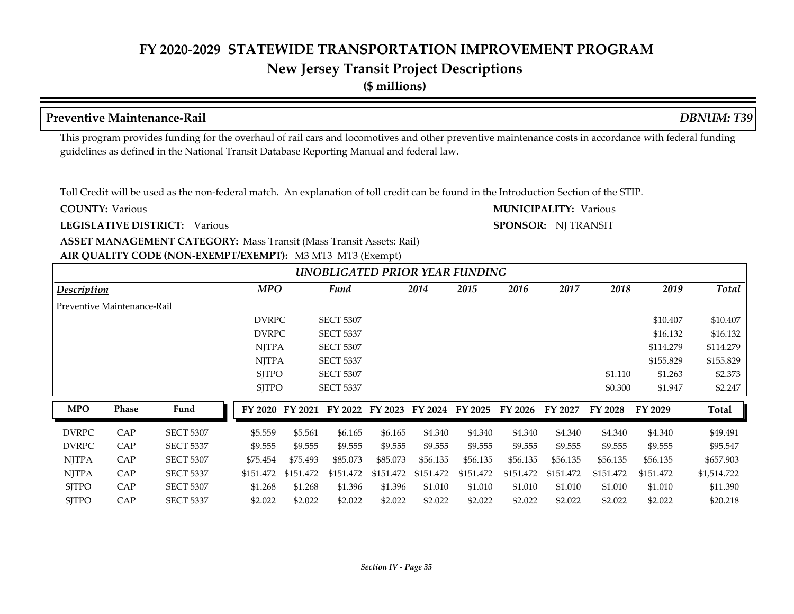**(\$ millions)**

#### **Preventive Maintenance-Rail** *DBNUM: T39*

This program provides funding for the overhaul of rail cars and locomotives and other preventive maintenance costs in accordance with federal funding guidelines as defined in the National Transit Database Reporting Manual and federal law.

Toll Credit will be used as the non-federal match. An explanation of toll credit can be found in the Introduction Section of the STIP.

**COUNTY:**

**LEGISLATIVE DISTRICT:** Various

#### **AIR QUALITY CODE (NON-EXEMPT/EXEMPT):** M3 MT3 MT3 (Exempt) **ASSET MANAGEMENT CATEGORY: Mass Transit (Mass Transit Assets: Rail)**

Various Various **MUNICIPALITY:**

#### **SPONSOR:** NJ TRANSIT

|                             |              |                  |              |           |                  |           |           | UNOBLIGATED PRIOR YEAR FUNDING |           |           |           |           |             |
|-----------------------------|--------------|------------------|--------------|-----------|------------------|-----------|-----------|--------------------------------|-----------|-----------|-----------|-----------|-------------|
| <b>Description</b>          |              |                  | MPO          |           | <b>Fund</b>      |           | 2014      | 2015                           | 2016      | 2017      | 2018      | 2019      | Total       |
| Preventive Maintenance-Rail |              |                  |              |           |                  |           |           |                                |           |           |           |           |             |
|                             |              |                  | <b>DVRPC</b> |           | <b>SECT 5307</b> |           |           |                                |           |           |           | \$10.407  | \$10.407    |
|                             |              |                  | <b>DVRPC</b> |           | <b>SECT 5337</b> |           |           |                                |           |           |           | \$16.132  | \$16.132    |
|                             |              |                  | <b>NJTPA</b> |           | <b>SECT 5307</b> |           |           |                                |           |           |           | \$114,279 | \$114.279   |
|                             |              |                  | <b>NJTPA</b> |           | <b>SECT 5337</b> |           |           |                                |           |           |           | \$155.829 | \$155.829   |
|                             |              |                  | <b>SITPO</b> |           | <b>SECT 5307</b> |           |           |                                |           |           | \$1.110   | \$1.263   | \$2.373     |
|                             |              |                  | <b>SJTPO</b> |           | <b>SECT 5337</b> |           |           |                                |           |           | \$0.300   | \$1.947   | \$2.247     |
| <b>MPO</b>                  | <b>Phase</b> | Fund             | FY 2020      | FY 2021   | FY 2022          | FY 2023   | FY 2024   | FY 2025                        | FY 2026   | FY 2027   | FY 2028   | FY 2029   | Total       |
| <b>DVRPC</b>                | CAP          | <b>SECT 5307</b> | \$5.559      | \$5.561   | \$6.165          | \$6.165   | \$4.340   | \$4.340                        | \$4.340   | \$4.340   | \$4.340   | \$4.340   | \$49.491    |
| <b>DVRPC</b>                | CAP          | <b>SECT 5337</b> | \$9.555      | \$9.555   | \$9.555          | \$9.555   | \$9.555   | \$9.555                        | \$9.555   | \$9.555   | \$9.555   | \$9.555   | \$95.547    |
|                             |              |                  |              |           |                  |           |           |                                |           |           |           |           |             |
| <b>NJTPA</b>                | CAP          | <b>SECT 5307</b> | \$75.454     | \$75.493  | \$85.073         | \$85.073  | \$56.135  | \$56.135                       | \$56.135  | \$56.135  | \$56.135  | \$56.135  | \$657.903   |
| <b>NJTPA</b>                | CAP          | <b>SECT 5337</b> | \$151.472    | \$151.472 | \$151.472        | \$151.472 | \$151.472 | \$151.472                      | \$151.472 | \$151.472 | \$151.472 | \$151.472 | \$1,514.722 |
| <b>SJTPO</b>                | CAP          | <b>SECT 5307</b> | \$1.268      | \$1.268   | \$1.396          | \$1.396   | \$1.010   | \$1.010                        | \$1.010   | \$1.010   | \$1.010   | \$1.010   | \$11.390    |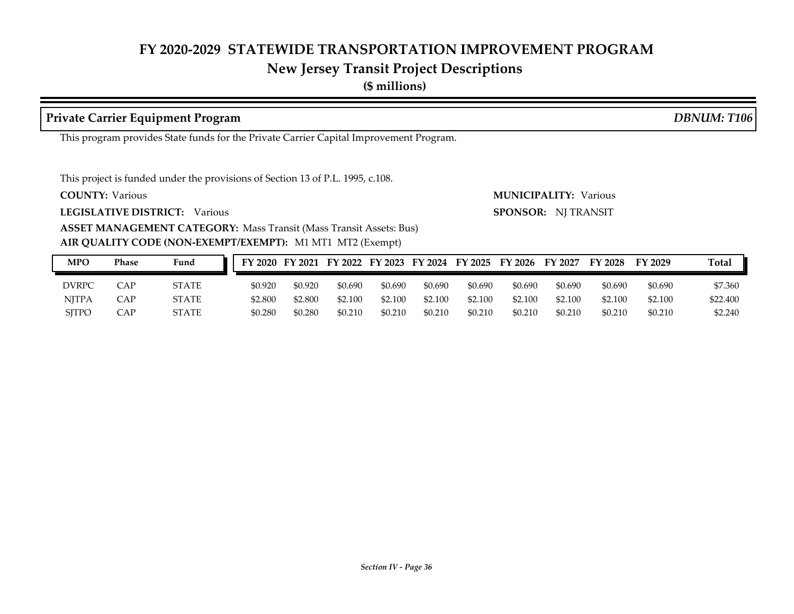# **New Jersey Transit Project Descriptions**

**(\$ millions)**

#### **Private Carrier Equipment Program** *DBNUM: T106*

This program provides State funds for the Private Carrier Capital Improvement Program.

This project is funded under the provisions of Section 13 of P.L. 1995, c.108.

**COUNTY:**

**LEGISLATIVE DISTRICT:** Various

**ASSET MANAGEMENT CATEGORY: Mass Transit (Mass Transit Assets: Bus)** 

#### **AIR QUALITY CODE (NON-EXEMPT/EXEMPT):** M1 MT1 MT2 (Exempt)

Various Various **MUNICIPALITY: SPONSOR:** NJ TRANSIT

| <b>MPO</b>   | Phase | Fund         |         |         |         |         |         |         | FY 2020 FY 2021 FY 2022 FY 2023 FY 2024 FY 2025 FY 2026 | <b>FY 2027</b> | <b>FY 2028</b> | FY 2029 | <b>Total</b> |
|--------------|-------|--------------|---------|---------|---------|---------|---------|---------|---------------------------------------------------------|----------------|----------------|---------|--------------|
| DVRPC        | CAP   | <b>STATE</b> | \$0.920 | \$0.920 | \$0.690 | \$0.690 | \$0.690 | \$0.690 | \$0.690                                                 | \$0.690        | \$0.690        | \$0.690 | \$7.360      |
| <b>NJTPA</b> | CAP   | STATE        | \$2.800 | \$2,800 | \$2.100 | \$2.100 | \$2.100 | \$2.100 | \$2.100                                                 | \$2.100        | \$2.100        | \$2.100 | \$22,400     |
| <b>SITPO</b> | CAP   | <b>STATE</b> | \$0.280 | \$0.280 | \$0.210 | \$0.210 | \$0.210 | \$0.210 | \$0.210                                                 | \$0.210        | \$0.210        | \$0.210 | \$2,240      |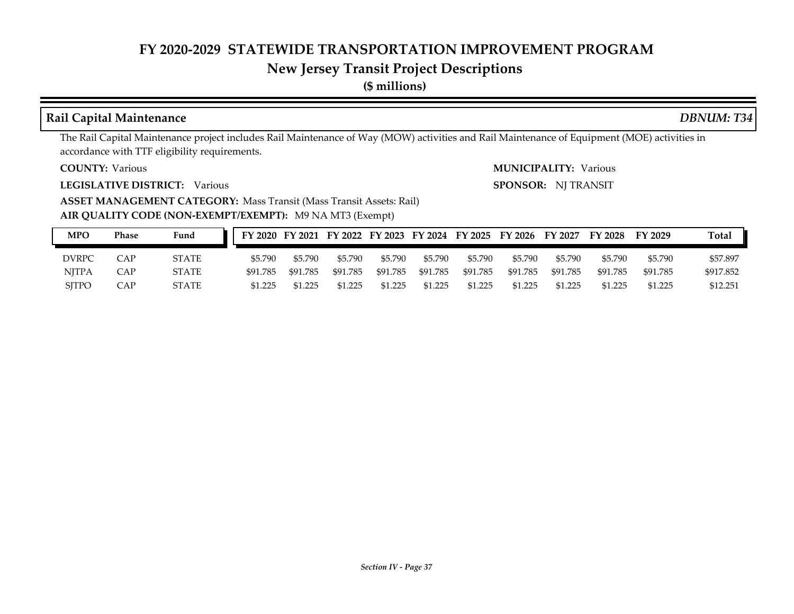# **New Jersey Transit Project Descriptions**

**(\$ millions)**

#### **Rail Capital Maintenance** *DBNUM: T34*

The Rail Capital Maintenance project includes Rail Maintenance of Way (MOW) activities and Rail Maintenance of Equipment (MOE) activities in accordance with TTF eligibility requirements.

**COUNTY:**

**LEGISLATIVE DISTRICT:** Various

Various Various **MUNICIPALITY:**

**SPONSOR:** NJ TRANSIT

**ASSET MANAGEMENT CATEGORY: Mass Transit (Mass Transit Assets: Rail)** 

**AIR QUALITY CODE (NON-EXEMPT/EXEMPT):** M9 NA MT3 (Exempt)

| MPO          | Phase | Fund         |          |          |          |          |          |          | FY 2020 FY 2021 FY 2022 FY 2023 FY 2024 FY 2025 FY 2026 FY 2027 |          | FY 2028  | FY 2029  | Total     |
|--------------|-------|--------------|----------|----------|----------|----------|----------|----------|-----------------------------------------------------------------|----------|----------|----------|-----------|
| <b>DVRPC</b> | CAP   | STATE        | \$5.790  | \$5.790  | \$5.790  | \$5.790  | \$5.790  | \$5.790  | \$5.790                                                         | \$5.790  | \$5.790  | \$5.790  | \$57.897  |
| <b>NJTPA</b> | CAP   | <b>STATE</b> | \$91.785 | \$91.785 | \$91.785 | \$91.785 | \$91.785 | \$91.785 | \$91.785                                                        | \$91.785 | \$91.785 | \$91.785 | \$917.852 |
| <b>SITPO</b> | CAP   | STATE        | \$1.225  | \$1.225  | \$1.225  | \$1.225  | \$1.225  | \$1.225  | \$1.225                                                         | \$1.225  | \$1.225  | \$1.225  | \$12.251  |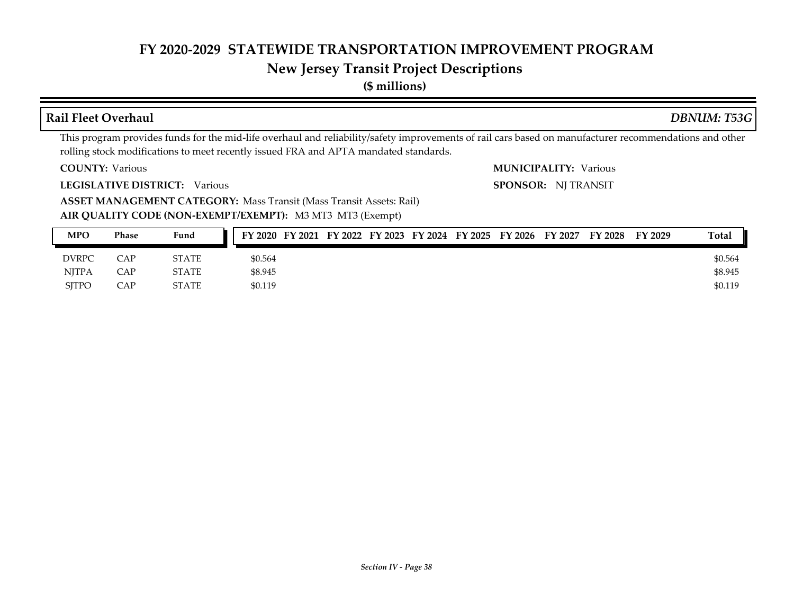#### **New Jersey Transit Project Descriptions**

#### **COUNTY: LEGISLATIVE DISTRICT:** Various **AIR QUALITY CODE (NON-EXEMPT/EXEMPT):** M3 MT3 MT3 (Exempt) Various Various **MUNICIPALITY: ASSET MANAGEMENT CATEGORY: Mass Transit (Mass Transit Assets: Rail)** This program provides funds for the mid-life overhaul and reliability/safety improvements of rail cars based on manufacturer recommendations and other rolling stock modifications to meet recently issued FRA and APTA mandated standards. **SPONSOR:** NJ TRANSIT **Rail Fleet Overhaul** *DBNUM: T53G* **MPO Phase Fund FY 2020 FY 2021 FY 2022 FY 2023 FY 2024 FY 2025 FY 2026 FY 2027 FY 2028 FY 2029 Total**

| N <sub>II</sub> | 1 паэс | <b>Tullu</b> |         | FIZUZU FIZUZI FIZUZZ FIZUZO FIZUZT FIZUZO FIZUZO FIZUZ/ FIZUZO FIZUZO |  |  |  | 1 Oldi  |
|-----------------|--------|--------------|---------|-----------------------------------------------------------------------|--|--|--|---------|
| <b>DVRPC</b>    | CAP    | <b>STATE</b> | \$0.564 |                                                                       |  |  |  | \$0.564 |
| <b>NJTPA</b>    | CAP    | <b>STATE</b> | \$8.945 |                                                                       |  |  |  | \$8.945 |
| <b>SJTPO</b>    | CAP    | <b>STATE</b> | \$0.119 |                                                                       |  |  |  | \$0.119 |

# **(\$ millions)**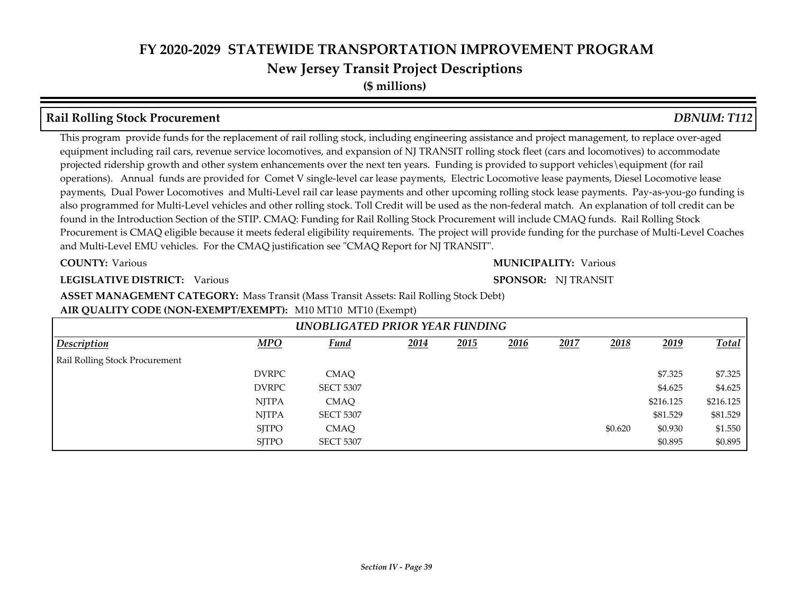**(\$ millions)**

#### **Rail Rolling Stock Procurement** *DBNUM: T112*

This program provide funds for the replacement of rail rolling stock, including engineering assistance and project management, to replace over-aged equipment including rail cars, revenue service locomotives, and expansion of NJ TRANSIT rolling stock fleet (cars and locomotives) to accommodate projected ridership growth and other system enhancements over the next ten years. Funding is provided to support vehicles\equipment (for rail operations). Annual funds are provided for Comet V single-level car lease payments, Electric Locomotive lease payments, Diesel Locomotive lease payments, Dual Power Locomotives and Multi-Level rail car lease payments and other upcoming rolling stock lease payments. Pay-as-you-go funding is also programmed for Multi-Level vehicles and other rolling stock. Toll Credit will be used as the non-federal match. An explanation of toll credit can be found in the Introduction Section of the STIP. CMAQ: Funding for Rail Rolling Stock Procurement will include CMAQ funds. Rail Rolling Stock Procurement is CMAQ eligible because it meets federal eligibility requirements. The project will provide funding for the purchase of Multi-Level Coaches and Multi-Level EMU vehicles. For the CMAQ justification see "CMAQ Report for NJ TRANSIT".

**COUNTY:**

#### Various Various **MUNICIPALITY:**

#### **LEGISLATIVE DISTRICT:** Various

#### **SPONSOR:** NJ TRANSIT

**ASSET MANAGEMENT CATEGORY:** Mass Transit (Mass Transit Assets: Rail Rolling Stock Debt)

#### **AIR QUALITY CODE (NON-EXEMPT/EXEMPT):** M10 MT10 MT10 (Exempt)

|                                |              | UNOBLIGATED PRIOR YEAR FUNDING |      |      |      |      |         |           |              |
|--------------------------------|--------------|--------------------------------|------|------|------|------|---------|-----------|--------------|
| <b>Description</b>             | MPO          | <b>Fund</b>                    | 2014 | 2015 | 2016 | 2017 | 2018    | 2019      | <b>Total</b> |
| Rail Rolling Stock Procurement |              |                                |      |      |      |      |         |           |              |
|                                | <b>DVRPC</b> | <b>CMAO</b>                    |      |      |      |      |         | \$7.325   | \$7.325      |
|                                | <b>DVRPC</b> | <b>SECT 5307</b>               |      |      |      |      |         | \$4.625   | \$4.625      |
|                                | <b>NJTPA</b> | <b>CMAO</b>                    |      |      |      |      |         | \$216.125 | \$216.125    |
|                                | <b>NJTPA</b> | <b>SECT 5307</b>               |      |      |      |      |         | \$81.529  | \$81.529     |
|                                | <b>SITPO</b> | <b>CMAQ</b>                    |      |      |      |      | \$0.620 | \$0.930   | \$1.550      |
|                                | <b>SITPO</b> | <b>SECT 5307</b>               |      |      |      |      |         | \$0.895   | \$0.895      |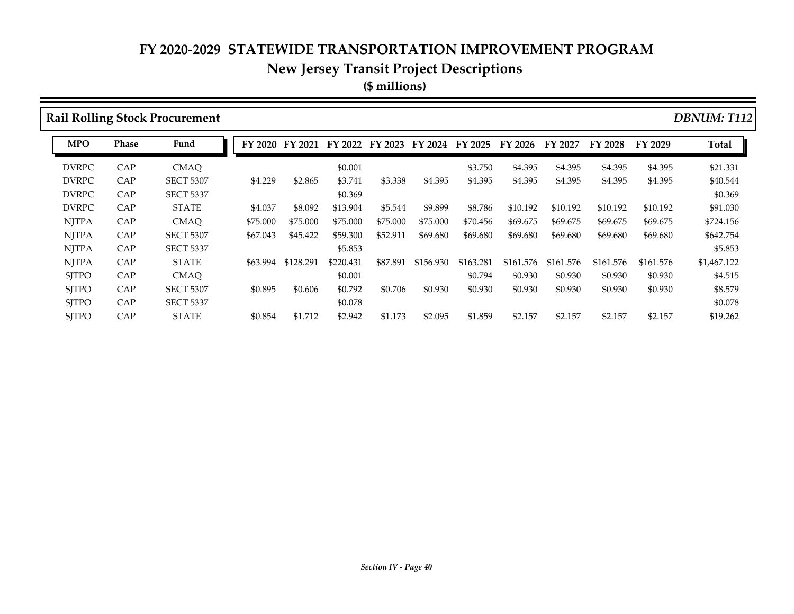#### **New Jersey Transit Project Descriptions**

**(\$ millions)**

**Rail Rolling Stock Procurement** *DBNUM: T112* DVRPC CAP CMAQ \$0.001 \$3.750 \$4.395 \$4.395 \$4.395 \$4.395 \$21.331 DVRPC CAP SECT 5307 \$4.229 \$2.865 \$3.741 \$3.338 \$4.395 \$4.395 \$4.395 \$4.395 \$4.395 \$4.395 \$40.544 DVRPC CAP SECT 5337 \$0.369 \$0.369 DVRPC CAP STATE \$4.037 \$8.092 \$13.904 \$5.544 \$9.899 \$8.786 \$10.192 \$10.192 \$10.192 \$10.192 \$91.030 NJTPA CAP CMAQ \$75.000 \$75.000 \$75.000 \$75.000 \$75.000 \$70.456 \$69.675 \$69.675 \$69.675 \$69.675 \$724.156 NJTPA CAP SECT 5307 \$67.043 \$45.422 \$59.300 \$52.911 \$69.680 \$69.680 \$69.680 \$69.680 \$69.680 \$69.680 \$642.754 NJTPA CAP SECT 5337 \$5.853 \$5.853 NJTPA CAP STATE \$63.994 \$128.291 \$220.431 \$87.891 \$156.930 \$163.281 \$161.576 \$161.576 \$161.576 \$161.576 \$1,467.122 SJTPO CAP CMAQ \$0.001 \$0.001 \$0.794 \$0.930 \$0.930 \$0.930 \$0.930 \$1.515 SJTPO CAP SECT 5307 \$0.895 \$0.606 \$0.792 \$0.706 \$0.930 \$0.930 \$0.930 \$0.930 \$0.930 \$0.930 \$8.579 SJTPO CAP SECT 5337 \$0.078 \$0.078 \$0.079 \$1.078 \$1.078 SJTPO CAP STATE \$0.854 \$1.712 \$2.942 \$1.173 \$2.095 \$1.859 \$2.157 \$2.157 \$2.157 \$2.157 \$19.262 **MPO Phase Fund FY 2020 FY 2021 FY 2022 FY 2023 FY 2024 FY 2025 FY 2026 FY 2027 FY 2028 FY 2029 Total**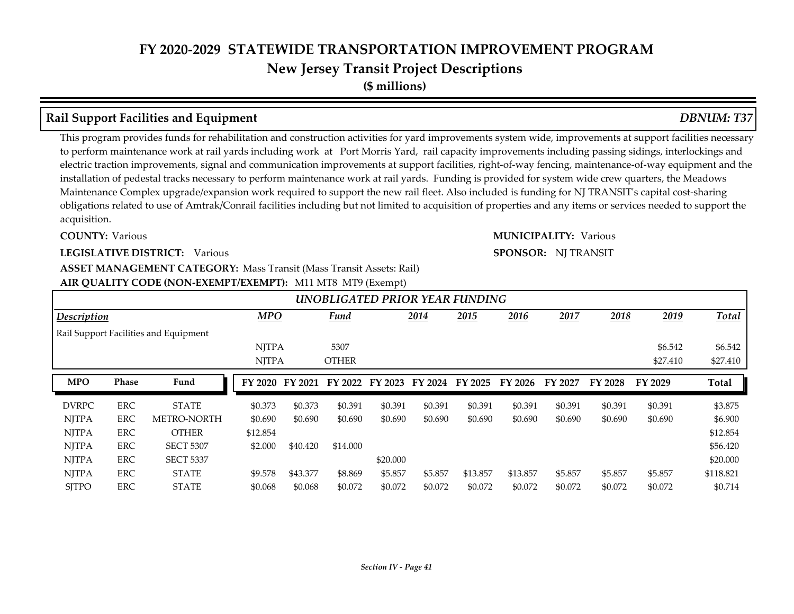**(\$ millions)**

#### **Rail Support Facilities and Equipment** *DBNUM: T37*

This program provides funds for rehabilitation and construction activities for yard improvements system wide, improvements at support facilities necessary to perform maintenance work at rail yards including work at Port Morris Yard, rail capacity improvements including passing sidings, interlockings and electric traction improvements, signal and communication improvements at support facilities, right-of-way fencing, maintenance-of-way equipment and the installation of pedestal tracks necessary to perform maintenance work at rail yards. Funding is provided for system wide crew quarters, the Meadows Maintenance Complex upgrade/expansion work required to support the new rail fleet. Also included is funding for NJ TRANSIT's capital cost-sharing obligations related to use of Amtrak/Conrail facilities including but not limited to acquisition of properties and any items or services needed to support the acquisition.

**COUNTY:** Various Various **MUNICIPALITY:**

#### **LEGISLATIVE DISTRICT:** Various

#### **ASSET MANAGEMENT CATEGORY: Mass Transit (Mass Transit Assets: Rail)**

#### **AIR QUALITY CODE (NON-EXEMPT/EXEMPT):** M11 MT8 MT9 (Exempt)

|              |              |                                       |              |          |              |          |         | UNOBLIGATED PRIOR YEAR FUNDING |          |         |         |          |              |
|--------------|--------------|---------------------------------------|--------------|----------|--------------|----------|---------|--------------------------------|----------|---------|---------|----------|--------------|
| Description  |              |                                       | <b>MPO</b>   |          | Fund         |          | 2014    | 2015                           | 2016     | 2017    | 2018    | 2019     | Total        |
|              |              | Rail Support Facilities and Equipment |              |          |              |          |         |                                |          |         |         |          |              |
|              |              |                                       | <b>NJTPA</b> |          | 5307         |          |         |                                |          |         |         | \$6.542  | \$6.542      |
|              |              |                                       | <b>NJTPA</b> |          | <b>OTHER</b> |          |         |                                |          |         |         | \$27,410 | \$27.410     |
| <b>MPO</b>   | <b>Phase</b> | Fund                                  | FY 2020      | FY 2021  | FY 2022      | FY 2023  | FY 2024 | FY 2025                        | FY 2026  | FY 2027 | FY 2028 | FY 2029  | <b>Total</b> |
| <b>DVRPC</b> | <b>ERC</b>   | <b>STATE</b>                          | \$0.373      | \$0.373  | \$0.391      | \$0.391  | \$0.391 | \$0.391                        | \$0.391  | \$0.391 | \$0.391 | \$0.391  | \$3.875      |
|              |              |                                       |              |          |              |          |         |                                |          |         |         |          |              |
| <b>NJTPA</b> | <b>ERC</b>   | <b>METRO-NORTH</b>                    | \$0.690      | \$0.690  | \$0.690      | \$0.690  | \$0.690 | \$0.690                        | \$0.690  | \$0.690 | \$0.690 | \$0.690  | \$6.900      |
| <b>NJTPA</b> | <b>ERC</b>   | <b>OTHER</b>                          | \$12.854     |          |              |          |         |                                |          |         |         |          | \$12.854     |
| <b>NJTPA</b> | <b>ERC</b>   | <b>SECT 5307</b>                      | \$2.000      | \$40.420 | \$14.000     |          |         |                                |          |         |         |          | \$56.420     |
| <b>NJTPA</b> | ERC          | <b>SECT 5337</b>                      |              |          |              | \$20,000 |         |                                |          |         |         |          | \$20,000     |
| <b>NJTPA</b> | ERC          | <b>STATE</b>                          | \$9.578      | \$43.377 | \$8.869      | \$5.857  | \$5.857 | \$13.857                       | \$13.857 | \$5.857 | \$5.857 | \$5.857  | \$118.821    |

**SPONSOR:** NJ TRANSIT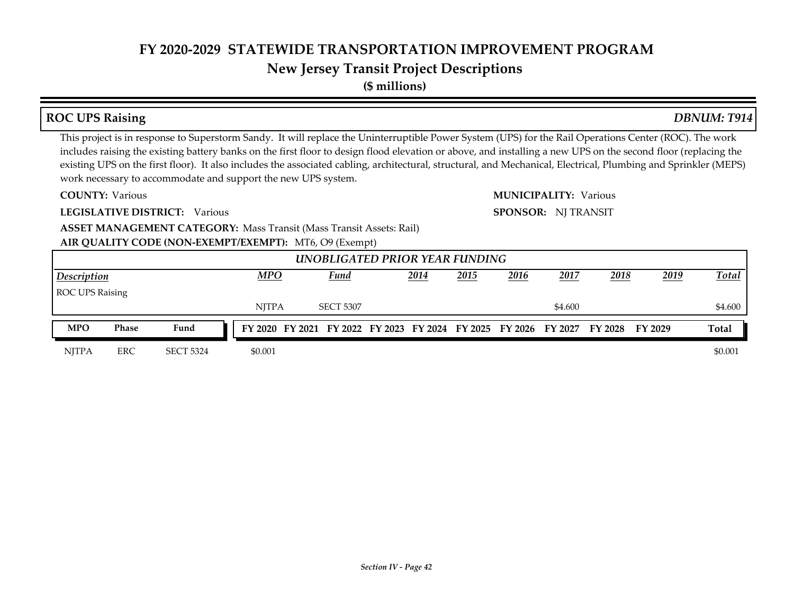# **New Jersey Transit Project Descriptions**

**(\$ millions)**

## **ROC UPS Raising** *DBNUM: T914*

This project is in response to Superstorm Sandy. It will replace the Uninterruptible Power System (UPS) for the Rail Operations Center (ROC). The work includes raising the existing battery banks on the first floor to design flood elevation or above, and installing a new UPS on the second floor (replacing the existing UPS on the first floor). It also includes the associated cabling, architectural, structural, and Mechanical, Electrical, Plumbing and Sprinkler (MEPS) work necessary to accommodate and support the new UPS system.

**COUNTY:**

**LEGISLATIVE DISTRICT:** Various

Various Various **MUNICIPALITY:**

**SPONSOR:** NJ TRANSIT

**ASSET MANAGEMENT CATEGORY: Mass Transit (Mass Transit Assets: Rail)** 

**AIR QUALITY CODE (NON-EXEMPT/EXEMPT):** MT6, O9 (Exempt)

|                    |              |                  |              |                                                                                 | UNOBLIGATED PRIOR YEAR FUNDING |      |      |      |         |      |      |              |
|--------------------|--------------|------------------|--------------|---------------------------------------------------------------------------------|--------------------------------|------|------|------|---------|------|------|--------------|
| <b>Description</b> |              |                  | <b>MPO</b>   |                                                                                 | Fund                           | 2014 | 2015 | 2016 | 2017    | 2018 | 2019 | <b>Total</b> |
| ROC UPS Raising    |              |                  |              |                                                                                 |                                |      |      |      |         |      |      |              |
|                    |              |                  | <b>NITPA</b> |                                                                                 | <b>SECT 5307</b>               |      |      |      | \$4.600 |      |      | \$4.600      |
| <b>MPO</b>         | <b>Phase</b> | Fund             |              | FY 2020 FY 2021 FY 2022 FY 2023 FY 2024 FY 2025 FY 2026 FY 2027 FY 2028 FY 2029 |                                |      |      |      |         |      |      | <b>Total</b> |
| <b>NITPA</b>       | <b>ERC</b>   | <b>SECT 5324</b> | \$0.001      |                                                                                 |                                |      |      |      |         |      |      | \$0.001      |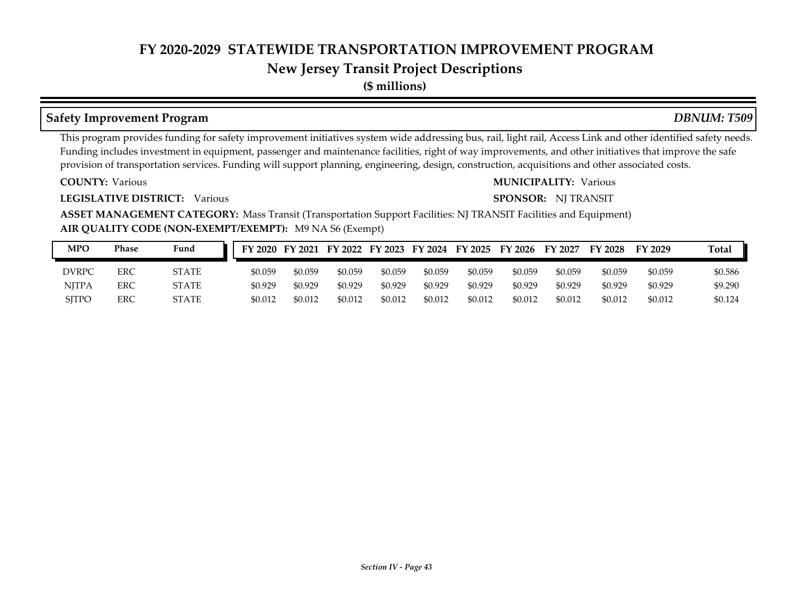### **New Jersey Transit Project Descriptions**

**(\$ millions)**

#### **Safety Improvement Program** *DBNUM: T509*

This program provides funding for safety improvement initiatives system wide addressing bus, rail, light rail, Access Link and other identified safety needs. Funding includes investment in equipment, passenger and maintenance facilities, right of way improvements, and other initiatives that improve the safe provision of transportation services. Funding will support planning, engineering, design, construction, acquisitions and other associated costs.

**COUNTY:**

**LEGISLATIVE DISTRICT:** Various

#### Various Various **MUNICIPALITY:**

**SPONSOR:** NJ TRANSIT

**AIR QUALITY CODE (NON-EXEMPT/EXEMPT):** M9 NA S6 (Exempt) **ASSET MANAGEMENT CATEGORY:** Mass Transit (Transportation Support Facilities: NJ TRANSIT Facilities and Equipment)

| <b>MPO</b>   | Phase      | Fund         |         |         |         |         |         |         | FY 2020 FY 2021 FY 2022 FY 2023 FY 2024 FY 2025 FY 2026 FY 2027 |         | <b>FY 2028</b> | FY 2029 | <b>Total</b> |
|--------------|------------|--------------|---------|---------|---------|---------|---------|---------|-----------------------------------------------------------------|---------|----------------|---------|--------------|
| <b>DVRPC</b> | ERC        | <b>STATE</b> | \$0.059 | \$0.059 | \$0.059 | \$0.059 | \$0.059 | \$0.059 | \$0.059                                                         | \$0.059 | \$0.059        | \$0.059 | \$0.586      |
| <b>NITPA</b> | <b>ERC</b> | <b>STATE</b> | \$0.929 | \$0.929 | \$0.929 | \$0.929 | \$0.929 | \$0.929 | \$0.929                                                         | \$0.929 | \$0.929        | \$0.929 | \$9.290      |
| <b>SITPO</b> | ERC        | <b>STATE</b> | \$0.012 | \$0.012 | \$0.012 | \$0.012 | \$0.012 | \$0.012 | \$0.012                                                         | \$0.012 | \$0.012        | \$0.012 | \$0.124      |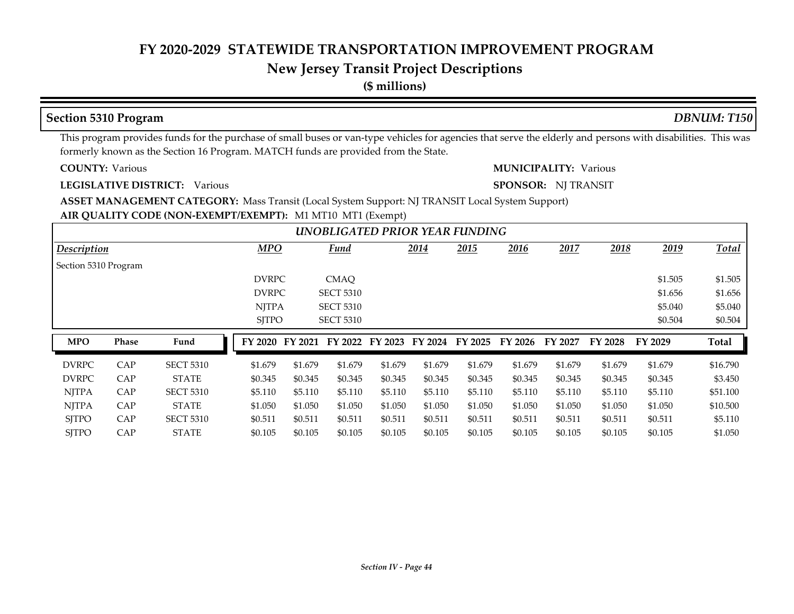#### **New Jersey Transit Project Descriptions**

**(\$ millions)**

#### **COUNTY: LEGISLATIVE DISTRICT:** Various **AIR QUALITY CODE (NON-EXEMPT/EXEMPT):** M1 MT10 MT1 (Exempt) Various Various **MUNICIPALITY: ASSET MANAGEMENT CATEGORY:** Mass Transit (Local System Support: NJ TRANSIT Local System Support) This program provides funds for the purchase of small buses or van-type vehicles for agencies that serve the elderly and persons with disabilities. This was formerly known as the Section 16 Program. MATCH funds are provided from the State. **SPONSOR:** NJ TRANSIT **Section 5310 Program** *DBNUM: T150 2014 2015 2016 2017 2018 2019* DVRPC CMAQ \$1.505 \$1.505 DVRPC SECT 5310 \$1.656 \$1.656 \$1.656 NJTPA SECT 5310 \$5.040 \$5.040 \$5.040  $S$ TPO SECT 5310  $\sim$  50.504  $\sim$  50.504  $\sim$  50.504  $\sim$  *UNOBLIGATED PRIOR YEAR FUNDING Description MPO Fund Total* Section 5310 Program DVRPC CAP SECT 5310 \$1.679 \$1.679 \$1.679 \$1.679 \$1.679 \$1.679 \$1.679 \$1.679 \$1.679 \$1.679 \$16.790 DVRPC CAP STATE \$0.345 \$0.345 \$0.345 \$0.345 \$0.345 \$0.345 \$0.345 \$0.345 \$0.345 \$0.345 \$3.450 NJTPA CAP SECT 5310 \$5.110 \$5.110 \$5.110 \$5.110 \$5.110 \$5.110 \$5.110 \$5.110 \$5.110 \$5.110 \$51.100 NJTPA CAP STATE \$1.050 \$1.050 \$1.050 \$1.050 \$1.050 \$1.050 \$1.050 \$1.050 \$1.050 \$1.050 \$10.500 SJTPO CAP SECT 5310 \$0.511 \$0.511 \$0.511 \$0.511 \$0.511 \$0.511 \$0.511 \$0.511 \$0.511 \$0.511 \$5.110 SJTPO CAP STATE \$0.105 \$0.105 \$0.105 \$0.105 \$0.105 \$0.105 \$0.105 \$0.105 \$0.105 \$0.105 \$1.050 **MPO Phase Fund FY 2020 FY 2021 FY 2022 FY 2023 FY 2024 FY 2025 FY 2026 FY 2027 FY 2028 FY 2029 Total**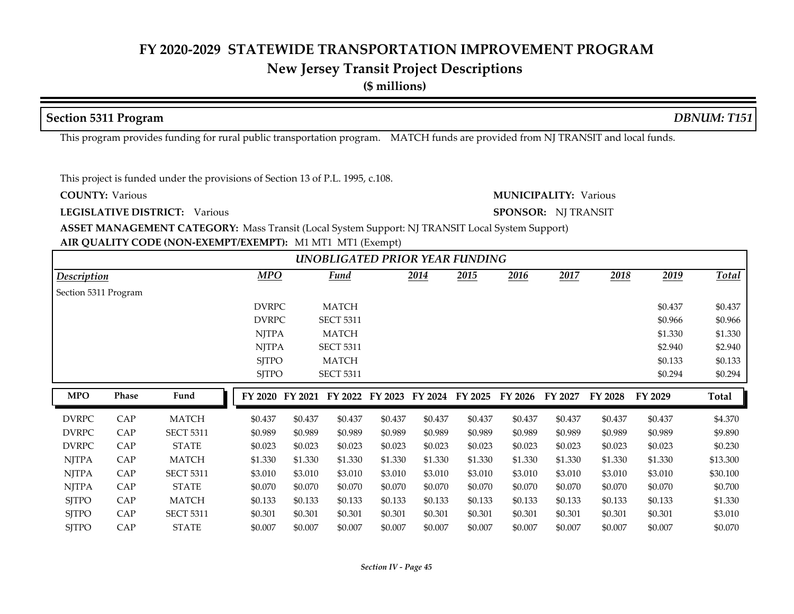#### **New Jersey Transit Project Descriptions**

**(\$ millions)**

#### **Section 5311 Program** *DBNUM: T151*

This program provides funding for rural public transportation program. MATCH funds are provided from NJ TRANSIT and local funds.

This project is funded under the provisions of Section 13 of P.L. 1995, c.108.

**COUNTY:**

**LEGISLATIVE DISTRICT:** Various

Various Various **MUNICIPALITY:**

**SPONSOR:** NJ TRANSIT

**ASSET MANAGEMENT CATEGORY:** Mass Transit (Local System Support: NJ TRANSIT Local System Support)

#### **AIR QUALITY CODE (NON-EXEMPT/EXEMPT):** M1 MT1 MT1 (Exempt)

|                      |       |                  |                 |         |                  |         |         | UNOBLIGATED PRIOR YEAR FUNDING |         |         |         |         |          |
|----------------------|-------|------------------|-----------------|---------|------------------|---------|---------|--------------------------------|---------|---------|---------|---------|----------|
| Description          |       |                  | <b>MPO</b>      |         | <b>Fund</b>      |         | 2014    | 2015                           | 2016    | 2017    | 2018    | 2019    | Total    |
| Section 5311 Program |       |                  |                 |         |                  |         |         |                                |         |         |         |         |          |
|                      |       |                  | <b>DVRPC</b>    |         | <b>MATCH</b>     |         |         |                                |         |         |         | \$0.437 | \$0.437  |
|                      |       |                  | <b>DVRPC</b>    |         | <b>SECT 5311</b> |         |         |                                |         |         |         | \$0.966 | \$0.966  |
|                      |       |                  | <b>NJTPA</b>    |         | <b>MATCH</b>     |         |         |                                |         |         |         | \$1.330 | \$1.330  |
|                      |       |                  | <b>NJTPA</b>    |         | <b>SECT 5311</b> |         |         |                                |         |         |         | \$2.940 | \$2.940  |
|                      |       |                  | <b>SJTPO</b>    |         | <b>MATCH</b>     |         |         |                                |         |         |         | \$0.133 | \$0.133  |
|                      |       |                  | <b>SJTPO</b>    |         | <b>SECT 5311</b> |         |         |                                |         |         |         | \$0.294 | \$0.294  |
|                      |       |                  |                 |         |                  |         |         |                                |         |         |         |         |          |
| <b>MPO</b>           | Phase | Fund             | FY 2020 FY 2021 |         | FY 2022          | FY 2023 | FY 2024 | FY 2025                        | FY 2026 | FY 2027 | FY 2028 | FY 2029 | Total    |
| <b>DVRPC</b>         | CAP   | <b>MATCH</b>     | \$0.437         | \$0.437 | \$0.437          | \$0.437 | \$0.437 | \$0.437                        | \$0.437 | \$0.437 | \$0.437 | \$0.437 | \$4.370  |
| <b>DVRPC</b>         | CAP   | <b>SECT 5311</b> | \$0.989         | \$0.989 | \$0.989          | \$0.989 | \$0.989 | \$0.989                        | \$0.989 | \$0.989 | \$0.989 | \$0.989 | \$9.890  |
| <b>DVRPC</b>         | CAP   | <b>STATE</b>     | \$0.023         | \$0.023 | \$0.023          | \$0.023 | \$0.023 | \$0.023                        | \$0.023 | \$0.023 | \$0.023 | \$0.023 | \$0.230  |
| <b>NJTPA</b>         | CAP   | <b>MATCH</b>     | \$1.330         | \$1.330 | \$1.330          | \$1.330 | \$1.330 | \$1.330                        | \$1.330 | \$1.330 | \$1.330 | \$1.330 | \$13.300 |
| <b>NJTPA</b>         | CAP   | <b>SECT 5311</b> | \$3.010         | \$3.010 | \$3.010          | \$3.010 | \$3.010 | \$3.010                        | \$3.010 | \$3.010 | \$3.010 | \$3.010 | \$30.100 |
| <b>NJTPA</b>         | CAP   | <b>STATE</b>     | \$0.070         | \$0.070 | \$0.070          | \$0.070 | \$0.070 | \$0.070                        | \$0.070 | \$0.070 | \$0.070 | \$0.070 | \$0.700  |
| <b>SJTPO</b>         | CAP   | <b>MATCH</b>     | \$0.133         | \$0.133 | \$0.133          | \$0.133 | \$0.133 | \$0.133                        | \$0.133 | \$0.133 | \$0.133 | \$0.133 | \$1.330  |
| <b>SJTPO</b>         | CAP   | <b>SECT 5311</b> | \$0.301         | \$0.301 | \$0.301          | \$0.301 | \$0.301 | \$0.301                        | \$0.301 | \$0.301 | \$0.301 | \$0.301 | \$3.010  |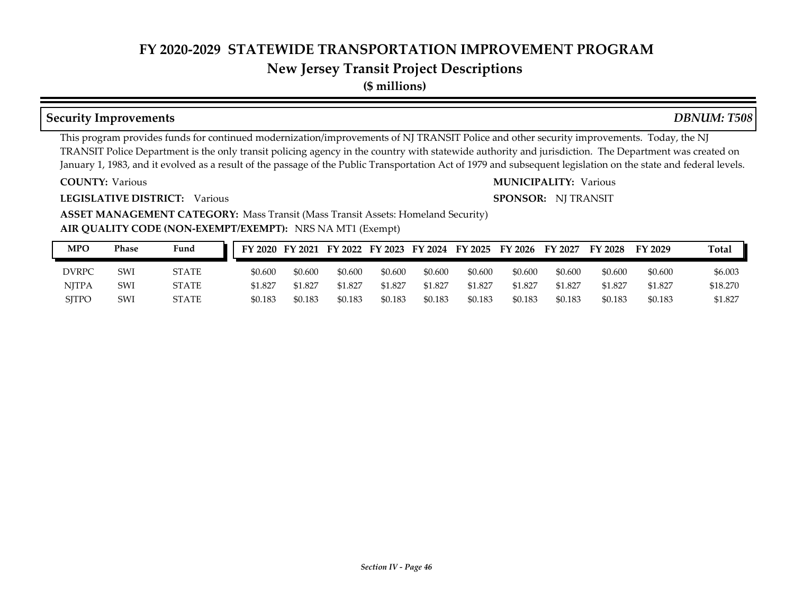## **New Jersey Transit Project Descriptions**

**(\$ millions)**

#### **Security Improvements** *DBNUM: T508*

This program provides funds for continued modernization/improvements of NJ TRANSIT Police and other security improvements. Today, the NJ TRANSIT Police Department is the only transit policing agency in the country with statewide authority and jurisdiction. The Department was created on January 1, 1983, and it evolved as a result of the passage of the Public Transportation Act of 1979 and subsequent legislation on the state and federal levels.

**COUNTY:**

**LEGISLATIVE DISTRICT:** Various

Various Various **MUNICIPALITY:**

**SPONSOR:** NJ TRANSIT

**AIR QUALITY CODE (NON-EXEMPT/EXEMPT):** NRS NA MT1 (Exempt) **ASSET MANAGEMENT CATEGORY: Mass Transit (Mass Transit Assets: Homeland Security)** 

| MPO          | Phase | Fund         |         |         |         |         |         | FY 2020 FY 2021 FY 2022 FY 2023 FY 2024 FY 2025 FY 2026 |         | FY 2027 | FY 2028 | FY 2029 | Total    |
|--------------|-------|--------------|---------|---------|---------|---------|---------|---------------------------------------------------------|---------|---------|---------|---------|----------|
| <b>DVRPC</b> | SWI   | <b>STATE</b> | \$0.600 | \$0.600 | \$0.600 | \$0.600 | \$0.600 | \$0.600                                                 | \$0.600 | \$0.600 | \$0.600 | \$0.600 | \$6.003  |
| <b>NJTPA</b> | SWI   | <b>STATE</b> | \$1.827 | \$1.827 | \$1.827 | \$1.827 | \$1.827 | \$1.827                                                 | \$1.827 | \$1.827 | \$1.827 | \$1.827 | \$18.270 |
| <b>SITPO</b> | SWI   | STATE        | \$0.183 | \$0.183 | \$0.183 | \$0.183 | \$0.183 | \$0.183                                                 | \$0.183 | \$0.183 | \$0.183 | \$0.183 | \$1.827  |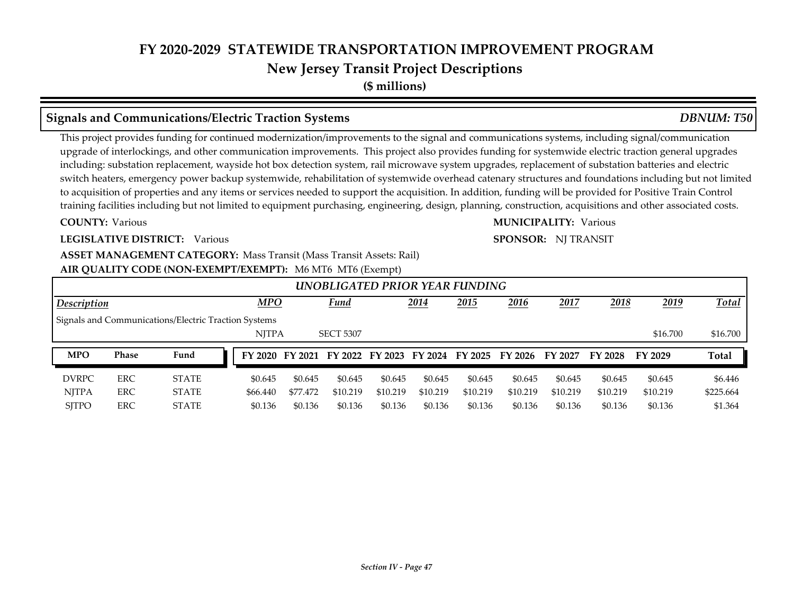## **New Jersey Transit Project Descriptions**

**(\$ millions)**

#### **Signals and Communications/Electric Traction Systems** *DBNUM: T50*

This project provides funding for continued modernization/improvements to the signal and communications systems, including signal/communication upgrade of interlockings, and other communication improvements. This project also provides funding for systemwide electric traction general upgrades including: substation replacement, wayside hot box detection system, rail microwave system upgrades, replacement of substation batteries and electric switch heaters, emergency power backup systemwide, rehabilitation of systemwide overhead catenary structures and foundations including but not limited to acquisition of properties and any items or services needed to support the acquisition. In addition, funding will be provided for Positive Train Control training facilities including but not limited to equipment purchasing, engineering, design, planning, construction, acquisitions and other associated costs.

#### **COUNTY:**

#### **LEGISLATIVE DISTRICT:** Various

#### **ASSET MANAGEMENT CATEGORY: Mass Transit (Mass Transit Assets: Rail)**

#### **AIR QUALITY CODE (NON-EXEMPT/EXEMPT):** M6 MT6 MT6 (Exempt)

| UNOBLIGATED PRIOR YEAR FUNDING |            |                                                      |  |              |          |                                                 |          |          |          |          |          |          |          |              |
|--------------------------------|------------|------------------------------------------------------|--|--------------|----------|-------------------------------------------------|----------|----------|----------|----------|----------|----------|----------|--------------|
| Description                    |            |                                                      |  | <b>MPO</b>   |          | <b>Fund</b>                                     |          | 2014     | 2015     | 2016     | 2017     | 2018     | 2019     | <u>Total</u> |
|                                |            | Signals and Communications/Electric Traction Systems |  |              |          |                                                 |          |          |          |          |          |          |          |              |
|                                |            |                                                      |  | <b>NITPA</b> |          | <b>SECT 5307</b>                                |          |          |          |          |          |          | \$16.700 | \$16.700     |
| <b>MPO</b>                     | Phase      | Fund                                                 |  |              |          | FY 2020 FY 2021 FY 2022 FY 2023 FY 2024 FY 2025 |          |          |          | FY 2026  | FY 2027  | FY 2028  | FY 2029  | <b>Total</b> |
| <b>DVRPC</b>                   | ERC        | <b>STATE</b>                                         |  | \$0.645      | \$0.645  | \$0.645                                         | \$0.645  | \$0.645  | \$0.645  | \$0.645  | \$0.645  | \$0.645  | \$0.645  | \$6.446      |
| <b>NITPA</b>                   | <b>ERC</b> | <b>STATE</b>                                         |  | \$66.440     | \$77.472 | \$10.219                                        | \$10.219 | \$10.219 | \$10.219 | \$10.219 | \$10.219 | \$10.219 | \$10.219 | \$225.664    |
| <b>SITPO</b>                   | ERC        | <b>STATE</b>                                         |  | \$0.136      | \$0.136  | \$0.136                                         | \$0.136  | \$0.136  | \$0.136  | \$0.136  | \$0.136  | \$0.136  | \$0.136  | \$1.364      |

### Various Various **MUNICIPALITY: SPONSOR:** NJ TRANSIT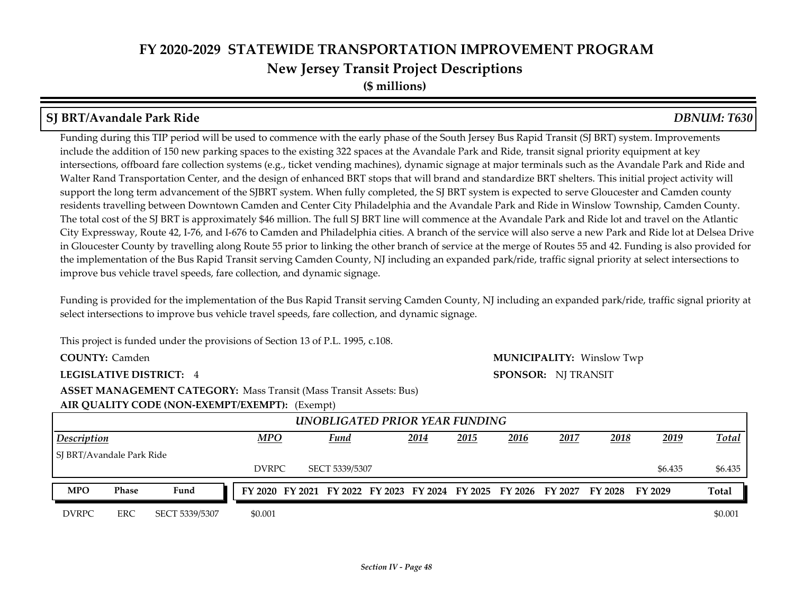**(\$ millions)**

#### **SJ BRT/Avandale Park Ride** *DBNUM: T630*

Funding during this TIP period will be used to commence with the early phase of the South Jersey Bus Rapid Transit (SJ BRT) system. Improvements include the addition of 150 new parking spaces to the existing 322 spaces at the Avandale Park and Ride, transit signal priority equipment at key intersections, offboard fare collection systems (e.g., ticket vending machines), dynamic signage at major terminals such as the Avandale Park and Ride and Walter Rand Transportation Center, and the design of enhanced BRT stops that will brand and standardize BRT shelters. This initial project activity will support the long term advancement of the SJBRT system. When fully completed, the SJ BRT system is expected to serve Gloucester and Camden county residents travelling between Downtown Camden and Center City Philadelphia and the Avandale Park and Ride in Winslow Township, Camden County. The total cost of the SJ BRT is approximately \$46 million. The full SJ BRT line will commence at the Avandale Park and Ride lot and travel on the Atlantic City Expressway, Route 42, I-76, and I-676 to Camden and Philadelphia cities. A branch of the service will also serve a new Park and Ride lot at Delsea Drive in Gloucester County by travelling along Route 55 prior to linking the other branch of service at the merge of Routes 55 and 42. Funding is also provided for the implementation of the Bus Rapid Transit serving Camden County, NJ including an expanded park/ride, traffic signal priority at select intersections to improve bus vehicle travel speeds, fare collection, and dynamic signage.

Funding is provided for the implementation of the Bus Rapid Transit serving Camden County, NJ including an expanded park/ride, traffic signal priority at select intersections to improve bus vehicle travel speeds, fare collection, and dynamic signage.

**SPONSOR:** NJ TRANSIT

This project is funded under the provisions of Section 13 of P.L. 1995, c.108.

**COUNTY:** Camden Winslow Twp **MUNICIPALITY:**

**LEGISLATIVE DISTRICT:** 4

**ASSET MANAGEMENT CATEGORY: Mass Transit (Mass Transit Assets: Bus)** 

**AIR QUALITY CODE (NON-EXEMPT/EXEMPT):** (Exempt)

*2014 2015 2016 2017 2018 2019* DVRPC SECT 5339/5307 \$6.435 \$6.435 \$6.435  *UNOBLIGATED PRIOR YEAR FUNDING Description MPO Fund Total* SJ BRT/Avandale Park Ride DVRPC ERC SECT 5339/5307 \$0.001 \$0.000 \$0.000 \$0.001 \$0.001 \$0.001 **MPO Phase Fund FY 2020 FY 2021 FY 2022 FY 2023 FY 2024 FY 2025 FY 2026 FY 2027 FY 2028 FY 2029 Total**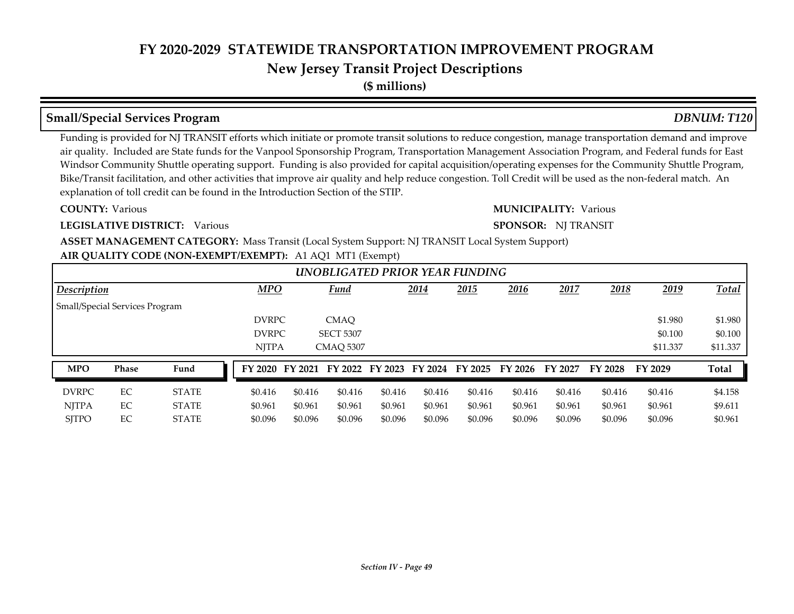# **New Jersey Transit Project Descriptions**

**(\$ millions)**

#### **Small/Special Services Program** *DBNUM: T120*

Funding is provided for NJ TRANSIT efforts which initiate or promote transit solutions to reduce congestion, manage transportation demand and improve air quality. Included are State funds for the Vanpool Sponsorship Program, Transportation Management Association Program, and Federal funds for East Windsor Community Shuttle operating support. Funding is also provided for capital acquisition/operating expenses for the Community Shuttle Program, Bike/Transit facilitation, and other activities that improve air quality and help reduce congestion. Toll Credit will be used as the non-federal match. An explanation of toll credit can be found in the Introduction Section of the STIP.

#### **COUNTY:**

#### **LEGISLATIVE DISTRICT:** Various

#### Various Various **MUNICIPALITY:**

#### **SPONSOR:** NJ TRANSIT

**AIR QUALITY CODE (NON-EXEMPT/EXEMPT):** A1 AQ1 MT1 (Exempt) **ASSET MANAGEMENT CATEGORY:** Mass Transit (Local System Support: NJ TRANSIT Local System Support)

| UNOBLIGATED PRIOR YEAR FUNDING |       |              |  |              |         |                         |         |         |         |         |         |         |          |              |
|--------------------------------|-------|--------------|--|--------------|---------|-------------------------|---------|---------|---------|---------|---------|---------|----------|--------------|
| Description                    |       |              |  | <b>MPO</b>   |         | <b>Fund</b>             |         | 2014    | 2015    | 2016    | 2017    | 2018    | 2019     | <b>Total</b> |
| Small/Special Services Program |       |              |  |              |         |                         |         |         |         |         |         |         |          |              |
|                                |       |              |  | <b>DVRPC</b> |         | <b>CMAO</b>             |         |         |         |         |         |         | \$1.980  | \$1.980      |
|                                |       |              |  | <b>DVRPC</b> |         | <b>SECT 5307</b>        |         |         |         |         |         |         | \$0.100  | \$0.100      |
|                                |       |              |  | <b>NJTPA</b> |         | <b>CMAO 5307</b>        |         |         |         |         |         |         | \$11.337 | \$11.337     |
| <b>MPO</b>                     | Phase | Fund         |  | FY 2020      | FY 2021 | FY 2022 FY 2023 FY 2024 |         |         | FY 2025 | FY 2026 | FY 2027 | FY 2028 | FY 2029  | <b>Total</b> |
| <b>DVRPC</b>                   | EC    | <b>STATE</b> |  | \$0.416      | \$0.416 | \$0.416                 | \$0.416 | \$0.416 | \$0.416 | \$0.416 | \$0.416 | \$0.416 | \$0.416  | \$4.158      |
| <b>NITPA</b>                   | EC    | <b>STATE</b> |  | \$0.961      | \$0.961 | \$0.961                 | \$0.961 | \$0.961 | \$0.961 | \$0.961 | \$0.961 | \$0.961 | \$0.961  | \$9.611      |
| <b>SITPO</b>                   | EC    | <b>STATE</b> |  | \$0.096      | \$0.096 | \$0.096                 | \$0.096 | \$0.096 | \$0.096 | \$0.096 | \$0.096 | \$0.096 | \$0.096  | \$0.961      |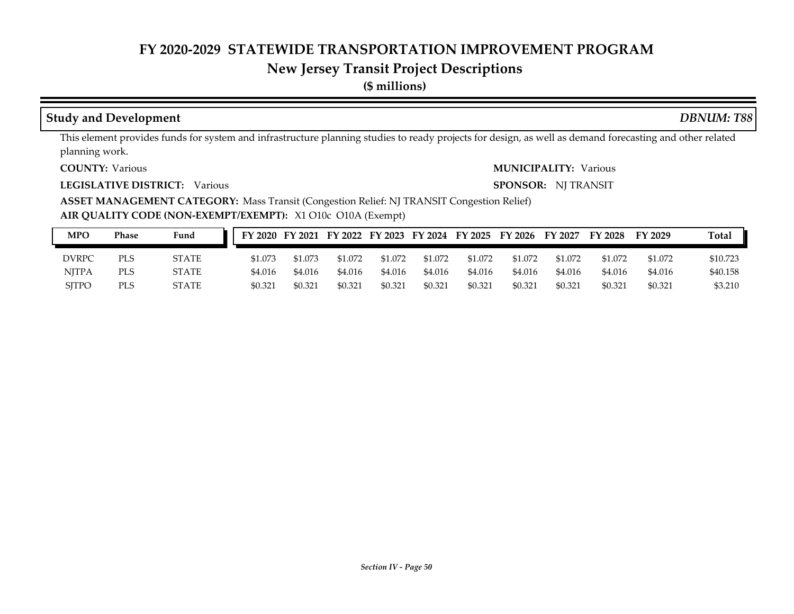# **New Jersey Transit Project Descriptions**

**(\$ millions)**

#### **Study and Development** *DBNUM: T88*

This element provides funds for system and infrastructure planning studies to ready projects for design, as well as demand forecasting and other related planning work.

**COUNTY:**

**LEGISLATIVE DISTRICT:** Various

Various Various **MUNICIPALITY:**

**SPONSOR:** NJ TRANSIT

**ASSET MANAGEMENT CATEGORY:** Mass Transit (Congestion Relief: NJ TRANSIT Congestion Relief)

**AIR QUALITY CODE (NON-EXEMPT/EXEMPT):** X1 O10c O10A (Exempt)

| <b>MPO</b>   | Phase | Fund         | FY 2020 |         | FY 2021 FY 2022 FY 2023 FY 2024 FY 2025 |         |         |         | FY 2026 | FY 2027 | FY 2028 | FY 2029 | <b>Total</b> |
|--------------|-------|--------------|---------|---------|-----------------------------------------|---------|---------|---------|---------|---------|---------|---------|--------------|
| DVRPC        | PLS   | STATE        | \$1.073 | \$1.073 | \$1.072                                 | \$1.072 | \$1.072 | \$1.072 | \$1.072 | \$1.072 | \$1.072 | \$1.072 | \$10.723     |
| <b>NJTPA</b> | PLS   | <b>STATE</b> | \$4.016 | \$4.016 | \$4.016                                 | \$4.016 | \$4.016 | \$4.016 | \$4.016 | \$4.016 | \$4.016 | \$4.016 | \$40.158     |
| <b>SITPO</b> | PLS   | STATE        | \$0.321 | \$0.321 | \$0.321                                 | \$0.321 | \$0.321 | \$0.321 | \$0.321 | \$0.321 | \$0.321 | \$0.321 | \$3.210      |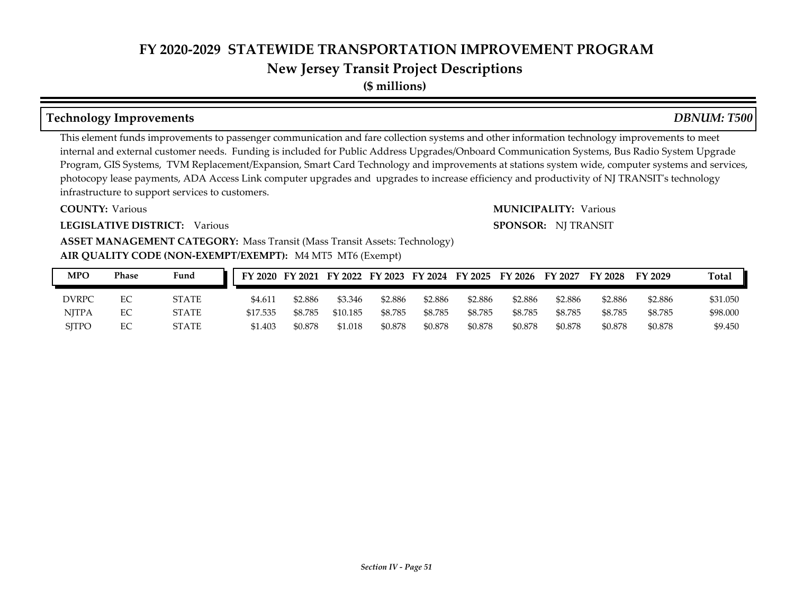# **New Jersey Transit Project Descriptions**

**(\$ millions)**

#### **Technology Improvements** *DBNUM: T500*

This element funds improvements to passenger communication and fare collection systems and other information technology improvements to meet internal and external customer needs. Funding is included for Public Address Upgrades/Onboard Communication Systems, Bus Radio System Upgrade Program, GIS Systems, TVM Replacement/Expansion, Smart Card Technology and improvements at stations system wide, computer systems and services, photocopy lease payments, ADA Access Link computer upgrades and upgrades to increase efficiency and productivity of NJ TRANSIT's technology infrastructure to support services to customers.

#### **COUNTY:**

**LEGISLATIVE DISTRICT:** Various

# **ASSET MANAGEMENT CATEGORY: Mass Transit (Mass Transit Assets: Technology)**

#### **AIR QUALITY CODE (NON-EXEMPT/EXEMPT):** M4 MT5 MT6 (Exempt)

| MPO          | Phase | Fund         |          |         |          |         |         |         | FY 2020 FY 2021 FY 2022 FY 2023 FY 2024 FY 2025 FY 2026 FY 2027 |         | FY 2028 | FY 2029 | Total    |
|--------------|-------|--------------|----------|---------|----------|---------|---------|---------|-----------------------------------------------------------------|---------|---------|---------|----------|
| <b>DVRPC</b> | ЕC    | <b>STATE</b> | \$4.611  | \$2.886 | \$3.346  | \$2.886 | \$2.886 | \$2.886 | \$2.886                                                         | \$2.886 | \$2.886 | \$2.886 | \$31.050 |
| <b>NITPA</b> | EC    | <b>STATE</b> | \$17.535 | \$8.785 | \$10.185 | \$8.785 | \$8.785 | \$8.785 | \$8.785                                                         | \$8.785 | \$8.785 | \$8.785 | \$98.000 |
| <b>SITPO</b> | EС    | <b>STATE</b> | \$1.403  | \$0.878 | \$1.018  | \$0.878 | \$0.878 | \$0.878 | \$0.878                                                         | \$0.878 | \$0.878 | \$0.878 | \$9.450  |

# Various Various **MUNICIPALITY:**

#### **SPONSOR:** NJ TRANSIT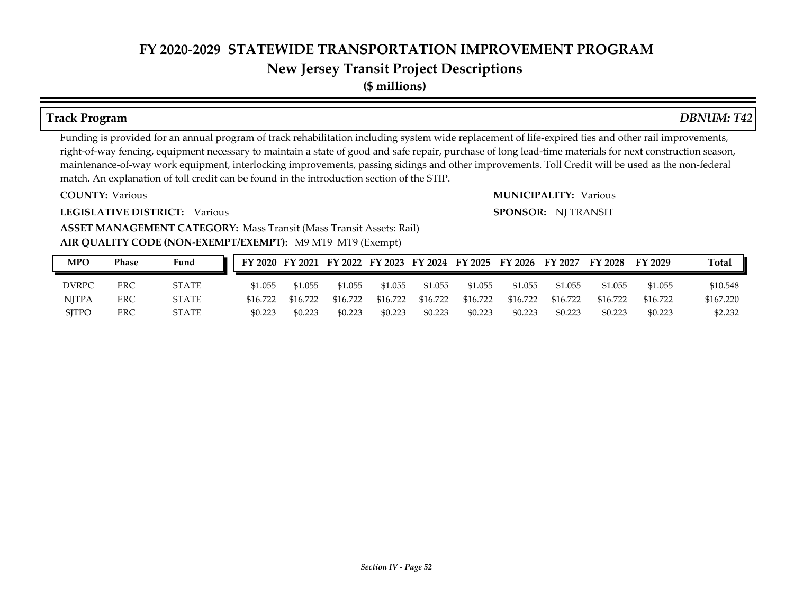**(\$ millions)**

#### **Track Program** *DBNUM: T42*

Funding is provided for an annual program of track rehabilitation including system wide replacement of life-expired ties and other rail improvements, right-of-way fencing, equipment necessary to maintain a state of good and safe repair, purchase of long lead-time materials for next construction season, maintenance-of-way work equipment, interlocking improvements, passing sidings and other improvements. Toll Credit will be used as the non-federal match. An explanation of toll credit can be found in the introduction section of the STIP.

**COUNTY:**

**LEGISLATIVE DISTRICT:** Various

Various Various **MUNICIPALITY: SPONSOR:** NJ TRANSIT

#### **AIR QUALITY CODE (NON-EXEMPT/EXEMPT):** M9 MT9 MT9 (Exempt) **ASSET MANAGEMENT CATEGORY: Mass Transit (Mass Transit Assets: Rail)**

| <b>MPO</b>   | Phase | Fund         |          |          |          |          |          |          | FY 2020 FY 2021 FY 2022 FY 2023 FY 2024 FY 2025 FY 2026 FY 2027 |          | $\rm FY$ 2028 | FY 2029  | <b>Total</b> |
|--------------|-------|--------------|----------|----------|----------|----------|----------|----------|-----------------------------------------------------------------|----------|---------------|----------|--------------|
| <b>DVRPC</b> | ERC   | <b>STATE</b> | \$1.055  | \$1,055  | \$1.055  | \$1.055  | \$1,055  | \$1.055  | \$1.055                                                         | \$1.055  | \$1.055       | \$1.055  | \$10.548     |
| NITPA        | ERC   | <b>STATE</b> | \$16.722 | \$16.722 | \$16.722 | \$16.722 | \$16.722 | \$16.722 | \$16.722                                                        | \$16.722 | \$16.722      | \$16.722 | \$167.220    |
| <b>SITPO</b> | ERC   | <b>STATE</b> | \$0.223  | \$0.223  | \$0.223  | \$0.223  | \$0.223  | \$0.223  | \$0.223                                                         | \$0.223  | \$0.223       | \$0.223  | \$2.232      |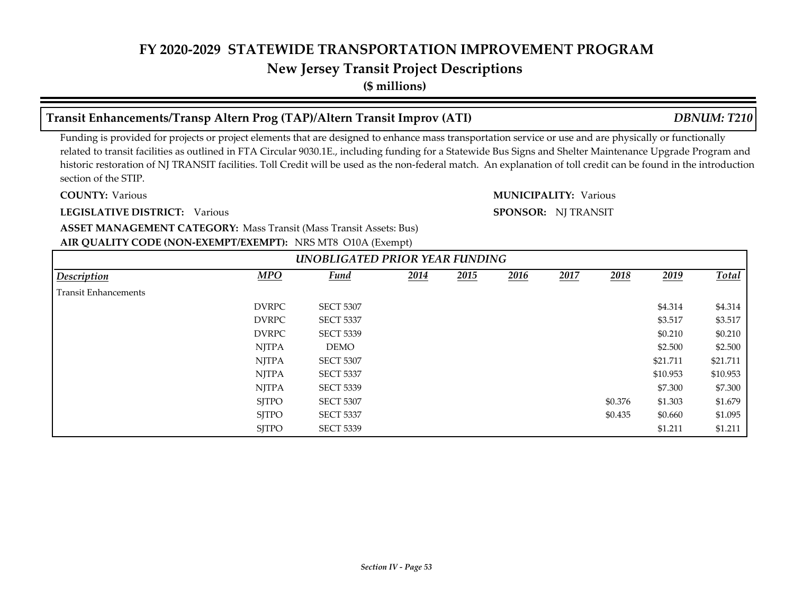#### **New Jersey Transit Project Descriptions**

**(\$ millions)**

#### **Transit Enhancements/Transp Altern Prog (TAP)/Altern Transit Improv (ATI)** *DBNUM: T210*

Funding is provided for projects or project elements that are designed to enhance mass transportation service or use and are physically or functionally related to transit facilities as outlined in FTA Circular 9030.1E., including funding for a Statewide Bus Signs and Shelter Maintenance Upgrade Program and historic restoration of NJ TRANSIT facilities. Toll Credit will be used as the non-federal match. An explanation of toll credit can be found in the introduction section of the STIP.

**COUNTY:**

**LEGISLATIVE DISTRICT:** Various

Various Various **MUNICIPALITY:**

**SPONSOR:** NJ TRANSIT

**AIR QUALITY CODE (NON-EXEMPT/EXEMPT):** NRS MT8 O10A (Exempt) **ASSET MANAGEMENT CATEGORY: Mass Transit (Mass Transit Assets: Bus)** 

| UNOBLIGATED PRIOR YEAR FUNDING |              |                  |      |      |      |      |         |          |          |  |  |  |  |  |
|--------------------------------|--------------|------------------|------|------|------|------|---------|----------|----------|--|--|--|--|--|
| Description                    | <b>MPO</b>   | Fund             | 2014 | 2015 | 2016 | 2017 | 2018    | 2019     | Total    |  |  |  |  |  |
| <b>Transit Enhancements</b>    |              |                  |      |      |      |      |         |          |          |  |  |  |  |  |
|                                | <b>DVRPC</b> | <b>SECT 5307</b> |      |      |      |      |         | \$4.314  | \$4.314  |  |  |  |  |  |
|                                | <b>DVRPC</b> | <b>SECT 5337</b> |      |      |      |      |         | \$3.517  | \$3.517  |  |  |  |  |  |
|                                | <b>DVRPC</b> | <b>SECT 5339</b> |      |      |      |      |         | \$0.210  | \$0.210  |  |  |  |  |  |
|                                | <b>NJTPA</b> | DEMO             |      |      |      |      |         | \$2.500  | \$2.500  |  |  |  |  |  |
|                                | <b>NJTPA</b> | <b>SECT 5307</b> |      |      |      |      |         | \$21.711 | \$21.711 |  |  |  |  |  |
|                                | <b>NJTPA</b> | <b>SECT 5337</b> |      |      |      |      |         | \$10.953 | \$10.953 |  |  |  |  |  |
|                                | <b>NJTPA</b> | <b>SECT 5339</b> |      |      |      |      |         | \$7.300  | \$7.300  |  |  |  |  |  |
|                                | <b>SJTPO</b> | <b>SECT 5307</b> |      |      |      |      | \$0.376 | \$1.303  | \$1.679  |  |  |  |  |  |
|                                | <b>SJTPO</b> | <b>SECT 5337</b> |      |      |      |      | \$0.435 | \$0.660  | \$1.095  |  |  |  |  |  |
|                                | <b>SJTPO</b> | <b>SECT 5339</b> |      |      |      |      |         | \$1.211  | \$1.211  |  |  |  |  |  |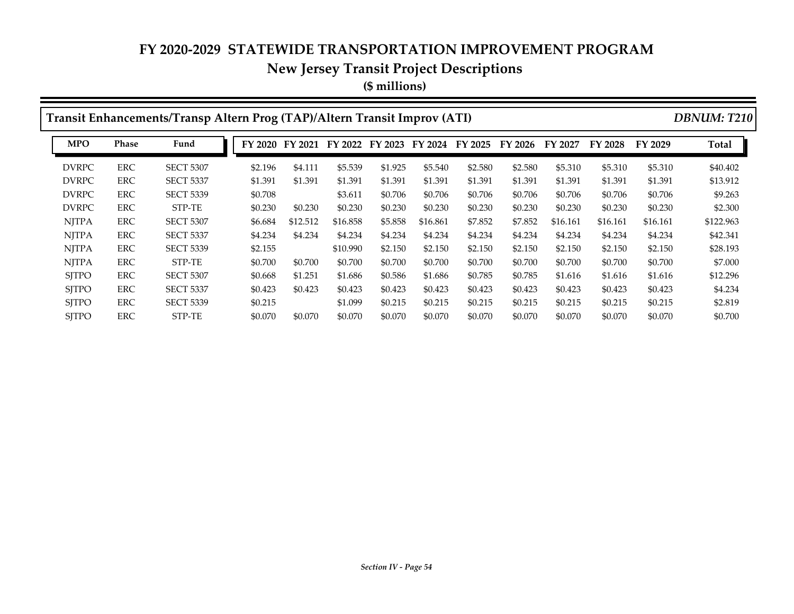# **New Jersey Transit Project Descriptions**

**(\$ millions)**

|              |              | Transit Enhancements/Transp Altern Prog (TAP)/Altern Transit Improv (ATI) |                 |          |          |         |          |         |         |          |          |          | <b>DBNUM: T210</b> |
|--------------|--------------|---------------------------------------------------------------------------|-----------------|----------|----------|---------|----------|---------|---------|----------|----------|----------|--------------------|
| <b>MPO</b>   | <b>Phase</b> | Fund                                                                      | FY 2020 FY 2021 |          | FY 2022  | FY 2023 | FY 2024  | FY 2025 | FY 2026 | FY 2027  | FY 2028  | FY 2029  | Total              |
| <b>DVRPC</b> | <b>ERC</b>   | <b>SECT 5307</b>                                                          | \$2.196         | \$4.111  | \$5.539  | \$1.925 | \$5.540  | \$2.580 | \$2.580 | \$5.310  | \$5.310  | \$5.310  | \$40.402           |
| <b>DVRPC</b> | <b>ERC</b>   | <b>SECT 5337</b>                                                          | \$1.391         | \$1.391  | \$1.391  | \$1.391 | \$1.391  | \$1.391 | \$1.391 | \$1.391  | \$1.391  | \$1.391  | \$13.912           |
| <b>DVRPC</b> | <b>ERC</b>   | <b>SECT 5339</b>                                                          | \$0.708         |          | \$3.611  | \$0.706 | \$0.706  | \$0.706 | \$0.706 | \$0.706  | \$0.706  | \$0.706  | \$9.263            |
| <b>DVRPC</b> | <b>ERC</b>   | STP-TE                                                                    | \$0.230         | \$0.230  | \$0.230  | \$0.230 | \$0.230  | \$0.230 | \$0.230 | \$0.230  | \$0.230  | \$0.230  | \$2.300            |
| <b>NITPA</b> | <b>ERC</b>   | <b>SECT 5307</b>                                                          | \$6.684         | \$12.512 | \$16.858 | \$5.858 | \$16.861 | \$7.852 | \$7.852 | \$16.161 | \$16.161 | \$16.161 | \$122.963          |
| <b>NITPA</b> | <b>ERC</b>   | <b>SECT 5337</b>                                                          | \$4.234         | \$4.234  | \$4.234  | \$4.234 | \$4.234  | \$4.234 | \$4.234 | \$4.234  | \$4.234  | \$4.234  | \$42.341           |
| <b>NITPA</b> | <b>ERC</b>   | <b>SECT 5339</b>                                                          | \$2.155         |          | \$10.990 | \$2.150 | \$2.150  | \$2.150 | \$2,150 | \$2.150  | \$2.150  | \$2.150  | \$28.193           |
| <b>NITPA</b> | ERC          | STP-TE                                                                    | \$0.700         | \$0.700  | \$0.700  | \$0.700 | \$0.700  | \$0.700 | \$0.700 | \$0.700  | \$0.700  | \$0.700  | \$7.000            |
| <b>SITPO</b> | ERC          | <b>SECT 5307</b>                                                          | \$0.668         | \$1.251  | \$1.686  | \$0.586 | \$1.686  | \$0.785 | \$0.785 | \$1.616  | \$1.616  | \$1.616  | \$12.296           |
| <b>SITPO</b> | ERC          | <b>SECT 5337</b>                                                          | \$0.423         | \$0.423  | \$0.423  | \$0.423 | \$0.423  | \$0.423 | \$0.423 | \$0.423  | \$0.423  | \$0.423  | \$4.234            |
| <b>SJTPO</b> | <b>ERC</b>   | <b>SECT 5339</b>                                                          | \$0.215         |          | \$1.099  | \$0.215 | \$0.215  | \$0.215 | \$0.215 | \$0.215  | \$0.215  | \$0.215  | \$2.819            |
| <b>SITPO</b> | ERC          | STP-TE                                                                    | \$0.070         | \$0.070  | \$0.070  | \$0.070 | \$0.070  | \$0.070 | \$0.070 | \$0.070  | \$0.070  | \$0.070  | \$0.700            |